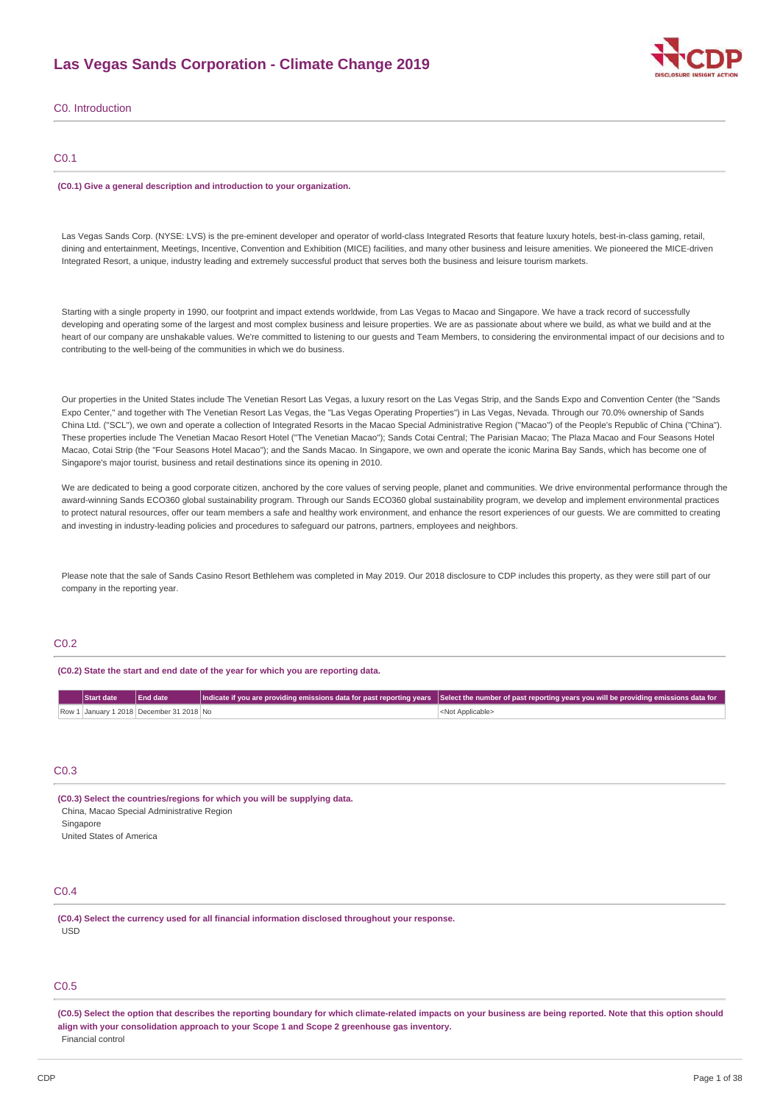# **Las Vegas Sands Corporation - Climate Change 2019**



C0. Introduction

# C0.1

#### **(C0.1) Give a general description and introduction to your organization.**

Las Vegas Sands Corp. (NYSE: LVS) is the pre-eminent developer and operator of world-class Integrated Resorts that feature luxury hotels, best-in-class gaming, retail, dining and entertainment, Meetings, Incentive, Convention and Exhibition (MICE) facilities, and many other business and leisure amenities. We pioneered the MICE-driven Integrated Resort, a unique, industry leading and extremely successful product that serves both the business and leisure tourism markets.

Starting with a single property in 1990, our footprint and impact extends worldwide, from Las Vegas to Macao and Singapore. We have a track record of successfully developing and operating some of the largest and most complex business and leisure properties. We are as passionate about where we build, as what we build and at the heart of our company are unshakable values. We're committed to listening to our guests and Team Members, to considering the environmental impact of our decisions and to contributing to the well-being of the communities in which we do business.

Our properties in the United States include The Venetian Resort Las Vegas, a luxury resort on the Las Vegas Strip, and the Sands Expo and Convention Center (the "Sands Expo Center," and together with The Venetian Resort Las Vegas, the "Las Vegas Operating Properties") in Las Vegas, Nevada. Through our 70.0% ownership of Sands China Ltd. ("SCL"), we own and operate a collection of Integrated Resorts in the Macao Special Administrative Region ("Macao") of the People's Republic of China ("China"). These properties include The Venetian Macao Resort Hotel ("The Venetian Macao"); Sands Cotai Central; The Parisian Macao; The Plaza Macao and Four Seasons Hotel Macao, Cotai Strip (the "Four Seasons Hotel Macao"); and the Sands Macao. In Singapore, we own and operate the iconic Marina Bay Sands, which has become one of Singapore's major tourist, business and retail destinations since its opening in 2010.

We are dedicated to being a good corporate citizen, anchored by the core values of serving people, planet and communities. We drive environmental performance through the award-winning Sands ECO360 global sustainability program. Through our Sands ECO360 global sustainability program, we develop and implement environmental practices to protect natural resources, offer our team members a safe and healthy work environment, and enhance the resort experiences of our guests. We are committed to creating and investing in industry-leading policies and procedures to safeguard our patrons, partners, employees and neighbors.

Please note that the sale of Sands Casino Resort Bethlehem was completed in May 2019. Our 2018 disclosure to CDP includes this property, as they were still part of our company in the reporting year.

# C0.2

**(C0.2) State the start and end date of the year for which you are reporting data.**

| Start date | <b>End date</b>                          | $\vert$ Indicate if you are providing emissions data for past reporting years Select the number of past reporting years you will be providing emissions data for $\vert$ |
|------------|------------------------------------------|--------------------------------------------------------------------------------------------------------------------------------------------------------------------------|
|            | Row 1 January 1 2018 December 31 2018 No | <not applicable=""></not>                                                                                                                                                |

# C<sub>0.3</sub>

**(C0.3) Select the countries/regions for which you will be supplying data.** China, Macao Special Administrative Region Singapore United States of America

# C0.4

**(C0.4) Select the currency used for all financial information disclosed throughout your response.** USD

# C0.5

(C0.5) Select the option that describes the reporting boundary for which climate-related impacts on your business are being reported. Note that this option should **align with your consolidation approach to your Scope 1 and Scope 2 greenhouse gas inventory.** Financial control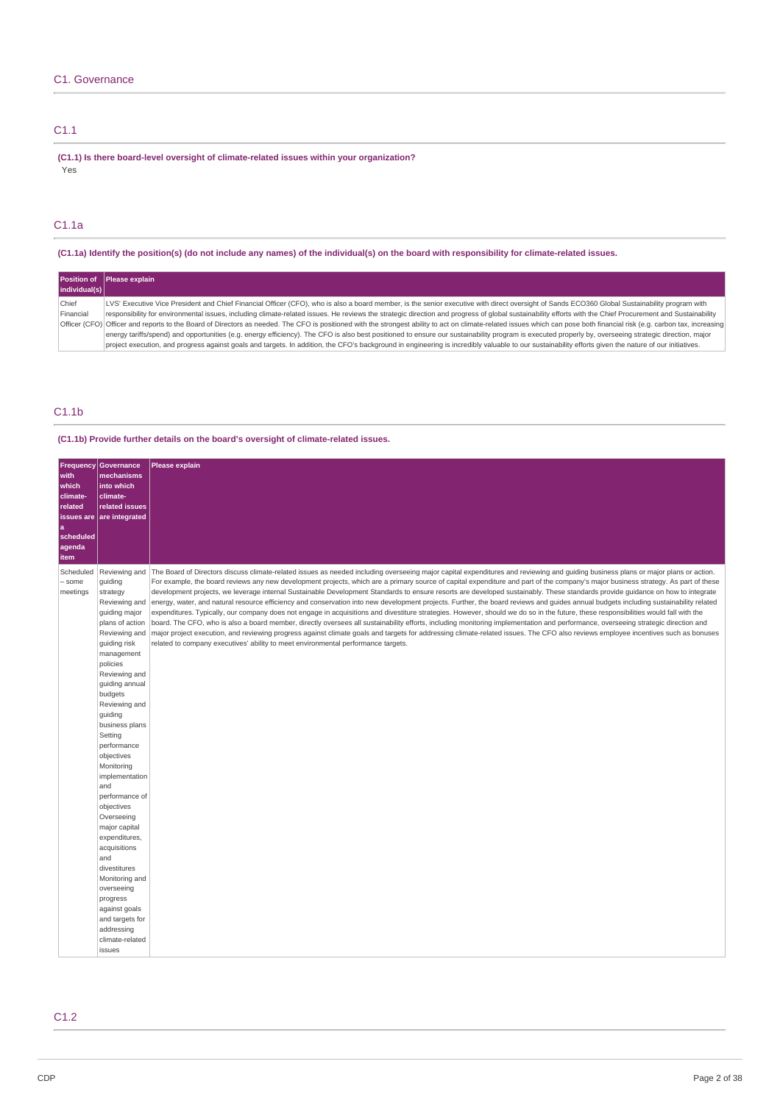# C1. Governance

# C1.1

**(C1.1) Is there board-level oversight of climate-related issues within your organization?** .<br>Yes

# C1.1a

(C1.1a) Identify the position(s) (do not include any names) of the individual(s) on the board with responsibility for climate-related issues.

|               | Position of Please explain                                                                                                                                                                                               |
|---------------|--------------------------------------------------------------------------------------------------------------------------------------------------------------------------------------------------------------------------|
| individual(s) |                                                                                                                                                                                                                          |
| Chief         | LVS' Executive Vice President and Chief Financial Officer (CFO), who is also a board member, is the senior executive with direct oversight of Sands ECO360 Global Sustainability program with                            |
| Financial     | responsibility for environmental issues, including climate-related issues. He reviews the strategic direction and progress of global sustainability efforts with the Chief Procurement and Sustainability                |
|               | Officer (CFO) Officer and reports to the Board of Directors as needed. The CFO is positioned with the strongest ability to act on climate-related issues which can pose both financial risk (e.g. carbon tax, increasing |
|               | energy tariffs/spend) and opportunities (e.g. energy efficiency). The CFO is also best positioned to ensure our sustainability program is executed properly by, overseeing strategic direction, major                    |
|               | project execution, and progress against goals and targets. In addition, the CFO's background in engineering is incredibly valuable to our sustainability efforts given the nature of our initiatives.                    |

# C1.1b

**(C1.1b) Provide further details on the board's oversight of climate-related issues.**

| <b>Frequency</b><br>with<br>which<br>climate-<br>related<br>issues are<br>a<br>scheduled<br>agenda<br><b>item</b> | <b>Governance</b><br>mechanisms<br>into which<br>climate-<br>related issues<br>are integrated                                                                                                                                                                                                                                                                                                                                                                                                                                                                    | Please explain                                                                                                                                                                                                                                                                                                                                                                                                                                                                                                                                                                                                                                                                                                                                                                                                                                                                                                                                                                                                                                                                                                                                                                                                                                                                                                                                                                                                          |
|-------------------------------------------------------------------------------------------------------------------|------------------------------------------------------------------------------------------------------------------------------------------------------------------------------------------------------------------------------------------------------------------------------------------------------------------------------------------------------------------------------------------------------------------------------------------------------------------------------------------------------------------------------------------------------------------|-------------------------------------------------------------------------------------------------------------------------------------------------------------------------------------------------------------------------------------------------------------------------------------------------------------------------------------------------------------------------------------------------------------------------------------------------------------------------------------------------------------------------------------------------------------------------------------------------------------------------------------------------------------------------------------------------------------------------------------------------------------------------------------------------------------------------------------------------------------------------------------------------------------------------------------------------------------------------------------------------------------------------------------------------------------------------------------------------------------------------------------------------------------------------------------------------------------------------------------------------------------------------------------------------------------------------------------------------------------------------------------------------------------------------|
| Scheduled<br>- some<br>meetings                                                                                   | guiding<br>strategy<br>Reviewing and<br>guiding major<br>plans of action<br>Reviewing and<br>guiding risk<br>management<br>policies<br>Reviewing and<br>guiding annual<br>budgets<br>Reviewing and<br>guiding<br>business plans<br>Setting<br>performance<br>objectives<br>Monitoring<br>implementation<br>and<br>performance of<br>objectives<br>Overseeing<br>major capital<br>expenditures,<br>acquisitions<br>and<br>divestitures<br>Monitoring and<br>overseeing<br>progress<br>against goals<br>and targets for<br>addressing<br>climate-related<br>issues | Reviewing and  The Board of Directors discuss climate-related issues as needed including overseeing major capital expenditures and reviewing and guiding business plans or major plans or action.<br>For example, the board reviews any new development projects, which are a primary source of capital expenditure and part of the company's major business strategy. As part of these<br>development projects, we leverage internal Sustainable Development Standards to ensure resorts are developed sustainably. These standards provide quidance on how to integrate<br>energy, water, and natural resource efficiency and conservation into new development projects. Further, the board reviews and guides annual budgets including sustainability related<br>expenditures. Typically, our company does not engage in acquisitions and divestiture strategies. However, should we do so in the future, these responsibilities would fall with the<br>board. The CFO, who is also a board member, directly oversees all sustainability efforts, including monitoring implementation and performance, overseeing strategic direction and<br>major project execution, and reviewing progress against climate goals and targets for addressing climate-related issues. The CFO also reviews employee incentives such as bonuses<br>related to company executives' ability to meet environmental performance targets. |

# C1.2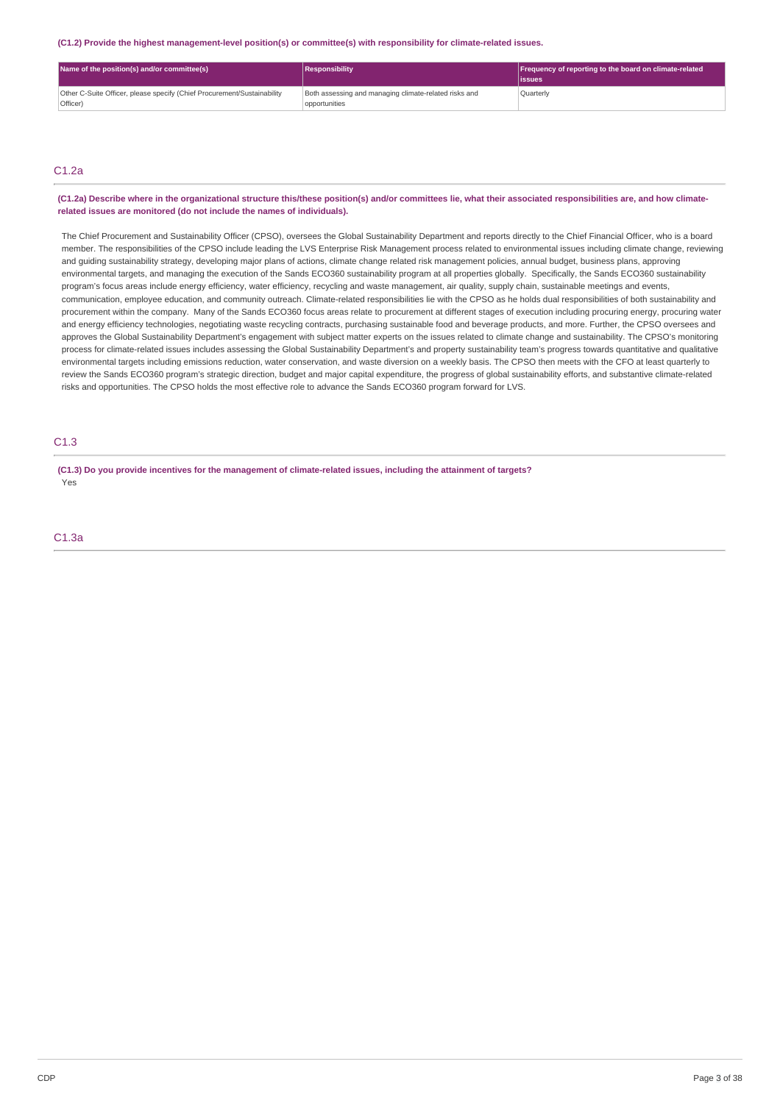**(C1.2) Provide the highest management-level position(s) or committee(s) with responsibility for climate-related issues.**

| Name of the position(s) and/or committee(s)                                         | Responsibility                                                         | Frequency of reporting to the board on climate-related<br>lissues |
|-------------------------------------------------------------------------------------|------------------------------------------------------------------------|-------------------------------------------------------------------|
| Other C-Suite Officer, please specify (Chief Procurement/Sustainability<br>Officer) | Both assessing and managing climate-related risks and<br>opportunities | Ouarterly                                                         |

# $C1.2a$

(C1.2a) Describe where in the organizational structure this/these position(s) and/or committees lie, what their associated responsibilities are, and how climate**related issues are monitored (do not include the names of individuals).**

The Chief Procurement and Sustainability Officer (CPSO), oversees the Global Sustainability Department and reports directly to the Chief Financial Officer, who is a board member. The responsibilities of the CPSO include leading the LVS Enterprise Risk Management process related to environmental issues including climate change, reviewing and guiding sustainability strategy, developing major plans of actions, climate change related risk management policies, annual budget, business plans, approving environmental targets, and managing the execution of the Sands ECO360 sustainability program at all properties globally. Specifically, the Sands ECO360 sustainability program's focus areas include energy efficiency, water efficiency, recycling and waste management, air quality, supply chain, sustainable meetings and events, communication, employee education, and community outreach. Climate-related responsibilities lie with the CPSO as he holds dual responsibilities of both sustainability and procurement within the company. Many of the Sands ECO360 focus areas relate to procurement at different stages of execution including procuring energy, procuring water and energy efficiency technologies, negotiating waste recycling contracts, purchasing sustainable food and beverage products, and more. Further, the CPSO oversees and approves the Global Sustainability Department's engagement with subject matter experts on the issues related to climate change and sustainability. The CPSO's monitoring process for climate-related issues includes assessing the Global Sustainability Department's and property sustainability team's progress towards quantitative and qualitative environmental targets including emissions reduction, water conservation, and waste diversion on a weekly basis. The CPSO then meets with the CFO at least quarterly to review the Sands ECO360 program's strategic direction, budget and major capital expenditure, the progress of global sustainability efforts, and substantive climate-related risks and opportunities. The CPSO holds the most effective role to advance the Sands ECO360 program forward for LVS.

# C1.3

(C1.3) Do you provide incentives for the management of climate-related issues, including the attainment of targets? Yes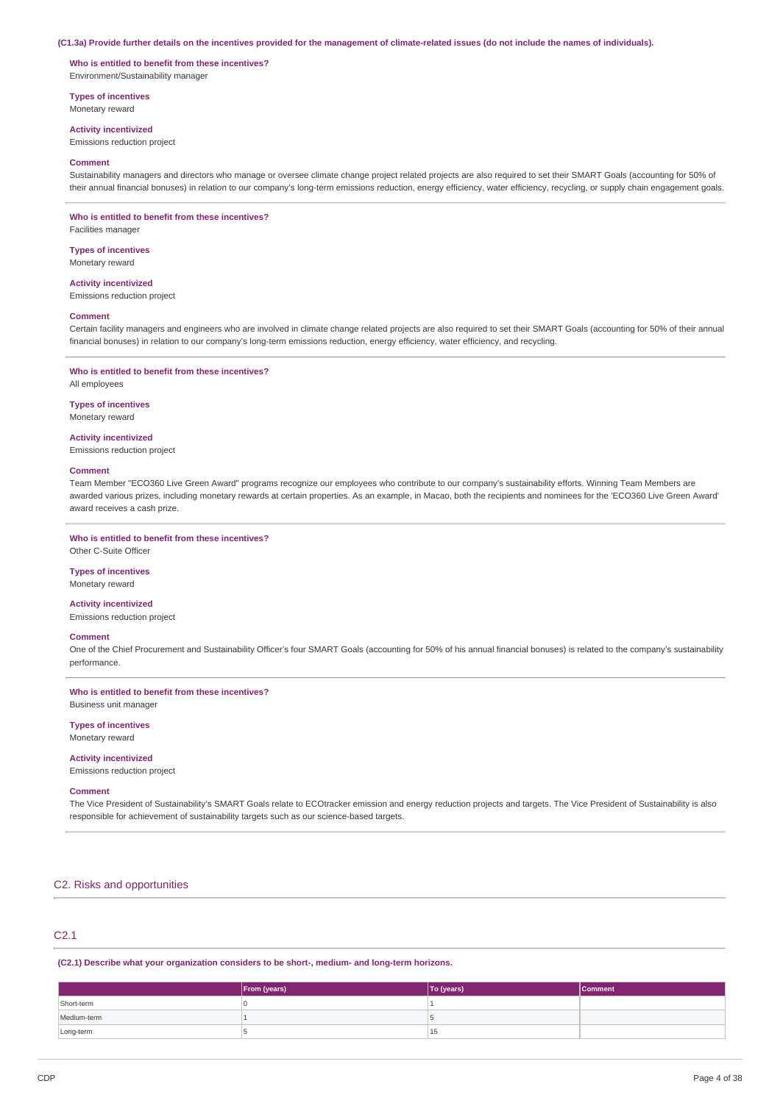#### (C1.3a) Provide further details on the incentives provided for the management of climate-related issues (do not include the names of individuals).

**Who is entitled to benefit from these incentives?** Environment/Sustainability manager

**Types of incentives**

Monetary reward

**Activity incentivized**

Emissions reduction project

#### **Comment**

Sustainability managers and directors who manage or oversee climate change project related projects are also required to set their SMART Goals (accounting for 50% of their annual financial bonuses) in relation to our company's long-term emissions reduction, energy efficiency, water efficiency, recycling, or supply chain engagement goals.

### **Who is entitled to benefit from these incentives?**

Facilities manager

**Types of incentives** Monetary reward

#### **Activity incentivized**

Emissions reduction project

#### **Comment**

Certain facility managers and engineers who are involved in climate change related projects are also required to set their SMART Goals (accounting for 50% of their annual financial bonuses) in relation to our company's long-term emissions reduction, energy efficiency, water efficiency, and recycling.

### **Who is entitled to benefit from these incentives?**

All employees

# **Types of incentives**

Monetary reward

# **Activity incentivized**

Emissions reduction project

### **Comment**

Team Member "ECO360 Live Green Award" programs recognize our employees who contribute to our company's sustainability efforts. Winning Team Members are awarded various prizes, including monetary rewards at certain properties. As an example, in Macao, both the recipients and nominees for the 'ECO360 Live Green Award' award receives a cash prize.

**Who is entitled to benefit from these incentives?** Other C-Suite Officer

# **Types of incentives**

Monetary reward

**Activity incentivized**

# Emissions reduction project

### **Comment**

One of the Chief Procurement and Sustainability Officer's four SMART Goals (accounting for 50% of his annual financial bonuses) is related to the company's sustainability performance.

**Who is entitled to benefit from these incentives?** Business unit manager

#### **Types of incentives**

Monetary reward

# **Activity incentivized**

Emissions reduction project

#### **Comment**

The Vice President of Sustainability's SMART Goals relate to ECOtracker emission and energy reduction projects and targets. The Vice President of Sustainability is also responsible for achievement of sustainability targets such as our science-based targets.

### C2. Risks and opportunities

# C2.1

**(C2.1) Describe what your organization considers to be short-, medium- and long-term horizons.**

|             | From (years) | To (years) | <b>Comment</b> |
|-------------|--------------|------------|----------------|
| Short-term  |              |            |                |
| Medium-term |              |            |                |
| Long-term   |              | 15         |                |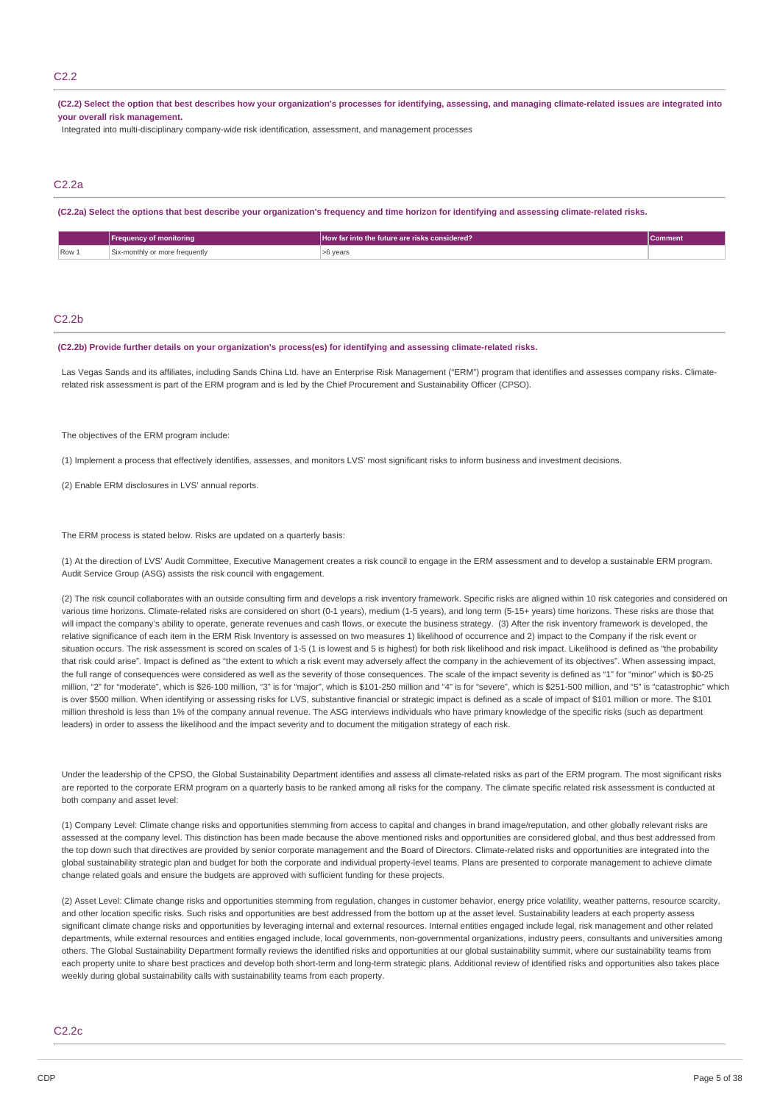### C2.2

(C2.2) Select the option that best describes how your organization's processes for identifying, assessing, and managing climate-related issues are integrated into **your overall risk management.**

Integrated into multi-disciplinary company-wide risk identification, assessment, and management processes

## C2.2a

(C2.2a) Select the options that best describe your organization's frequency and time horizon for identifying and assessing climate-related risks.

|       | ⊁requency.<br>/ of monitorina            | LHow far into the future are risks considered? I | <b>Comment</b> |
|-------|------------------------------------------|--------------------------------------------------|----------------|
| Row 1 | r more freauently<br>Six-m<br>. -monthly | ∙6 years                                         |                |

#### C2.2b

#### **(C2.2b) Provide further details on your organization's process(es) for identifying and assessing climate-related risks.**

Las Vegas Sands and its affiliates, including Sands China Ltd. have an Enterprise Risk Management ("ERM") program that identifies and assesses company risks. Climaterelated risk assessment is part of the ERM program and is led by the Chief Procurement and Sustainability Officer (CPSO).

The objectives of the ERM program include:

(1) Implement a process that effectively identifies, assesses, and monitors LVS' most significant risks to inform business and investment decisions.

(2) Enable ERM disclosures in LVS' annual reports.

The ERM process is stated below. Risks are updated on a quarterly basis:

(1) At the direction of LVS' Audit Committee, Executive Management creates a risk council to engage in the ERM assessment and to develop a sustainable ERM program. Audit Service Group (ASG) assists the risk council with engagement.

(2) The risk council collaborates with an outside consulting firm and develops a risk inventory framework. Specific risks are aligned within 10 risk categories and considered on various time horizons. Climate-related risks are considered on short (0-1 years), medium (1-5 years), and long term (5-15+ years) time horizons. These risks are those that will impact the company's ability to operate, generate revenues and cash flows, or execute the business strategy. (3) After the risk inventory framework is developed, the relative significance of each item in the ERM Risk Inventory is assessed on two measures 1) likelihood of occurrence and 2) impact to the Company if the risk event or situation occurs. The risk assessment is scored on scales of 1-5 (1 is lowest and 5 is highest) for both risk likelihood and risk impact. Likelihood is defined as "the probability that risk could arise". Impact is defined as "the extent to which a risk event may adversely affect the company in the achievement of its objectives". When assessing impact, the full range of consequences were considered as well as the severity of those consequences. The scale of the impact severity is defined as "1" for "minor" which is \$0-25 million, "2" for "moderate", which is \$26-100 million, "3" is for "major", which is \$101-250 million and "4" is for "severe", which is \$251-500 million, and "5" is "catastrophic" which is over \$500 million. When identifying or assessing risks for LVS, substantive financial or strategic impact is defined as a scale of impact of \$101 million or more. The \$101 million threshold is less than 1% of the company annual revenue. The ASG interviews individuals who have primary knowledge of the specific risks (such as department leaders) in order to assess the likelihood and the impact severity and to document the mitigation strategy of each risk.

Under the leadership of the CPSO, the Global Sustainability Department identifies and assess all climate-related risks as part of the ERM program. The most significant risks are reported to the corporate ERM program on a quarterly basis to be ranked among all risks for the company. The climate specific related risk assessment is conducted at both company and asset level:

(1) Company Level: Climate change risks and opportunities stemming from access to capital and changes in brand image/reputation, and other globally relevant risks are assessed at the company level. This distinction has been made because the above mentioned risks and opportunities are considered global, and thus best addressed from the top down such that directives are provided by senior corporate management and the Board of Directors. Climate-related risks and opportunities are integrated into the global sustainability strategic plan and budget for both the corporate and individual property-level teams. Plans are presented to corporate management to achieve climate change related goals and ensure the budgets are approved with sufficient funding for these projects.

(2) Asset Level: Climate change risks and opportunities stemming from regulation, changes in customer behavior, energy price volatility, weather patterns, resource scarcity, and other location specific risks. Such risks and opportunities are best addressed from the bottom up at the asset level. Sustainability leaders at each property assess significant climate change risks and opportunities by leveraging internal and external resources. Internal entities engaged include legal, risk management and other related departments, while external resources and entities engaged include, local governments, non-governmental organizations, industry peers, consultants and universities among others. The Global Sustainability Department formally reviews the identified risks and opportunities at our global sustainability summit, where our sustainability teams from each property unite to share best practices and develop both short-term and long-term strategic plans. Additional review of identified risks and opportunities also takes place weekly during global sustainability calls with sustainability teams from each property.

#### C2.2c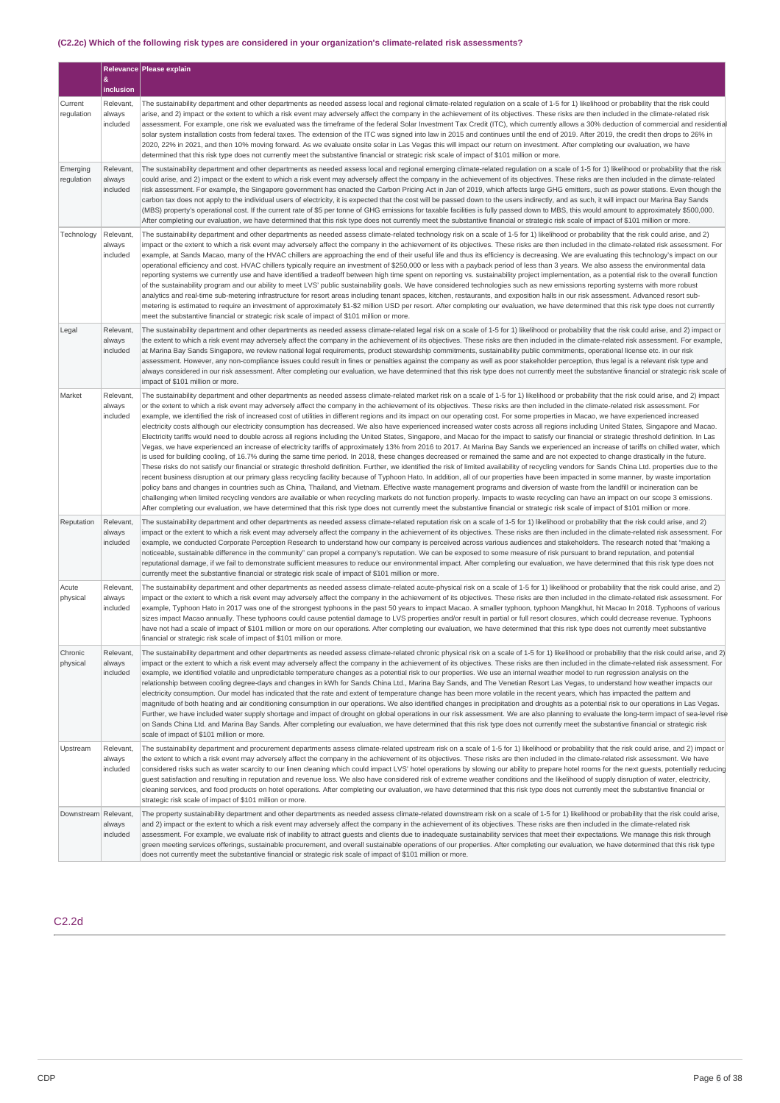# **(C2.2c) Which of the following risk types are considered in your organization's climate-related risk assessments?**

|                        | &                               | Relevance Please explain                                                                                                                                                                                                                                                                                                                                                                                                                                                                                                                                                                                                                                                                                                                                                                                                                                                                                                                                                                                                                                                                                                                                                                                                                                                                                                                                                                                                                                                                                                                                                                                                                                                                                                                                                                                                                                                                                                                                                                                                                                                                                                                                                                                                                                                                                                        |
|------------------------|---------------------------------|---------------------------------------------------------------------------------------------------------------------------------------------------------------------------------------------------------------------------------------------------------------------------------------------------------------------------------------------------------------------------------------------------------------------------------------------------------------------------------------------------------------------------------------------------------------------------------------------------------------------------------------------------------------------------------------------------------------------------------------------------------------------------------------------------------------------------------------------------------------------------------------------------------------------------------------------------------------------------------------------------------------------------------------------------------------------------------------------------------------------------------------------------------------------------------------------------------------------------------------------------------------------------------------------------------------------------------------------------------------------------------------------------------------------------------------------------------------------------------------------------------------------------------------------------------------------------------------------------------------------------------------------------------------------------------------------------------------------------------------------------------------------------------------------------------------------------------------------------------------------------------------------------------------------------------------------------------------------------------------------------------------------------------------------------------------------------------------------------------------------------------------------------------------------------------------------------------------------------------------------------------------------------------------------------------------------------------|
|                        | inclusion                       |                                                                                                                                                                                                                                                                                                                                                                                                                                                                                                                                                                                                                                                                                                                                                                                                                                                                                                                                                                                                                                                                                                                                                                                                                                                                                                                                                                                                                                                                                                                                                                                                                                                                                                                                                                                                                                                                                                                                                                                                                                                                                                                                                                                                                                                                                                                                 |
| Current<br>regulation  | Relevant,<br>always<br>included | The sustainability department and other departments as needed assess local and regional climate-related requlation on a scale of 1-5 for 1) likelihood or probability that the risk could<br>arise, and 2) impact or the extent to which a risk event may adversely affect the company in the achievement of its objectives. These risks are then included in the climate-related risk<br>assessment. For example, one risk we evaluated was the timeframe of the federal Solar Investment Tax Credit (ITC), which currently allows a 30% deduction of commercial and residential<br>solar system installation costs from federal taxes. The extension of the ITC was signed into law in 2015 and continues until the end of 2019. After 2019, the credit then drops to 26% in<br>2020, 22% in 2021, and then 10% moving forward. As we evaluate onsite solar in Las Vegas this will impact our return on investment. After completing our evaluation, we have<br>determined that this risk type does not currently meet the substantive financial or strategic risk scale of impact of \$101 million or more.                                                                                                                                                                                                                                                                                                                                                                                                                                                                                                                                                                                                                                                                                                                                                                                                                                                                                                                                                                                                                                                                                                                                                                                                                  |
| Emerging<br>regulation | Relevant,<br>always<br>included | The sustainability department and other departments as needed assess local and regional emerging climate-related regulation on a scale of 1-5 for 1) likelihood or probability that the risk<br>could arise, and 2) impact or the extent to which a risk event may adversely affect the company in the achievement of its objectives. These risks are then included in the climate-related<br>risk assessment. For example, the Singapore government has enacted the Carbon Pricing Act in Jan of 2019, which affects large GHG emitters, such as power stations. Even though the<br>carbon tax does not apply to the individual users of electricity, it is expected that the cost will be passed down to the users indirectly, and as such, it will impact our Marina Bay Sands<br>(MBS) property's operational cost. If the current rate of \$5 per tonne of GHG emissions for taxable facilities is fully passed down to MBS, this would amount to approximately \$500,000.<br>After completing our evaluation, we have determined that this risk type does not currently meet the substantive financial or strategic risk scale of impact of \$101 million or more.                                                                                                                                                                                                                                                                                                                                                                                                                                                                                                                                                                                                                                                                                                                                                                                                                                                                                                                                                                                                                                                                                                                                                        |
| Technology             | Relevant,<br>always<br>included | The sustainability department and other departments as needed assess climate-related technology risk on a scale of 1-5 for 1) likelihood or probability that the risk could arise, and 2)<br>impact or the extent to which a risk event may adversely affect the company in the achievement of its objectives. These risks are then included in the climate-related risk assessment. For<br>example, at Sands Macao, many of the HVAC chillers are approaching the end of their useful life and thus its efficiency is decreasing. We are evaluating this technology's impact on our<br>operational efficiency and cost. HVAC chillers typically require an investment of \$250,000 or less with a payback period of less than 3 years. We also assess the environmental data<br>reporting systems we currently use and have identified a tradeoff between high time spent on reporting vs. sustainability project implementation, as a potential risk to the overall function<br>of the sustainability program and our ability to meet LVS' public sustainability goals. We have considered technologies such as new emissions reporting systems with more robust<br>analytics and real-time sub-metering infrastructure for resort areas including tenant spaces, kitchen, restaurants, and exposition halls in our risk assessment. Advanced resort sub-<br>metering is estimated to require an investment of approximately \$1-\$2 million USD per resort. After completing our evaluation, we have determined that this risk type does not currently<br>meet the substantive financial or strategic risk scale of impact of \$101 million or more.                                                                                                                                                                                                                                                                                                                                                                                                                                                                                                                                                                                                                                                                         |
| Legal                  | Relevant.<br>always<br>included | The sustainability department and other departments as needed assess climate-related legal risk on a scale of 1-5 for 1) likelihood or probability that the risk could arise, and 2) impact or<br>the extent to which a risk event may adversely affect the company in the achievement of its objectives. These risks are then included in the climate-related risk assessment. For example,<br>at Marina Bay Sands Singapore, we review national legal requirements, product stewardship commitments, sustainability public commitments, operational license etc. in our risk<br>assessment. However, any non-compliance issues could result in fines or penalties against the company as well as poor stakeholder perception, thus legal is a relevant risk type and<br>always considered in our risk assessment. After completing our evaluation, we have determined that this risk type does not currently meet the substantive financial or strategic risk scale of<br>impact of \$101 million or more.                                                                                                                                                                                                                                                                                                                                                                                                                                                                                                                                                                                                                                                                                                                                                                                                                                                                                                                                                                                                                                                                                                                                                                                                                                                                                                                    |
| Market                 | Relevant.<br>always<br>included | The sustainability department and other departments as needed assess climate-related market risk on a scale of 1-5 for 1) likelihood or probability that the risk could arise, and 2) impact<br>or the extent to which a risk event may adversely affect the company in the achievement of its objectives. These risks are then included in the climate-related risk assessment. For<br>example, we identified the risk of increased cost of utilities in different regions and its impact on our operating cost. For some properties in Macao, we have experienced increased<br>electricity costs although our electricity consumption has decreased. We also have experienced increased water costs across all regions including United States, Singapore and Macao.<br>Electricity tariffs would need to double across all regions including the United States, Singapore, and Macao for the impact to satisfy our financial or strategic threshold definition. In Las<br>Vegas, we have experienced an increase of electricity tariffs of approximately 13% from 2016 to 2017. At Marina Bay Sands we experienced an increase of tariffs on chilled water, which<br>is used for building cooling, of 16.7% during the same time period. In 2018, these changes decreased or remained the same and are not expected to change drastically in the future.<br>These risks do not satisfy our financial or strategic threshold definition. Further, we identified the risk of limited availability of recycling vendors for Sands China Ltd. properties due to the<br>recent business disruption at our primary glass recycling facility because of Typhoon Hato. In addition, all of our properties have been impacted in some manner, by waste importation<br>policy bans and changes in countries such as China, Thailand, and Vietnam. Effective waste management programs and diversion of waste from the landfill or incineration can be<br>challenging when limited recycling vendors are available or when recycling markets do not function properly. Impacts to waste recycling can have an impact on our scope 3 emissions.<br>After completing our evaluation, we have determined that this risk type does not currently meet the substantive financial or strategic risk scale of impact of \$101 million or more. |
| Reputation             | Relevant,<br>always<br>included | The sustainability department and other departments as needed assess climate-related reputation risk on a scale of 1-5 for 1) likelihood or probability that the risk could arise, and 2)<br>impact or the extent to which a risk event may adversely affect the company in the achievement of its objectives. These risks are then included in the climate-related risk assessment. For<br>example, we conducted Corporate Perception Research to understand how our company is perceived across various audiences and stakeholders. The research noted that "making a<br>noticeable, sustainable difference in the community" can propel a company's reputation. We can be exposed to some measure of risk pursuant to brand reputation, and potential<br>reputational damage, if we fail to demonstrate sufficient measures to reduce our environmental impact. After completing our evaluation, we have determined that this risk type does not<br>currently meet the substantive financial or strategic risk scale of impact of \$101 million or more.                                                                                                                                                                                                                                                                                                                                                                                                                                                                                                                                                                                                                                                                                                                                                                                                                                                                                                                                                                                                                                                                                                                                                                                                                                                                     |
| Acute<br>physical      | Relevant,<br>always<br>included | The sustainability department and other departments as needed assess climate-related acute-physical risk on a scale of 1-5 for 1) likelihood or probability that the risk could arise, and 2)<br>impact or the extent to which a risk event may adversely affect the company in the achievement of its objectives. These risks are then included in the climate-related risk assessment. For<br>example, Typhoon Hato in 2017 was one of the strongest typhoons in the past 50 years to impact Macao. A smaller typhoon, typhoon Mangkhut, hit Macao In 2018. Typhoons of various<br>sizes impact Macao annually. These typhoons could cause potential damage to LVS properties and/or result in partial or full resort closures, which could decrease revenue. Typhoons<br>have not had a scale of impact of \$101 million or more on our operations. After completing our evaluation, we have determined that this risk type does not currently meet substantive<br>financial or strategic risk scale of impact of \$101 million or more.                                                                                                                                                                                                                                                                                                                                                                                                                                                                                                                                                                                                                                                                                                                                                                                                                                                                                                                                                                                                                                                                                                                                                                                                                                                                                     |
| Chronic<br>physical    | Relevant,<br>always<br>included | The sustainability department and other departments as needed assess climate-related chronic physical risk on a scale of 1-5 for 1) likelihood or probability that the risk could arise, and 2)<br>impact or the extent to which a risk event may adversely affect the company in the achievement of its objectives. These risks are then included in the climate-related risk assessment. For<br>example, we identified volatile and unpredictable temperature changes as a potential risk to our properties. We use an internal weather model to run regression analysis on the<br>relationship between cooling degree-days and changes in kWh for Sands China Ltd., Marina Bay Sands, and The Venetian Resort Las Vegas, to understand how weather impacts our<br>electricity consumption. Our model has indicated that the rate and extent of temperature change has been more volatile in the recent years, which has impacted the pattern and<br>magnitude of both heating and air conditioning consumption in our operations. We also identified changes in precipitation and droughts as a potential risk to our operations in Las Vegas.<br>Further, we have included water supply shortage and impact of drought on global operations in our risk assessment. We are also planning to evaluate the long-term impact of sea-level rise<br>on Sands China Ltd. and Marina Bay Sands. After completing our evaluation, we have determined that this risk type does not currently meet the substantive financial or strategic risk<br>scale of impact of \$101 million or more.                                                                                                                                                                                                                                                                                                                                                                                                                                                                                                                                                                                                                                                                                                                                           |
| Upstream               | Relevant,<br>always<br>included | The sustainability department and procurement departments assess climate-related upstream risk on a scale of 1-5 for 1) likelihood or probability that the risk could arise, and 2) impact or<br>the extent to which a risk event may adversely affect the company in the achievement of its objectives. These risks are then included in the climate-related risk assessment. We have<br>considered risks such as water scarcity to our linen cleaning which could impact LVS' hotel operations by slowing our ability to prepare hotel rooms for the next guests, potentially reducing<br>guest satisfaction and resulting in reputation and revenue loss. We also have considered risk of extreme weather conditions and the likelihood of supply disruption of water, electricity,<br>cleaning services, and food products on hotel operations. After completing our evaluation, we have determined that this risk type does not currently meet the substantive financial or<br>strategic risk scale of impact of \$101 million or more.                                                                                                                                                                                                                                                                                                                                                                                                                                                                                                                                                                                                                                                                                                                                                                                                                                                                                                                                                                                                                                                                                                                                                                                                                                                                                    |
| Downstream Relevant.   | always<br>included              | The property sustainability department and other departments as needed assess climate-related downstream risk on a scale of 1-5 for 1) likelihood or probability that the risk could arise.<br>and 2) impact or the extent to which a risk event may adversely affect the company in the achievement of its objectives. These risks are then included in the climate-related risk<br>assessment. For example, we evaluate risk of inability to attract guests and clients due to inadequate sustainability services that meet their expectations. We manage this risk through<br>green meeting services offerings, sustainable procurement, and overall sustainable operations of our properties. After completing our evaluation, we have determined that this risk type<br>does not currently meet the substantive financial or strategic risk scale of impact of \$101 million or more.                                                                                                                                                                                                                                                                                                                                                                                                                                                                                                                                                                                                                                                                                                                                                                                                                                                                                                                                                                                                                                                                                                                                                                                                                                                                                                                                                                                                                                      |

# C2.2d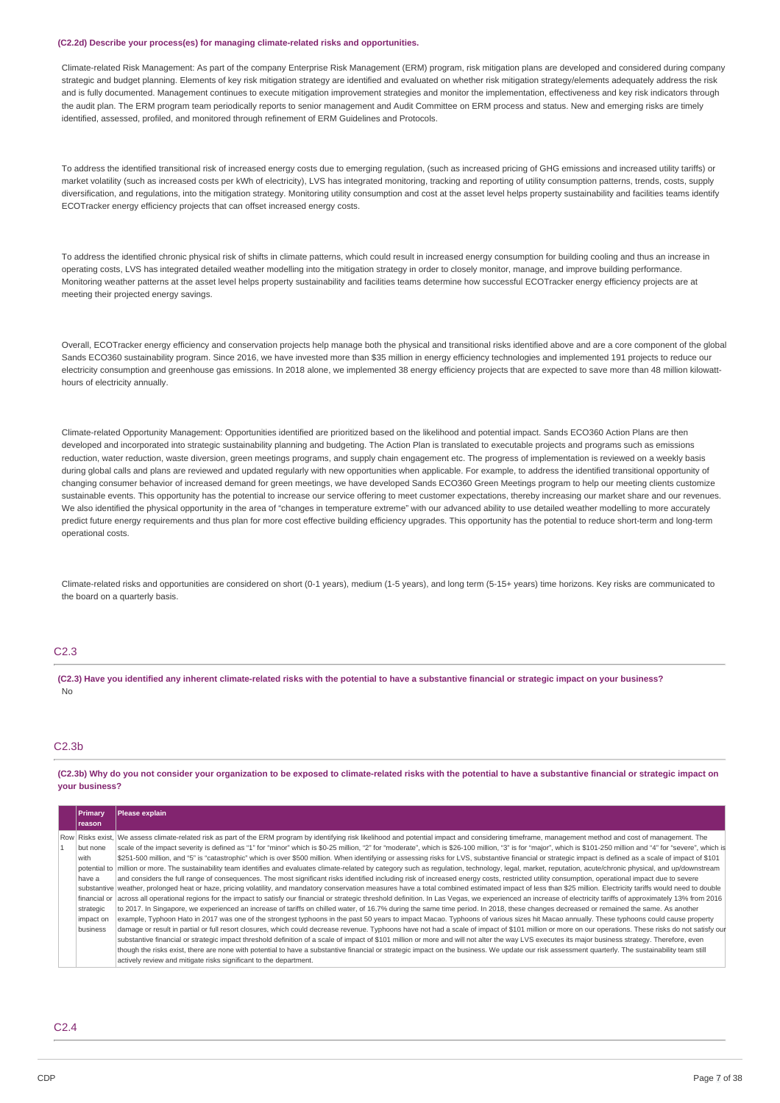#### **(C2.2d) Describe your process(es) for managing climate-related risks and opportunities.**

Climate-related Risk Management: As part of the company Enterprise Risk Management (ERM) program, risk mitigation plans are developed and considered during company strategic and budget planning. Elements of key risk mitigation strategy are identified and evaluated on whether risk mitigation strategy/elements adequately address the risk and is fully documented. Management continues to execute mitigation improvement strategies and monitor the implementation, effectiveness and key risk indicators through the audit plan. The ERM program team periodically reports to senior management and Audit Committee on ERM process and status. New and emerging risks are timely identified, assessed, profiled, and monitored through refinement of ERM Guidelines and Protocols.

To address the identified transitional risk of increased energy costs due to emerging regulation, (such as increased pricing of GHG emissions and increased utility tariffs) or market volatility (such as increased costs per kWh of electricity), LVS has integrated monitoring, tracking and reporting of utility consumption patterns, trends, costs, supply diversification, and regulations, into the mitigation strategy. Monitoring utility consumption and cost at the asset level helps property sustainability and facilities teams identify ECOTracker energy efficiency projects that can offset increased energy costs.

To address the identified chronic physical risk of shifts in climate patterns, which could result in increased energy consumption for building cooling and thus an increase in operating costs, LVS has integrated detailed weather modelling into the mitigation strategy in order to closely monitor, manage, and improve building performance. Monitoring weather patterns at the asset level helps property sustainability and facilities teams determine how successful ECOTracker energy efficiency projects are at meeting their projected energy savings.

Overall, ECOTracker energy efficiency and conservation projects help manage both the physical and transitional risks identified above and are a core component of the global Sands ECO360 sustainability program. Since 2016, we have invested more than \$35 million in energy efficiency technologies and implemented 191 projects to reduce our electricity consumption and greenhouse gas emissions. In 2018 alone, we implemented 38 energy efficiency projects that are expected to save more than 48 million kilowatthours of electricity annually.

Climate-related Opportunity Management: Opportunities identified are prioritized based on the likelihood and potential impact. Sands ECO360 Action Plans are then developed and incorporated into strategic sustainability planning and budgeting. The Action Plan is translated to executable projects and programs such as emissions reduction, water reduction, waste diversion, green meetings programs, and supply chain engagement etc. The progress of implementation is reviewed on a weekly basis during global calls and plans are reviewed and updated regularly with new opportunities when applicable. For example, to address the identified transitional opportunity of changing consumer behavior of increased demand for green meetings, we have developed Sands ECO360 Green Meetings program to help our meeting clients customize sustainable events. This opportunity has the potential to increase our service offering to meet customer expectations, thereby increasing our market share and our revenues. We also identified the physical opportunity in the area of "changes in temperature extreme" with our advanced ability to use detailed weather modelling to more accurately predict future energy requirements and thus plan for more cost effective building efficiency upgrades. This opportunity has the potential to reduce short-term and long-term operational costs.

Climate-related risks and opportunities are considered on short (0-1 years), medium (1-5 years), and long term (5-15+ years) time horizons. Key risks are communicated to the board on a quarterly basis.

## C2.3

(C2.3) Have you identified any inherent climate-related risks with the potential to have a substantive financial or strategic impact on your business? No

# C2.3b

(C2.3b) Why do you not consider your organization to be exposed to climate-related risks with the potential to have a substantive financial or strategic impact on **your business?**

| Primary       | Please explain                                                                                                                                                                                                   |
|---------------|------------------------------------------------------------------------------------------------------------------------------------------------------------------------------------------------------------------|
| <b>reason</b> |                                                                                                                                                                                                                  |
|               | Row Risks exist, We assess climate-related risk as part of the ERM program by identifying risk likelihood and potential impact and considering timeframe, management method and cost of management. The          |
| but none      | scale of the impact severity is defined as "1" for "minor" which is \$0-25 million, "2" for "moderate", which is \$26-100 million, "3" is for "major", which is \$101-250 million and "4" for "severe", which is |
| with          | \$251-500 million, and "5" is "catastrophic" which is over \$500 million. When identifying or assessing risks for LVS, substantive financial or strategic impact is defined as a scale of impact of \$101        |
|               | potential to  million or more. The sustainability team identifies and evaluates climate-related by category such as regulation, technology, legal, market, reputation, acute/chronic physical, and up/downstream |
| have a        | and considers the full range of consequences. The most significant risks identified including risk of increased energy costs, restricted utility consumption, operational impact due to severe                   |
|               | substantive weather, prolonged heat or haze, pricing volatility, and mandatory conservation measures have a total combined estimated impact of less than \$25 million. Electricity tariffs would need to double  |
| financial or  | across all operational regions for the impact to satisfy our financial or strategic threshold definition. In Las Vegas, we experienced an increase of electricity tariffs of approximately 13% from 2016         |
| strategic     | to 2017. In Singapore, we experienced an increase of tariffs on chilled water, of 16.7% during the same time period. In 2018, these changes decreased or remained the same. As another                           |
| impact on     | example, Typhoon Hato in 2017 was one of the strongest typhoons in the past 50 years to impact Macao. Typhoons of various sizes hit Macao annually. These typhoons could cause property                          |
| business      | damage or result in partial or full resort closures, which could decrease revenue. Typhoons have not had a scale of impact of \$101 million or more on our operations. These risks do not satisfy our            |
|               | substantive financial or strategic impact threshold definition of a scale of impact of \$101 million or more and will not alter the way LVS executes its major business strategy. Therefore, even                |
|               | though the risks exist, there are none with potential to have a substantive financial or strategic impact on the business. We update our risk assessment quarterly. The sustainability team still                |
|               | actively review and mitigate risks significant to the department.                                                                                                                                                |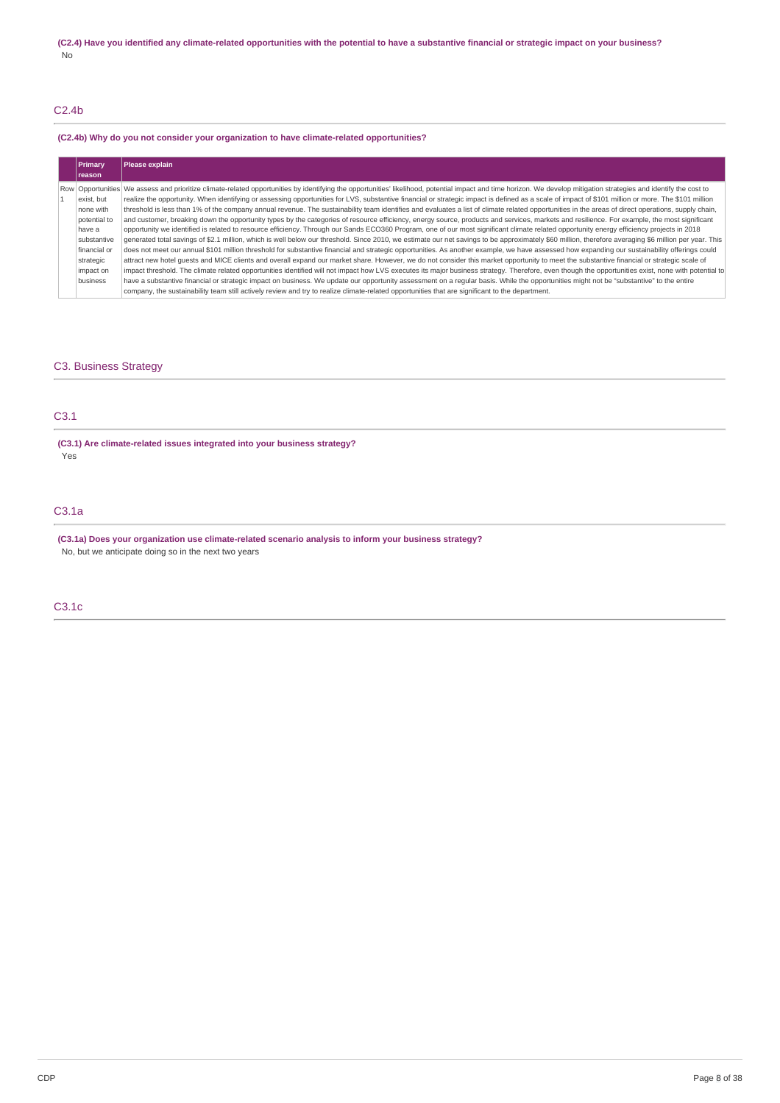# C2.4b

## **(C2.4b) Why do you not consider your organization to have climate-related opportunities?**

| Primary<br>Ireason | Please explain                                                                                                                                                                                                      |
|--------------------|---------------------------------------------------------------------------------------------------------------------------------------------------------------------------------------------------------------------|
|                    |                                                                                                                                                                                                                     |
|                    | Row Opportunities We assess and prioritize climate-related opportunities by identifying the opportunities' likelihood, potential impact and time horizon. We develop mitigation strategies and identify the cost to |
| exist, but         | realize the opportunity. When identifying or assessing opportunities for LVS, substantive financial or strategic impact is defined as a scale of impact of \$101 million or more. The \$101 million                 |
| none with          | threshold is less than 1% of the company annual revenue. The sustainability team identifies and evaluates a list of climate related opportunities in the areas of direct operations, supply chain,                  |
| potential to       | and customer, breaking down the opportunity types by the categories of resource efficiency, energy source, products and services, markets and resilience. For example, the most significant                         |
| have a             | opportunity we identified is related to resource efficiency. Through our Sands ECO360 Program, one of our most significant climate related opportunity energy efficiency projects in 2018                           |
| substantive        | generated total savings of \$2.1 million, which is well below our threshold. Since 2010, we estimate our net savings to be approximately \$60 million, therefore averaging \$6 million per year. This               |
| financial or       | does not meet our annual \$101 million threshold for substantive financial and strategic opportunities. As another example, we have assessed how expanding our sustainability offerings could                       |
| strategic          | attract new hotel quests and MICE clients and overall expand our market share. However, we do not consider this market opportunity to meet the substantive financial or strategic scale of                          |
| impact on          | impact threshold. The climate related opportunities identified will not impact how LVS executes its major business strategy. Therefore, even though the opportunities exist, none with potential to                 |
| business           | have a substantive financial or strategic impact on business. We update our opportunity assessment on a regular basis. While the opportunities might not be "substantive" to the entire                             |
|                    | company, the sustainability team still actively review and try to realize climate-related opportunities that are significant to the department.                                                                     |

# C3. Business Strategy

# C3.1

**(C3.1) Are climate-related issues integrated into your business strategy?** Yes

# C3.1a

**(C3.1a) Does your organization use climate-related scenario analysis to inform your business strategy?** No, but we anticipate doing so in the next two years

# C3.1c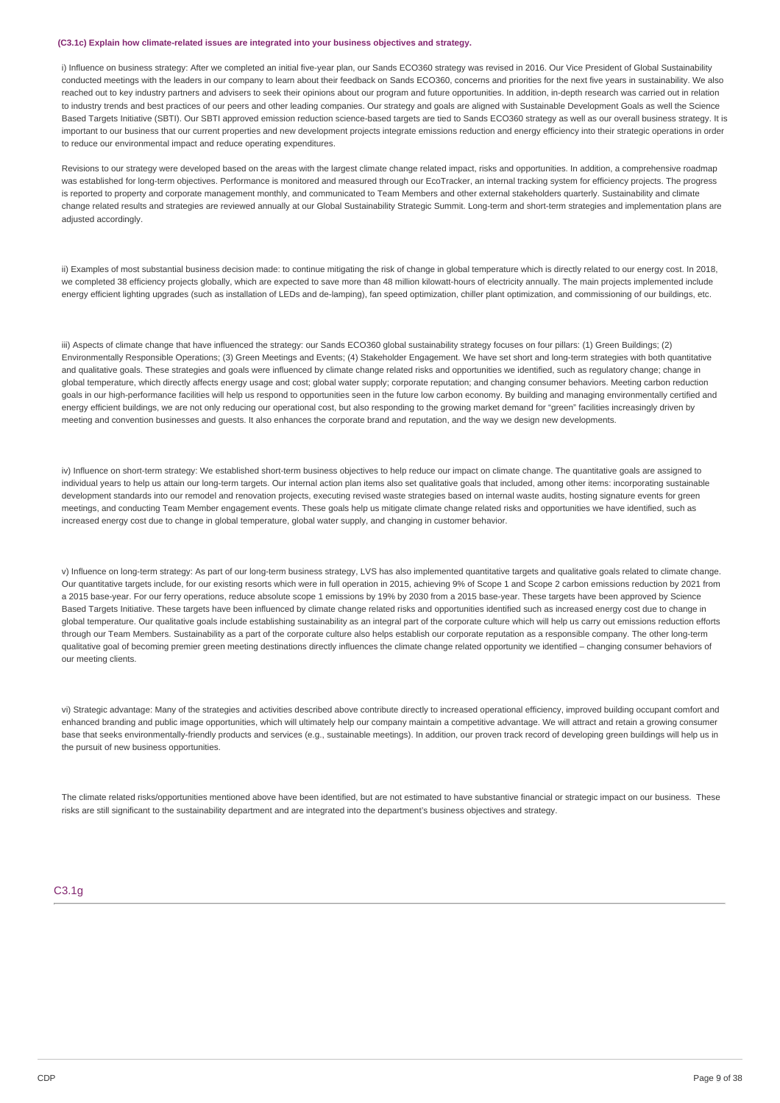#### **(C3.1c) Explain how climate-related issues are integrated into your business objectives and strategy.**

i) Influence on business strategy: After we completed an initial five-year plan, our Sands ECO360 strategy was revised in 2016, Our Vice President of Global Sustainability conducted meetings with the leaders in our company to learn about their feedback on Sands ECO360, concerns and priorities for the next five years in sustainability. We also reached out to key industry partners and advisers to seek their opinions about our program and future opportunities. In addition, in-depth research was carried out in relation to industry trends and best practices of our peers and other leading companies. Our strategy and goals are aligned with Sustainable Development Goals as well the Science Based Targets Initiative (SBTI). Our SBTI approved emission reduction science-based targets are tied to Sands ECO360 strategy as well as our overall business strategy. It is important to our business that our current properties and new development projects integrate emissions reduction and energy efficiency into their strategic operations in order to reduce our environmental impact and reduce operating expenditures.

Revisions to our strategy were developed based on the areas with the largest climate change related impact, risks and opportunities. In addition, a comprehensive roadmap was established for long-term objectives. Performance is monitored and measured through our EcoTracker, an internal tracking system for efficiency projects. The progress is reported to property and corporate management monthly, and communicated to Team Members and other external stakeholders quarterly. Sustainability and climate change related results and strategies are reviewed annually at our Global Sustainability Strategic Summit. Long-term and short-term strategies and implementation plans are adjusted accordingly.

ii) Examples of most substantial business decision made: to continue mitigating the risk of change in global temperature which is directly related to our energy cost. In 2018, we completed 38 efficiency projects globally, which are expected to save more than 48 million kilowatt-hours of electricity annually. The main projects implemented include energy efficient lighting upgrades (such as installation of LEDs and de-lamping), fan speed optimization, chiller plant optimization, and commissioning of our buildings, etc.

iii) Aspects of climate change that have influenced the strategy: our Sands ECO360 global sustainability strategy focuses on four pillars: (1) Green Buildings; (2) Environmentally Responsible Operations; (3) Green Meetings and Events; (4) Stakeholder Engagement. We have set short and long-term strategies with both quantitative and qualitative goals. These strategies and goals were influenced by climate change related risks and opportunities we identified, such as regulatory change; change in global temperature, which directly affects energy usage and cost; global water supply; corporate reputation; and changing consumer behaviors. Meeting carbon reduction goals in our high-performance facilities will help us respond to opportunities seen in the future low carbon economy. By building and managing environmentally certified and energy efficient buildings, we are not only reducing our operational cost, but also responding to the growing market demand for "green" facilities increasingly driven by meeting and convention businesses and guests. It also enhances the corporate brand and reputation, and the way we design new developments.

iv) Influence on short-term strategy: We established short-term business objectives to help reduce our impact on climate change. The quantitative goals are assigned to individual years to help us attain our long-term targets. Our internal action plan items also set qualitative goals that included, among other items: incorporating sustainable development standards into our remodel and renovation projects, executing revised waste strategies based on internal waste audits, hosting signature events for green meetings, and conducting Team Member engagement events. These goals help us mitigate climate change related risks and opportunities we have identified, such as increased energy cost due to change in global temperature, global water supply, and changing in customer behavior.

v) Influence on long-term strategy: As part of our long-term business strategy, LVS has also implemented quantitative targets and qualitative goals related to climate change. Our quantitative targets include, for our existing resorts which were in full operation in 2015, achieving 9% of Scope 1 and Scope 2 carbon emissions reduction by 2021 from a 2015 base-year. For our ferry operations, reduce absolute scope 1 emissions by 19% by 2030 from a 2015 base-year. These targets have been approved by Science Based Targets Initiative. These targets have been influenced by climate change related risks and opportunities identified such as increased energy cost due to change in global temperature. Our qualitative goals include establishing sustainability as an integral part of the corporate culture which will help us carry out emissions reduction efforts through our Team Members. Sustainability as a part of the corporate culture also helps establish our corporate reputation as a responsible company. The other long-term qualitative goal of becoming premier green meeting destinations directly influences the climate change related opportunity we identified - changing consumer behaviors of our meeting clients.

vi) Strategic advantage: Many of the strategies and activities described above contribute directly to increased operational efficiency, improved building occupant comfort and enhanced branding and public image opportunities, which will ultimately help our company maintain a competitive advantage. We will attract and retain a growing consumer base that seeks environmentally-friendly products and services (e.g., sustainable meetings). In addition, our proven track record of developing green buildings will help us in the pursuit of new business opportunities.

The climate related risks/opportunities mentioned above have been identified, but are not estimated to have substantive financial or strategic impact on our business. These risks are still significant to the sustainability department and are integrated into the department's business objectives and strategy.

### C3.1g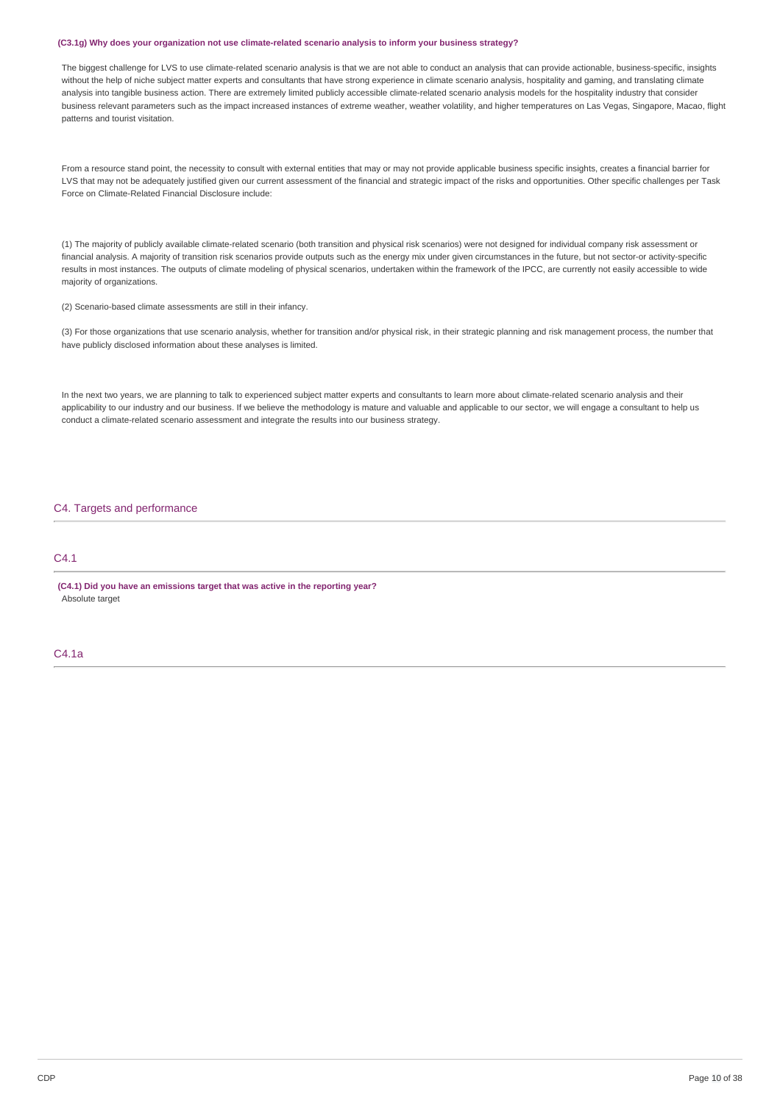#### **(C3.1g) Why does your organization not use climate-related scenario analysis to inform your business strategy?**

The biggest challenge for LVS to use climate-related scenario analysis is that we are not able to conduct an analysis that can provide actionable, business-specific, insights without the help of niche subject matter experts and consultants that have strong experience in climate scenario analysis, hospitality and gaming, and translating climate analysis into tangible business action. There are extremely limited publicly accessible climate-related scenario analysis models for the hospitality industry that consider business relevant parameters such as the impact increased instances of extreme weather, weather volatility, and higher temperatures on Las Vegas, Singapore, Macao, flight patterns and tourist visitation.

From a resource stand point, the necessity to consult with external entities that may or may not provide applicable business specific insights, creates a financial barrier for LVS that may not be adequately justified given our current assessment of the financial and strategic impact of the risks and opportunities. Other specific challenges per Task Force on Climate-Related Financial Disclosure include:

(1) The majority of publicly available climate-related scenario (both transition and physical risk scenarios) were not designed for individual company risk assessment or financial analysis. A majority of transition risk scenarios provide outputs such as the energy mix under given circumstances in the future, but not sector-or activity-specific results in most instances. The outputs of climate modeling of physical scenarios, undertaken within the framework of the IPCC, are currently not easily accessible to wide majority of organizations.

(2) Scenario-based climate assessments are still in their infancy.

(3) For those organizations that use scenario analysis, whether for transition and/or physical risk, in their strategic planning and risk management process, the number that have publicly disclosed information about these analyses is limited.

In the next two years, we are planning to talk to experienced subject matter experts and consultants to learn more about climate-related scenario analysis and their applicability to our industry and our business. If we believe the methodology is mature and valuable and applicable to our sector, we will engage a consultant to help us conduct a climate-related scenario assessment and integrate the results into our business strategy.

# C4. Targets and performance

# C4.1

**(C4.1) Did you have an emissions target that was active in the reporting year?** Absolute target

# C4.1a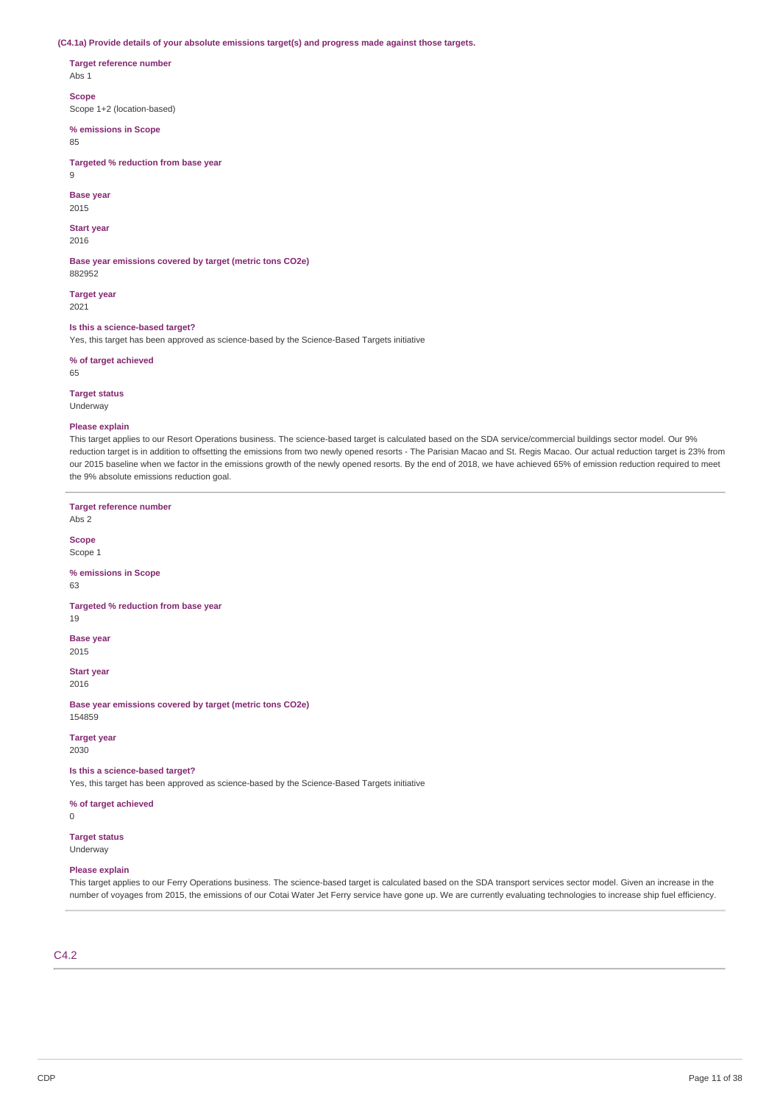**(C4.1a) Provide details of your absolute emissions target(s) and progress made against those targets.**

**Target reference number**

Abs 1

**Scope**

Scope 1+2 (location-based)

**% emissions in Scope**

#### 85

**Targeted % reduction from base year**

 $\alpha$ 

### **Base year**

2015

#### **Start year** 2016

**Base year emissions covered by target (metric tons CO2e)**

882952 **Target year**

2021

**Is this a science-based target?**

Yes, this target has been approved as science-based by the Science-Based Targets initiative

**% of target achieved**

65

# **Target status**

Underway

## **Please explain**

This target applies to our Resort Operations business. The science-based target is calculated based on the SDA service/commercial buildings sector model. Our 9% reduction target is in addition to offsetting the emissions from two newly opened resorts - The Parisian Macao and St. Regis Macao. Our actual reduction target is 23% from our 2015 baseline when we factor in the emissions growth of the newly opened resorts. By the end of 2018, we have achieved 65% of emission reduction required to meet the 9% absolute emissions reduction goal.

**Target reference number** Abs 2 **Scope** Scope 1 **% emissions in Scope** 63 **Targeted % reduction from base year** 19 **Base year** 2015 **Start year** 2016 **Base year emissions covered by target (metric tons CO2e)** 154859 **Target year** 2030 **Is this a science-based target?** Yes, this target has been approved as science-based by the Science-Based Targets initiative **% of target achieved**  $\overline{0}$ **Target status** Underway

### **Please explain**

This target applies to our Ferry Operations business. The science-based target is calculated based on the SDA transport services sector model. Given an increase in the number of voyages from 2015, the emissions of our Cotai Water Jet Ferry service have gone up. We are currently evaluating technologies to increase ship fuel efficiency.

# C4.2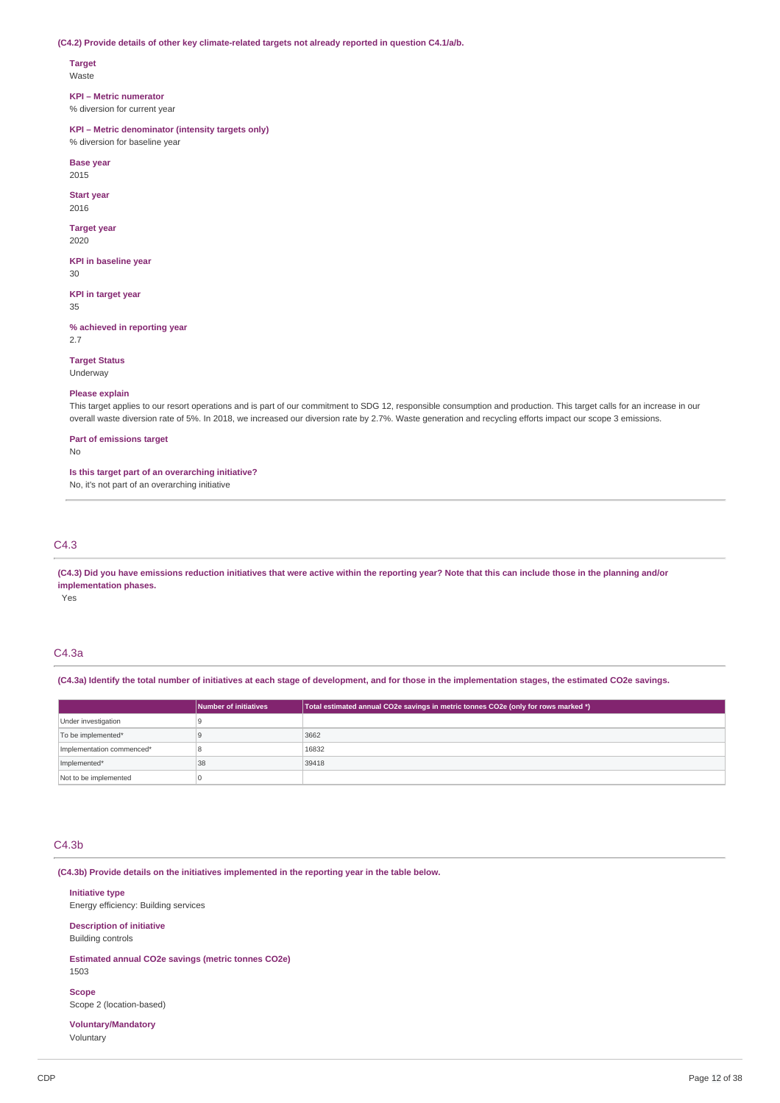### **(C4.2) Provide details of other key climate-related targets not already reported in question C4.1/a/b.**

# **Target**

Waste

### **KPI – Metric numerator**

% diversion for current year

#### **KPI – Metric denominator (intensity targets only)**

% diversion for baseline year

**Base year** 2015

**Start year**

2016

# **Target year**

2020

**KPI in baseline year** 30

**KPI in target year**

35

**% achieved in reporting year** 2.7

**Target Status**

Underway

### **Please explain**

This target applies to our resort operations and is part of our commitment to SDG 12, responsible consumption and production. This target calls for an increase in our overall waste diversion rate of 5%. In 2018, we increased our diversion rate by 2.7%. Waste generation and recycling efforts impact our scope 3 emissions.

### **Part of emissions target**

No

### **Is this target part of an overarching initiative?**

No, it's not part of an overarching initiative

# C4.3

(C4.3) Did you have emissions reduction initiatives that were active within the reporting year? Note that this can include those in the planning and/or **implementation phases.**

Yes

# C4.3a

(C4.3a) Identify the total number of initiatives at each stage of development, and for those in the implementation stages, the estimated CO2e savings.

|                           | Number of initiatives | Total estimated annual CO2e savings in metric tonnes CO2e (only for rows marked *) |
|---------------------------|-----------------------|------------------------------------------------------------------------------------|
| Under investigation       |                       |                                                                                    |
| To be implemented*        |                       | 3662                                                                               |
| Implementation commenced* |                       | 16832                                                                              |
| Implemented*              | 38                    | 39418                                                                              |
| Not to be implemented     |                       |                                                                                    |

# C4.3b

**(C4.3b) Provide details on the initiatives implemented in the reporting year in the table below.**

### **Initiative type**

Energy efficiency: Building services

### **Description of initiative** Building controls

**Estimated annual CO2e savings (metric tonnes CO2e)** 1503

### **Scope**

Scope 2 (location-based)

### **Voluntary/Mandatory** Voluntary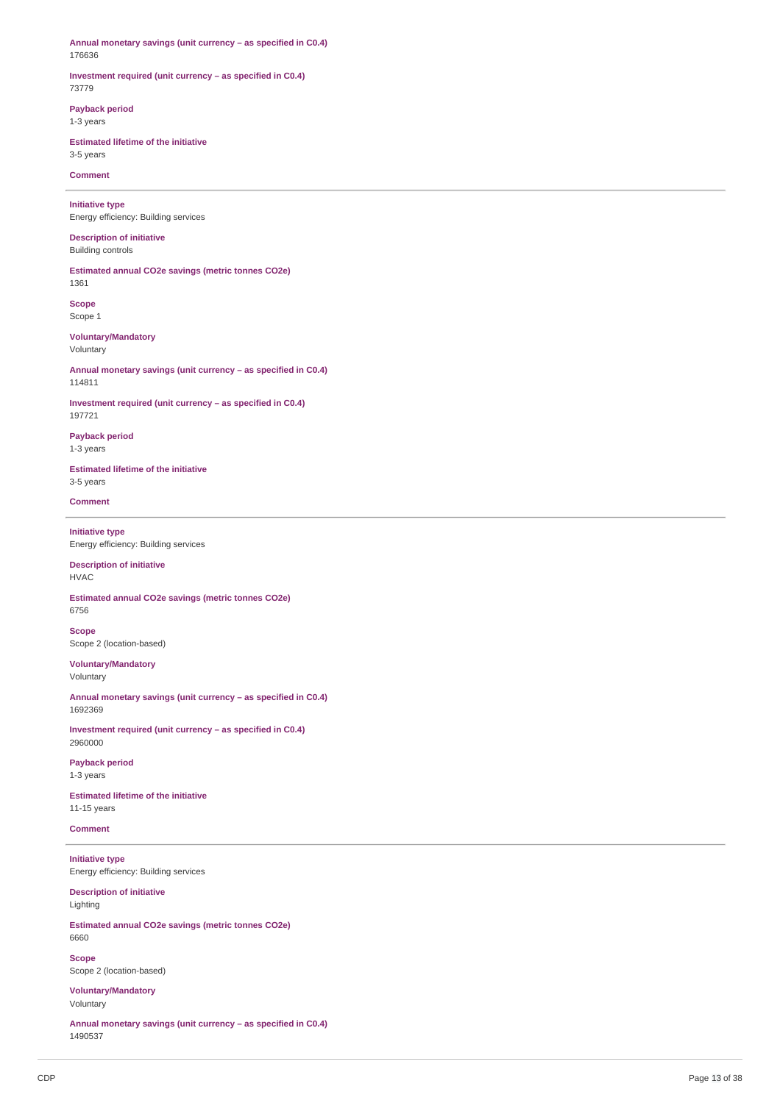**Annual monetary savings (unit currency – as specified in C0.4)** 176636

### **Investment required (unit currency – as specified in C0.4)** 73779

**Payback period**

1-3 years

**Estimated lifetime of the initiative** 3-5 years

**Comment**

**Initiative type** Energy efficiency: Building services

**Description of initiative** Building controls

**Estimated annual CO2e savings (metric tonnes CO2e)** 1361

**Scope** Scope 1

**Voluntary/Mandatory** Voluntary

**Annual monetary savings (unit currency – as specified in C0.4)** 114811

**Investment required (unit currency – as specified in C0.4)** 197721

**Payback period** 1-3 years

**Estimated lifetime of the initiative** 3-5 years

**Comment**

**Initiative type** Energy efficiency: Building services

**Description of initiative** HVAC

**Estimated annual CO2e savings (metric tonnes CO2e)** 6756

**Scope** Scope 2 (location-based)

**Voluntary/Mandatory** Voluntary

**Annual monetary savings (unit currency – as specified in C0.4)** 1692369

**Investment required (unit currency – as specified in C0.4)** 2960000

**Payback period** 1-3 years

**Estimated lifetime of the initiative** 11-15 years

**Comment**

**Initiative type** Energy efficiency: Building services

**Description of initiative** Lighting

**Estimated annual CO2e savings (metric tonnes CO2e)** 6660

**Scope** Scope 2 (location-based)

**Voluntary/Mandatory** Voluntary

**Annual monetary savings (unit currency – as specified in C0.4)** 1490537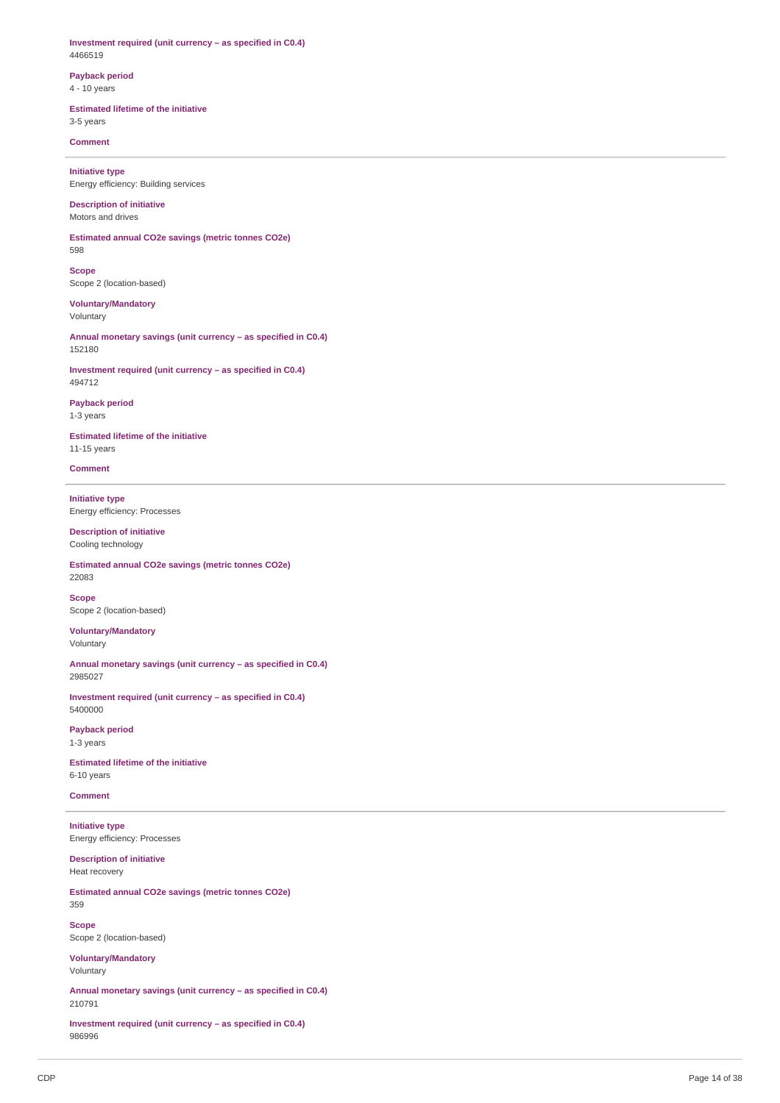**Investment required (unit currency – as specified in C0.4)** 4466519

## **Payback period** 4 - 10 years

# **Estimated lifetime of the initiative**

3-5 years

# **Comment**

**Initiative type** Energy efficiency: Building services

#### **Description of initiative** Motors and drives

**Estimated annual CO2e savings (metric tonnes CO2e)** 598

**Scope** Scope 2 (location-based)

**Voluntary/Mandatory** Voluntary

**Annual monetary savings (unit currency – as specified in C0.4)** 152180

**Investment required (unit currency – as specified in C0.4)** 494712

### **Payback period** 1-3 years

**Estimated lifetime of the initiative** 11-15 years

**Comment**

**Initiative type** Energy efficiency: Processes

### **Description of initiative** Cooling technology

**Estimated annual CO2e savings (metric tonnes CO2e)** 22083

**Scope** Scope 2 (location-based)

**Voluntary/Mandatory** Voluntary

**Annual monetary savings (unit currency – as specified in C0.4)** 2985027

**Investment required (unit currency – as specified in C0.4)** 5400000

**Payback period** 1-3 years

**Estimated lifetime of the initiative** 6-10 years

**Comment**

**Initiative type** Energy efficiency: Processes

**Description of initiative** Heat recovery

**Estimated annual CO2e savings (metric tonnes CO2e)** 359

**Scope** Scope 2 (location-based)

**Voluntary/Mandatory** Voluntary

**Annual monetary savings (unit currency – as specified in C0.4)** 210791

**Investment required (unit currency – as specified in C0.4)** 986996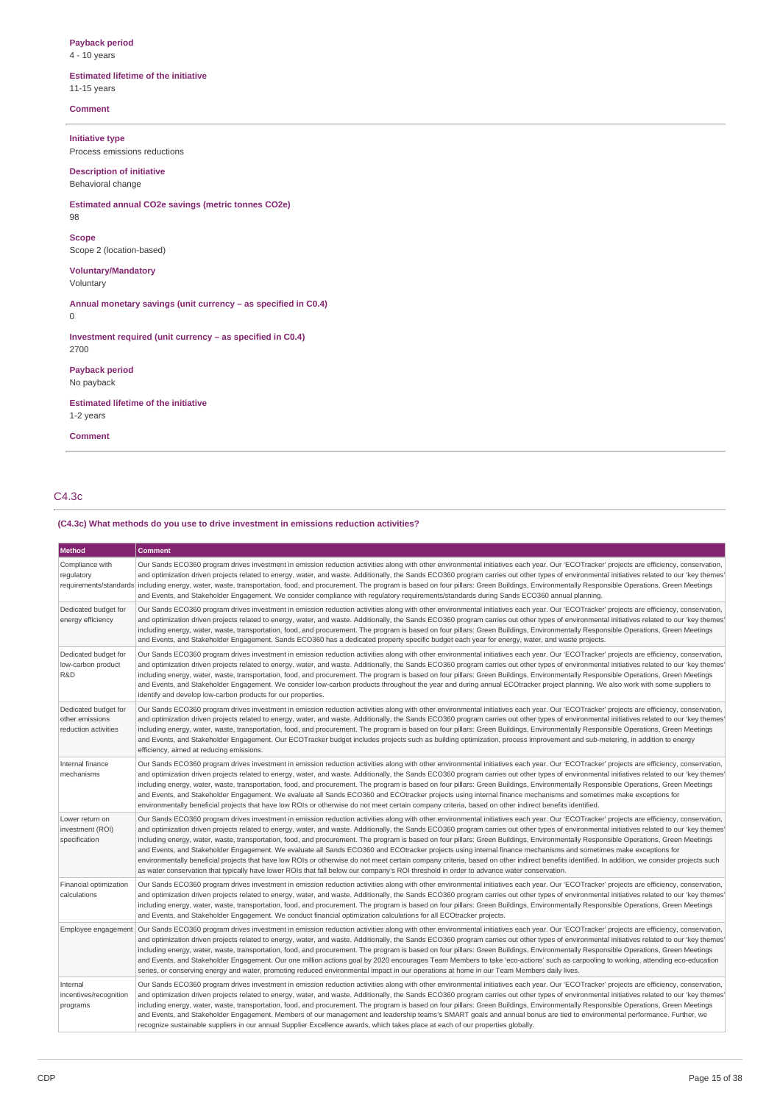### **Payback period** 4 - 10 years

**Estimated lifetime of the initiative**

11-15 years

**Comment**

**Initiative type**

Process emissions reductions

**Description of initiative** Behavioral change

**Estimated annual CO2e savings (metric tonnes CO2e)**

98 **Scope**

Scope 2 (location-based)

### **Voluntary/Mandatory** Voluntary

**Annual monetary savings (unit currency – as specified in C0.4)** 0

**Investment required (unit currency – as specified in C0.4)** 2700

**Payback period** No payback

**Estimated lifetime of the initiative** 1-2 years

**Comment**

# C4.3c

# **(C4.3c) What methods do you use to drive investment in emissions reduction activities?**

| Method                                                          | <b>Comment</b>                                                                                                                                                                                                                                                                                                                                                                                                                                                                                                                                                                                                                                                                                                                                                                                                                                                                                                                                                                                                                                                                                      |
|-----------------------------------------------------------------|-----------------------------------------------------------------------------------------------------------------------------------------------------------------------------------------------------------------------------------------------------------------------------------------------------------------------------------------------------------------------------------------------------------------------------------------------------------------------------------------------------------------------------------------------------------------------------------------------------------------------------------------------------------------------------------------------------------------------------------------------------------------------------------------------------------------------------------------------------------------------------------------------------------------------------------------------------------------------------------------------------------------------------------------------------------------------------------------------------|
| Compliance with<br>regulatory                                   | Our Sands ECO360 program drives investment in emission reduction activities along with other environmental initiatives each year. Our 'ECOTracker' projects are efficiency, conservation,<br>and optimization driven projects related to energy, water, and waste. Additionally, the Sands ECO360 program carries out other types of environmental initiatives related to our 'key themes'<br>requirements/standards including energy, water, waste, transportation, food, and procurement. The program is based on four pillars: Green Buildings, Environmentally Responsible Operations, Green Meetings<br>and Events, and Stakeholder Engagement. We consider compliance with regulatory requirements/standards during Sands ECO360 annual planning.                                                                                                                                                                                                                                                                                                                                             |
| Dedicated budget for<br>energy efficiency                       | Our Sands ECO360 program drives investment in emission reduction activities along with other environmental initiatives each year. Our 'ECOTracker' projects are efficiency, conservation,<br>and optimization driven projects related to energy, water, and waste. Additionally, the Sands ECO360 program carries out other types of environmental initiatives related to our 'key themes'<br>including energy, water, waste, transportation, food, and procurement. The program is based on four pillars: Green Buildings, Environmentally Responsible Operations, Green Meetings<br>and Events, and Stakeholder Engagement. Sands ECO360 has a dedicated property specific budget each year for energy, water, and waste projects.                                                                                                                                                                                                                                                                                                                                                                |
| Dedicated budget for<br>low-carbon product<br><b>R&amp;D</b>    | Our Sands ECO360 program drives investment in emission reduction activities along with other environmental initiatives each year. Our 'ECOTracker' projects are efficiency, conservation,<br>and optimization driven projects related to energy, water, and waste. Additionally, the Sands ECO360 program carries out other types of environmental initiatives related to our 'key themes'<br>including energy, water, waste, transportation, food, and procurement. The program is based on four pillars: Green Buildings, Environmentally Responsible Operations, Green Meetings<br>and Events, and Stakeholder Engagement. We consider low-carbon products throughout the year and during annual ECOtracker project planning. We also work with some suppliers to<br>identify and develop low-carbon products for our properties.                                                                                                                                                                                                                                                                |
| Dedicated budget for<br>other emissions<br>reduction activities | Our Sands ECO360 program drives investment in emission reduction activities along with other environmental initiatives each year. Our 'ECOTracker' projects are efficiency, conservation,<br>and optimization driven projects related to energy, water, and waste. Additionally, the Sands ECO360 program carries out other types of environmental initiatives related to our 'key themes'<br>including energy, water, waste, transportation, food, and procurement. The program is based on four pillars: Green Buildings, Environmentally Responsible Operations, Green Meetings<br>and Events, and Stakeholder Engagement. Our ECOTracker budget includes projects such as building optimization, process improvement and sub-metering, in addition to energy<br>efficiency, aimed at reducing emissions.                                                                                                                                                                                                                                                                                        |
| Internal finance<br>mechanisms                                  | Our Sands ECO360 program drives investment in emission reduction activities along with other environmental initiatives each year. Our 'ECOTracker' projects are efficiency, conservation,<br>and optimization driven projects related to energy, water, and waste. Additionally, the Sands ECO360 program carries out other types of environmental initiatives related to our 'key themes'<br>including energy, water, waste, transportation, food, and procurement. The program is based on four pillars: Green Buildings, Environmentally Responsible Operations, Green Meetings<br>and Events, and Stakeholder Engagement. We evaluate all Sands ECO360 and ECOtracker projects using internal finance mechanisms and sometimes make exceptions for<br>environmentally beneficial projects that have low ROIs or otherwise do not meet certain company criteria, based on other indirect benefits identified.                                                                                                                                                                                    |
| Lower return on<br>investment (ROI)<br>specification            | Our Sands ECO360 program drives investment in emission reduction activities along with other environmental initiatives each year. Our 'ECOTracker' projects are efficiency, conservation,<br>and optimization driven projects related to energy, water, and waste. Additionally, the Sands ECO360 program carries out other types of environmental initiatives related to our 'key themes'<br>including energy, water, waste, transportation, food, and procurement. The program is based on four pillars: Green Buildings, Environmentally Responsible Operations, Green Meetings<br>and Events, and Stakeholder Engagement. We evaluate all Sands ECO360 and ECOtracker projects using internal finance mechanisms and sometimes make exceptions for<br>environmentally beneficial projects that have low ROIs or otherwise do not meet certain company criteria, based on other indirect benefits identified. In addition, we consider projects such<br>as water conservation that typically have lower ROIs that fall below our company's ROI threshold in order to advance water conservation. |
| Financial optimization<br>calculations                          | Our Sands ECO360 program drives investment in emission reduction activities along with other environmental initiatives each year. Our 'ECOTracker' projects are efficiency, conservation,<br>and optimization driven projects related to energy, water, and waste. Additionally, the Sands ECO360 program carries out other types of environmental initiatives related to our 'key themes'<br>including energy, water, waste, transportation, food, and procurement. The program is based on four pillars: Green Buildings, Environmentally Responsible Operations, Green Meetings<br>and Events, and Stakeholder Engagement. We conduct financial optimization calculations for all ECOtracker projects.                                                                                                                                                                                                                                                                                                                                                                                           |
| Employee engagement                                             | Our Sands ECO360 program drives investment in emission reduction activities along with other environmental initiatives each year. Our 'ECOTracker' projects are efficiency, conservation,<br>and optimization driven projects related to energy, water, and waste. Additionally, the Sands ECO360 program carries out other types of environmental initiatives related to our 'key themes'<br>including energy, water, waste, transportation, food, and procurement. The program is based on four pillars: Green Buildings, Environmentally Responsible Operations, Green Meetings<br>and Events, and Stakeholder Engagement. Our one million actions goal by 2020 encourages Team Members to take 'eco-actions' such as carpooling to working, attending eco-education<br>series, or conserving energy and water, promoting reduced environmental impact in our operations at home in our Team Members daily lives.                                                                                                                                                                                |
| Internal<br>incentives/recognition<br>programs                  | Our Sands ECO360 program drives investment in emission reduction activities along with other environmental initiatives each year. Our 'ECOTracker' projects are efficiency, conservation,<br>and optimization driven projects related to energy, water, and waste. Additionally, the Sands ECO360 program carries out other types of environmental initiatives related to our 'key themes'<br>including energy, water, waste, transportation, food, and procurement. The program is based on four pillars: Green Buildings, Environmentally Responsible Operations, Green Meetings<br>and Events, and Stakeholder Engagement. Members of our management and leadership teams's SMART goals and annual bonus are tied to environmental performance. Further, we<br>recognize sustainable suppliers in our annual Supplier Excellence awards, which takes place at each of our properties globally.                                                                                                                                                                                                   |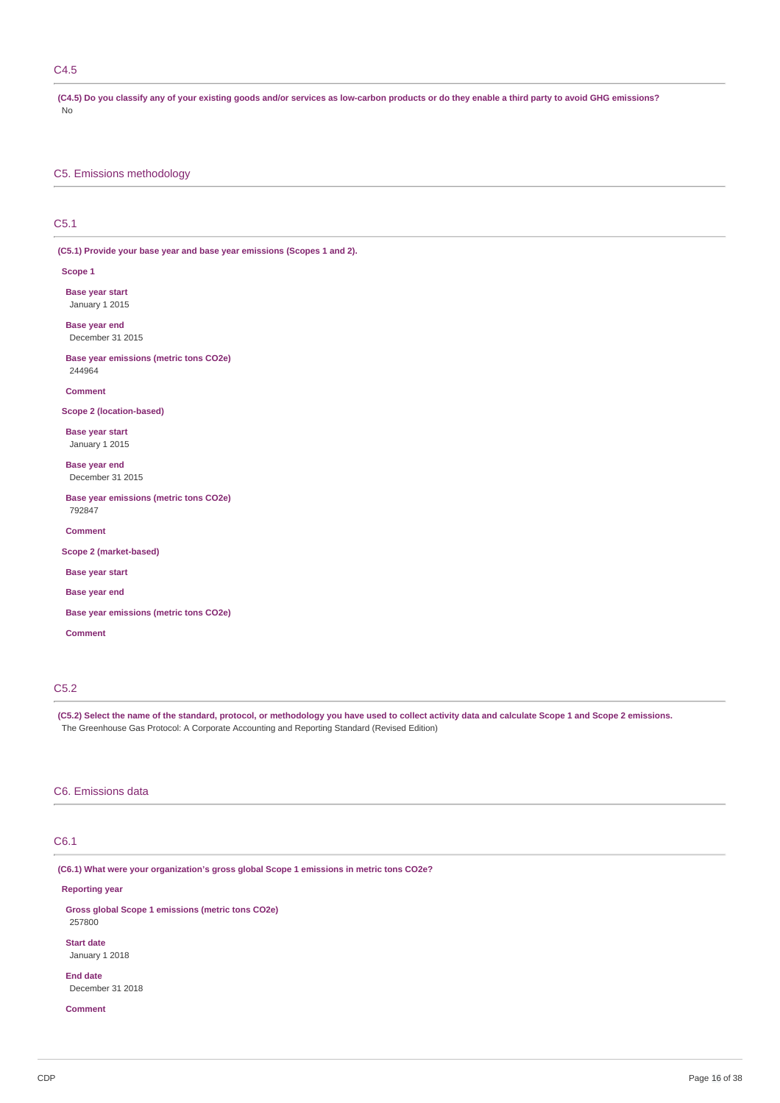# C4.5

(C4.5) Do you classify any of your existing goods and/or services as low-carbon products or do they enable a third party to avoid GHG emissions? No

C5. Emissions methodology

# C5.1

**(C5.1) Provide your base year and base year emissions (Scopes 1 and 2).**

**Scope 1**

**Base year start** January 1 2015

**Base year end** December 31 2015

**Base year emissions (metric tons CO2e)** 244964

**Comment**

**Scope 2 (location-based)**

**Base year start** January 1 2015

**Base year end**

December 31 2015

**Base year emissions (metric tons CO2e)** 792847

**Comment**

**Scope 2 (market-based)**

**Base year start**

**Base year end**

**Base year emissions (metric tons CO2e)**

**Comment**

# C5.2

(C5.2) Select the name of the standard, protocol, or methodology you have used to collect activity data and calculate Scope 1 and Scope 2 emissions. The Greenhouse Gas Protocol: A Corporate Accounting and Reporting Standard (Revised Edition)

### C6. Emissions data

# C6.1

**(C6.1) What were your organization's gross global Scope 1 emissions in metric tons CO2e?**

**Reporting year**

**Gross global Scope 1 emissions (metric tons CO2e)** 257800

**Start date** January 1 2018

**End date** December 31 2018

**Comment**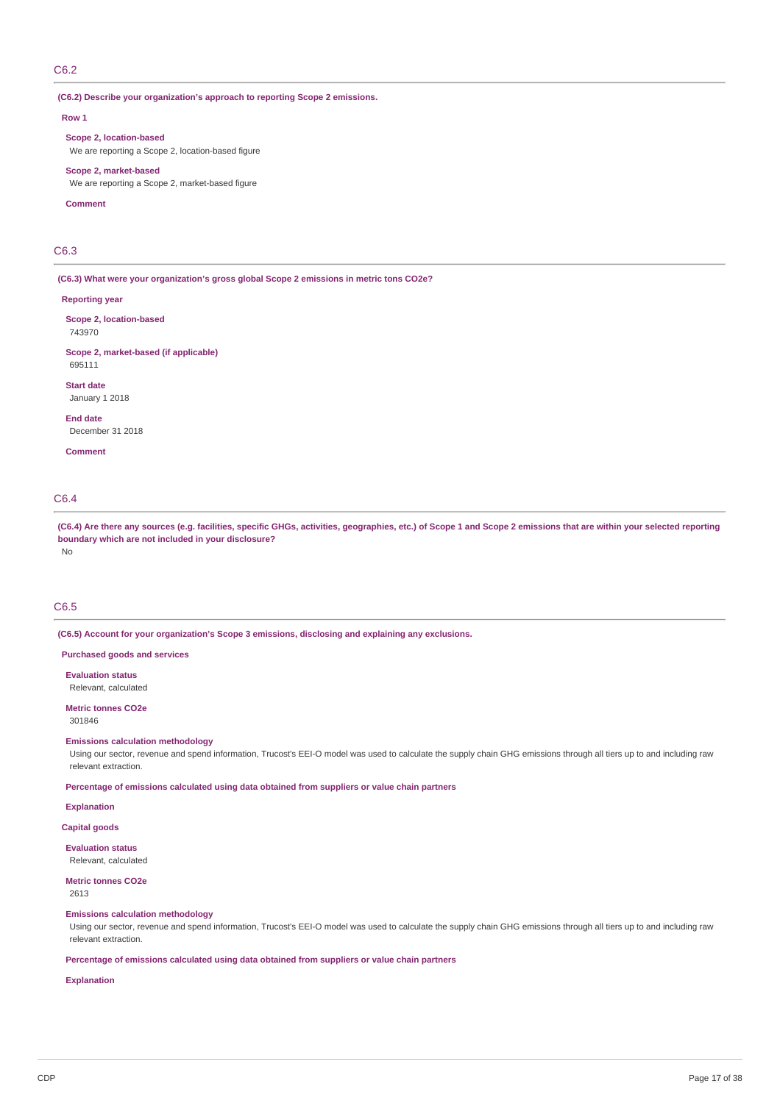## C6.2

**(C6.2) Describe your organization's approach to reporting Scope 2 emissions.**

#### **Row 1**

**Scope 2, location-based** We are reporting a Scope 2, location-based figure

**Scope 2, market-based**

We are reporting a Scope 2, market-based figure

#### **Comment**

# C6.3

**(C6.3) What were your organization's gross global Scope 2 emissions in metric tons CO2e?**

#### **Reporting year**

**Scope 2, location-based** 743970

**Scope 2, market-based (if applicable)** 695111

**Start date** January 1 2018

**End date**

December 31 2018

**Comment**

# C6.4

(C6.4) Are there any sources (e.g. facilities, specific GHGs, activities, geographies, etc.) of Scope 1 and Scope 2 emissions that are within your selected reporting **boundary which are not included in your disclosure?** No

# C6.5

**(C6.5) Account for your organization's Scope 3 emissions, disclosing and explaining any exclusions.**

### **Purchased goods and services**

**Evaluation status** Relevant, calculated

**Metric tonnes CO2e** 301846

# **Emissions calculation methodology**

Using our sector, revenue and spend information, Trucost's EEI-O model was used to calculate the supply chain GHG emissions through all tiers up to and including raw relevant extraction.

**Percentage of emissions calculated using data obtained from suppliers or value chain partners**

**Explanation**

# **Capital goods**

**Evaluation status** Relevant, calculated

### **Metric tonnes CO2e** 2613

#### **Emissions calculation methodology**

Using our sector, revenue and spend information, Trucost's EEI-O model was used to calculate the supply chain GHG emissions through all tiers up to and including raw relevant extraction.

## **Percentage of emissions calculated using data obtained from suppliers or value chain partners**

# **Explanation**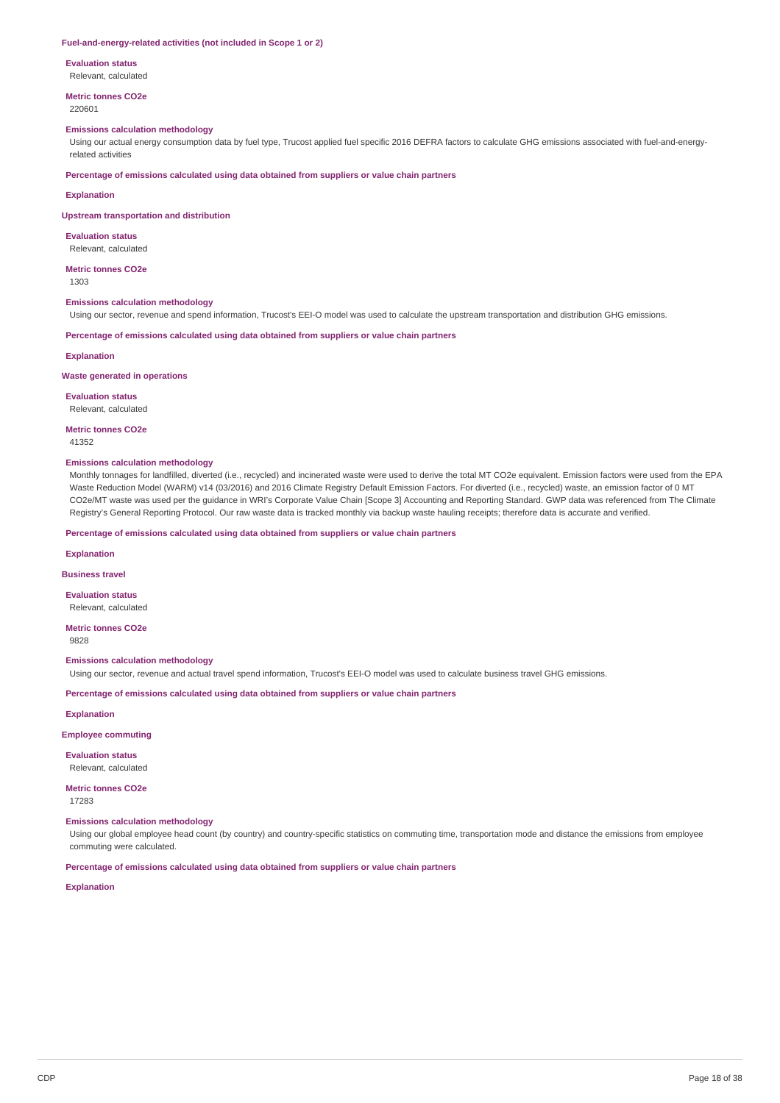#### **Fuel-and-energy-related activities (not included in Scope 1 or 2)**

**Evaluation status**

Relevant, calculated

**Metric tonnes CO2e** 220601

### **Emissions calculation methodology**

Using our actual energy consumption data by fuel type, Trucost applied fuel specific 2016 DEFRA factors to calculate GHG emissions associated with fuel-and-energyrelated activities

**Percentage of emissions calculated using data obtained from suppliers or value chain partners**

### **Explanation**

**Upstream transportation and distribution**

**Evaluation status** Relevant, calculated

**Metric tonnes CO2e**

1303

### **Emissions calculation methodology**

Using our sector, revenue and spend information, Trucost's EEI-O model was used to calculate the upstream transportation and distribution GHG emissions.

**Percentage of emissions calculated using data obtained from suppliers or value chain partners**

#### **Explanation**

### **Waste generated in operations**

**Evaluation status** Relevant, calculated

**Metric tonnes CO2e**

41352

#### **Emissions calculation methodology**

Monthly tonnages for landfilled, diverted (i.e., recycled) and incinerated waste were used to derive the total MT CO2e equivalent. Emission factors were used from the EPA Waste Reduction Model (WARM) v14 (03/2016) and 2016 Climate Registry Default Emission Factors. For diverted (i.e., recycled) waste, an emission factor of 0 MT CO2e/MT waste was used per the guidance in WRI's Corporate Value Chain [Scope 3] Accounting and Reporting Standard. GWP data was referenced from The Climate Registry's General Reporting Protocol. Our raw waste data is tracked monthly via backup waste hauling receipts; therefore data is accurate and verified.

**Percentage of emissions calculated using data obtained from suppliers or value chain partners**

**Explanation**

#### **Business travel**

**Evaluation status** Relevant, calculated

**Metric tonnes CO2e** 9828

#### **Emissions calculation methodology**

Using our sector, revenue and actual travel spend information, Trucost's EEI-O model was used to calculate business travel GHG emissions.

**Percentage of emissions calculated using data obtained from suppliers or value chain partners**

**Explanation**

**Employee commuting**

**Evaluation status** Relevant, calculated

**Metric tonnes CO2e** 17283

#### **Emissions calculation methodology**

Using our global employee head count (by country) and country-specific statistics on commuting time, transportation mode and distance the emissions from employee commuting were calculated.

**Percentage of emissions calculated using data obtained from suppliers or value chain partners**

**Explanation**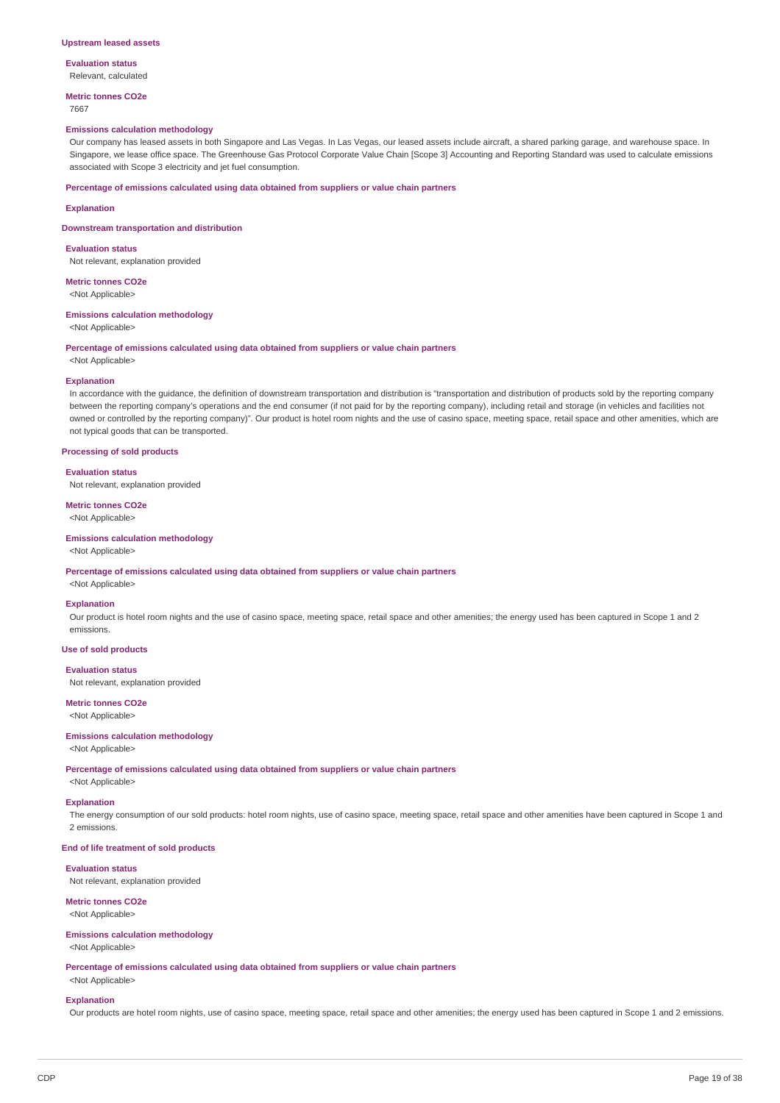#### **Upstream leased assets**

**Evaluation status** Relevant, calculated

**Metric tonnes CO2e**

### 7667

#### **Emissions calculation methodology**

Our company has leased assets in both Singapore and Las Vegas. In Las Vegas, our leased assets include aircraft, a shared parking garage, and warehouse space. In Singapore, we lease office space. The Greenhouse Gas Protocol Corporate Value Chain [Scope 3] Accounting and Reporting Standard was used to calculate emissions associated with Scope 3 electricity and jet fuel consumption.

### **Percentage of emissions calculated using data obtained from suppliers or value chain partners**

#### **Explanation**

**Downstream transportation and distribution**

**Evaluation status** Not relevant, explanation provided

**Metric tonnes CO2e**

<Not Applicable>

#### **Emissions calculation methodology**

<Not Applicable>

# **Percentage of emissions calculated using data obtained from suppliers or value chain partners**

<Not Applicable>

#### **Explanation**

In accordance with the guidance, the definition of downstream transportation and distribution is "transportation and distribution of products sold by the reporting company between the reporting company's operations and the end consumer (if not paid for by the reporting company), including retail and storage (in vehicles and facilities not owned or controlled by the reporting company)". Our product is hotel room nights and the use of casino space, meeting space, retail space and other amenities, which are not typical goods that can be transported.

## **Processing of sold products**

**Evaluation status**

Not relevant, explanation provided

**Metric tonnes CO2e** <Not Applicable>

## **Emissions calculation methodology**

### <Not Applicable>

**Percentage of emissions calculated using data obtained from suppliers or value chain partners**

<Not Applicable>

### **Explanation**

Our product is hotel room nights and the use of casino space, meeting space, retail space and other amenities; the energy used has been captured in Scope 1 and 2 emissions.

# **Use of sold products**

**Evaluation status**

Not relevant, explanation provided

# **Metric tonnes CO2e**

<Not Applicable>

### **Emissions calculation methodology**

<Not Applicable>

**Percentage of emissions calculated using data obtained from suppliers or value chain partners**

<Not Applicable>

#### **Explanation**

The energy consumption of our sold products: hotel room nights, use of casino space, meeting space, retail space and other amenities have been captured in Scope 1 and 2 emissions.

#### **End of life treatment of sold products**

### **Evaluation status**

Not relevant, explanation provided

#### **Metric tonnes CO2e**

<Not Applicable>

#### **Emissions calculation methodology**

<Not Applicable>

**Percentage of emissions calculated using data obtained from suppliers or value chain partners**

# <Not Applicable> **Explanation**

Our products are hotel room nights, use of casino space, meeting space, retail space and other amenities; the energy used has been captured in Scope 1 and 2 emissions.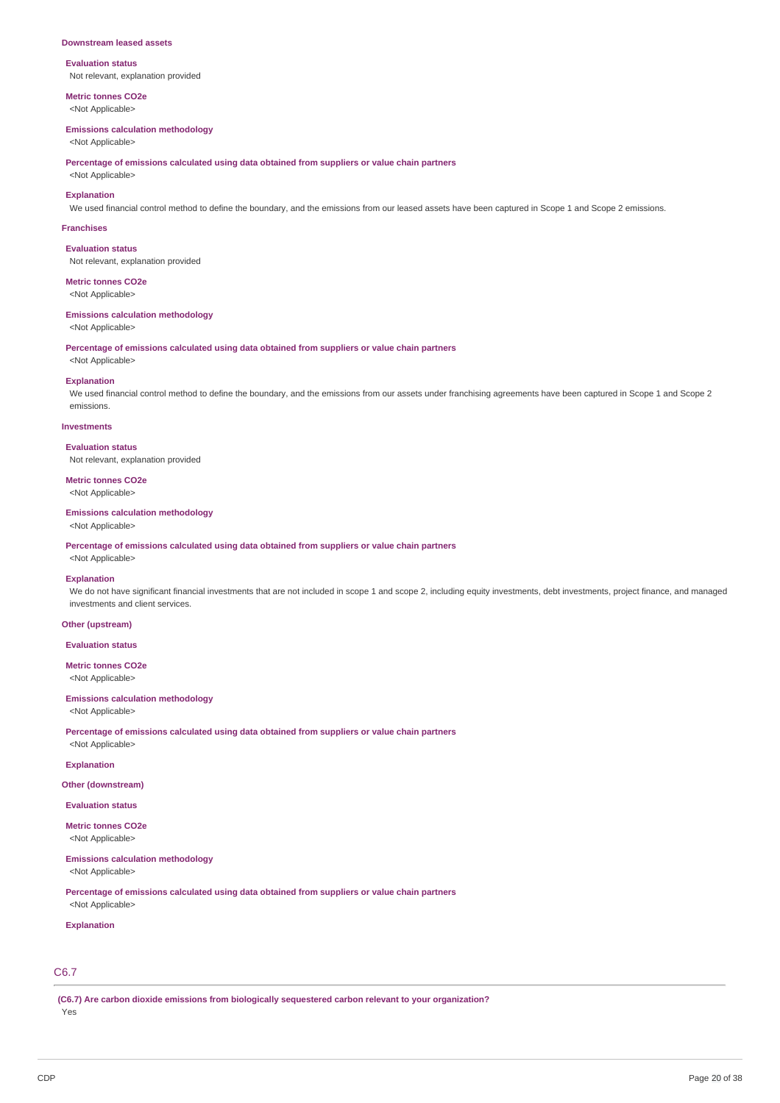#### **Downstream leased assets**

### **Evaluation status** Not relevant, explanation provided

**Metric tonnes CO2e**

<Not Applicable>

## **Emissions calculation methodology**

<Not Applicable>

**Percentage of emissions calculated using data obtained from suppliers or value chain partners**

<Not Applicable> **Explanation**

We used financial control method to define the boundary, and the emissions from our leased assets have been captured in Scope 1 and Scope 2 emissions.

#### **Franchises**

**Evaluation status** Not relevant, explanation provided

# **Metric tonnes CO2e**

<Not Applicable>

#### **Emissions calculation methodology**

<Not Applicable>

<Not Applicable>

**Percentage of emissions calculated using data obtained from suppliers or value chain partners**

#### **Explanation**

We used financial control method to define the boundary, and the emissions from our assets under franchising agreements have been captured in Scope 1 and Scope 2 emissions.

### **Investments**

**Evaluation status**

Not relevant, explanation provided

# **Metric tonnes CO2e**

<Not Applicable>

# **Emissions calculation methodology**

<Not Applicable>

**Percentage of emissions calculated using data obtained from suppliers or value chain partners**

# <Not Applicable>

# **Explanation**

We do not have significant financial investments that are not included in scope 1 and scope 2, including equity investments, debt investments, project finance, and managed investments and client services.

### **Other (upstream)**

**Evaluation status**

### **Metric tonnes CO2e** <Not Applicable>

**Emissions calculation methodology**

<Not Applicable>

**Percentage of emissions calculated using data obtained from suppliers or value chain partners** <Not Applicable>

### **Explanation**

**Other (downstream)**

### **Evaluation status**

**Metric tonnes CO2e**

<Not Applicable>

# **Emissions calculation methodology**

<Not Applicable>

**Percentage of emissions calculated using data obtained from suppliers or value chain partners** <Not Applicable>

### **Explanation**

# C6.7

**(C6.7) Are carbon dioxide emissions from biologically sequestered carbon relevant to your organization?** Yes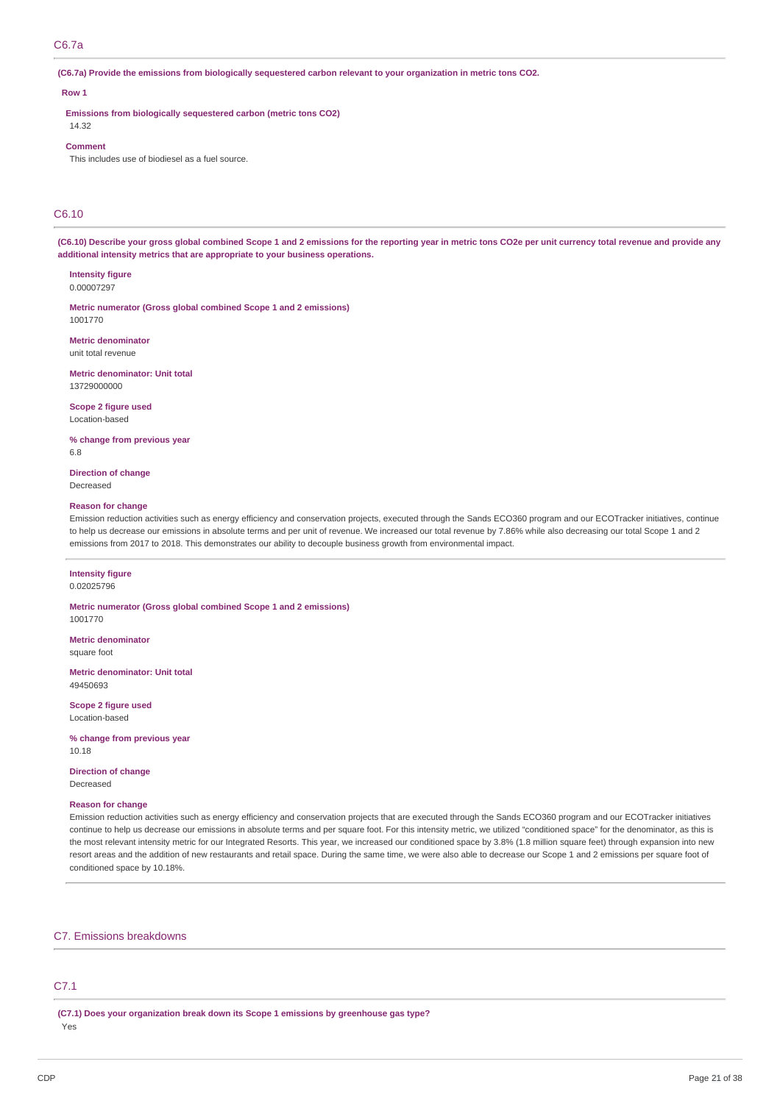# C6.7a

(C6.7a) Provide the emissions from biologically sequestered carbon relevant to your organization in metric tons CO2.

### **Row 1**

**Emissions from biologically sequestered carbon (metric tons CO2)**

# 14.32 **Comment**

This includes use of biodiesel as a fuel source.

# C6.10

(C6.10) Describe your gross global combined Scope 1 and 2 emissions for the reporting year in metric tons CO2e per unit currency total revenue and provide any **additional intensity metrics that are appropriate to your business operations.**

**Intensity figure** 0.00007297

**Metric numerator (Gross global combined Scope 1 and 2 emissions)** 1001770

**Metric denominator** unit total revenue

**Metric denominator: Unit total** 13729000000

**Scope 2 figure used** Location-based

**% change from previous year** 6.8

**Direction of change** Decreased

#### **Reason for change**

Emission reduction activities such as energy efficiency and conservation projects, executed through the Sands ECO360 program and our ECOTracker initiatives, continue to help us decrease our emissions in absolute terms and per unit of revenue. We increased our total revenue by 7.86% while also decreasing our total Scope 1 and 2 emissions from 2017 to 2018. This demonstrates our ability to decouple business growth from environmental impact.

# **Intensity figure**

0.02025796

**Metric numerator (Gross global combined Scope 1 and 2 emissions)** 1001770

**Metric denominator** square foot

**Metric denominator: Unit total** 49450693

**Scope 2 figure used** Location-based

**% change from previous year** 10.18

**Direction of change** Decreased

#### **Reason for change**

Emission reduction activities such as energy efficiency and conservation projects that are executed through the Sands ECO360 program and our ECOTracker initiatives continue to help us decrease our emissions in absolute terms and per square foot. For this intensity metric, we utilized "conditioned space" for the denominator, as this is the most relevant intensity metric for our Integrated Resorts. This year, we increased our conditioned space by 3.8% (1.8 million square feet) through expansion into new resort areas and the addition of new restaurants and retail space. During the same time, we were also able to decrease our Scope 1 and 2 emissions per square foot of conditioned space by 10.18%.

### C7. Emissions breakdowns

# C7.1

**(C7.1) Does your organization break down its Scope 1 emissions by greenhouse gas type?** Yes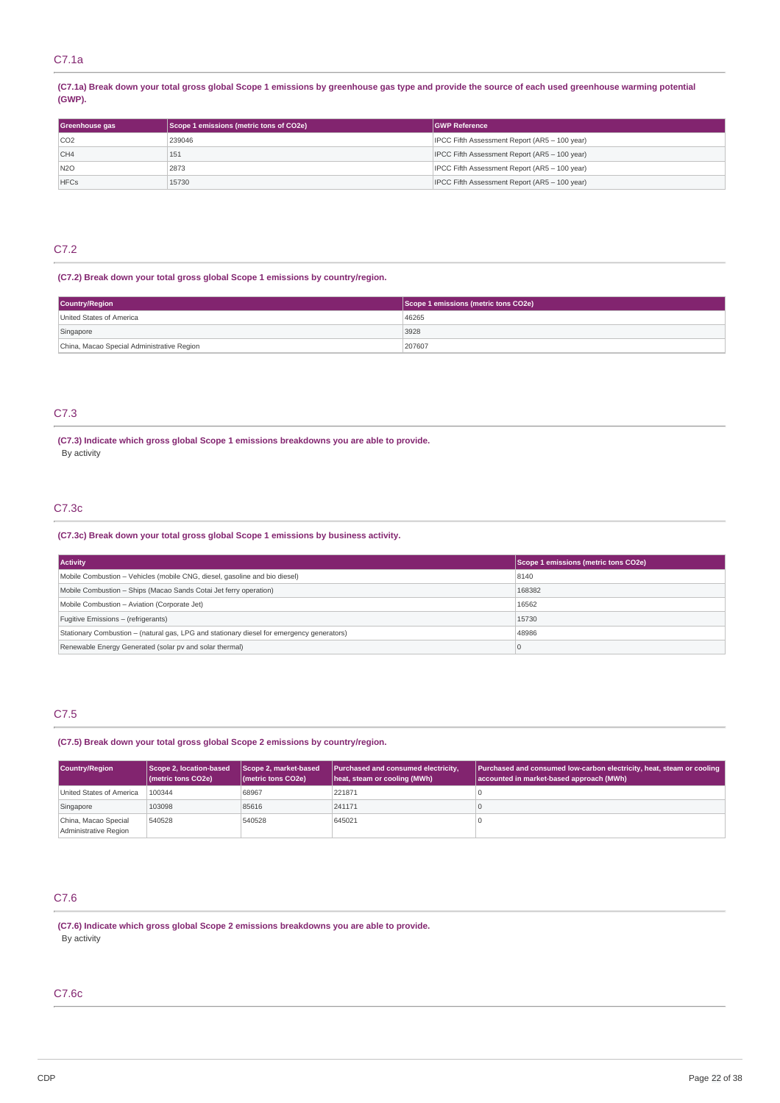# C7.1a

(C7.1a) Break down your total gross global Scope 1 emissions by greenhouse gas type and provide the source of each used greenhouse warming potential **(GWP).**

| Greenhouse gas  | Scope 1 emissions (metric tons of CO2e) | <b>GWP Reference</b>                          |
|-----------------|-----------------------------------------|-----------------------------------------------|
| CO <sub>2</sub> | 239046                                  | IPCC Fifth Assessment Report (AR5 - 100 year) |
| CH4             | 151                                     | IPCC Fifth Assessment Report (AR5 - 100 year) |
| N2O             | 2873                                    | IPCC Fifth Assessment Report (AR5 - 100 year) |
| <b>HFCs</b>     | 15730                                   | IPCC Fifth Assessment Report (AR5 - 100 year) |

# C7.2

## **(C7.2) Break down your total gross global Scope 1 emissions by country/region.**

| <b>Country/Region</b>                      | Scope 1 emissions (metric tons CO2e) |
|--------------------------------------------|--------------------------------------|
| United States of America                   | 46265                                |
| Singapore                                  | 3928                                 |
| China, Macao Special Administrative Region | 207607                               |

# C7.3

### **(C7.3) Indicate which gross global Scope 1 emissions breakdowns you are able to provide.** By activity

# C7.3c

# **(C7.3c) Break down your total gross global Scope 1 emissions by business activity.**

| <b>Activity</b>                                                                           | Scope 1 emissions (metric tons CO2e) |
|-------------------------------------------------------------------------------------------|--------------------------------------|
| Mobile Combustion – Vehicles (mobile CNG, diesel, gasoline and bio diesel)                | 8140                                 |
| Mobile Combustion - Ships (Macao Sands Cotai Jet ferry operation)                         | 168382                               |
| Mobile Combustion - Aviation (Corporate Jet)                                              | 16562                                |
| Fugitive Emissions - (refrigerants)                                                       | 15730                                |
| Stationary Combustion – (natural gas, LPG and stationary diesel for emergency generators) | 48986                                |
| Renewable Energy Generated (solar pv and solar thermal)                                   | $\Omega$                             |

# C7.5

**(C7.5) Break down your total gross global Scope 2 emissions by country/region.**

| <b>Country/Region</b>                         | Scope 2, location-based<br>(metric tons CO2e) | Scope 2, market-based<br>(metric tons CO2e) | Purchased and consumed electricity,<br>heat, steam or cooling (MWh) | Purchased and consumed low-carbon electricity, heat, steam or cooling<br>accounted in market-based approach (MWh) |
|-----------------------------------------------|-----------------------------------------------|---------------------------------------------|---------------------------------------------------------------------|-------------------------------------------------------------------------------------------------------------------|
| United States of America                      | 100344                                        | 68967                                       | 221871                                                              |                                                                                                                   |
| Singapore                                     | 103098                                        | 85616                                       | 241171                                                              |                                                                                                                   |
| China, Macao Special<br>Administrative Region | 540528                                        | 540528                                      | 645021                                                              |                                                                                                                   |

# C7.6

**(C7.6) Indicate which gross global Scope 2 emissions breakdowns you are able to provide.** By activity

# C7.6c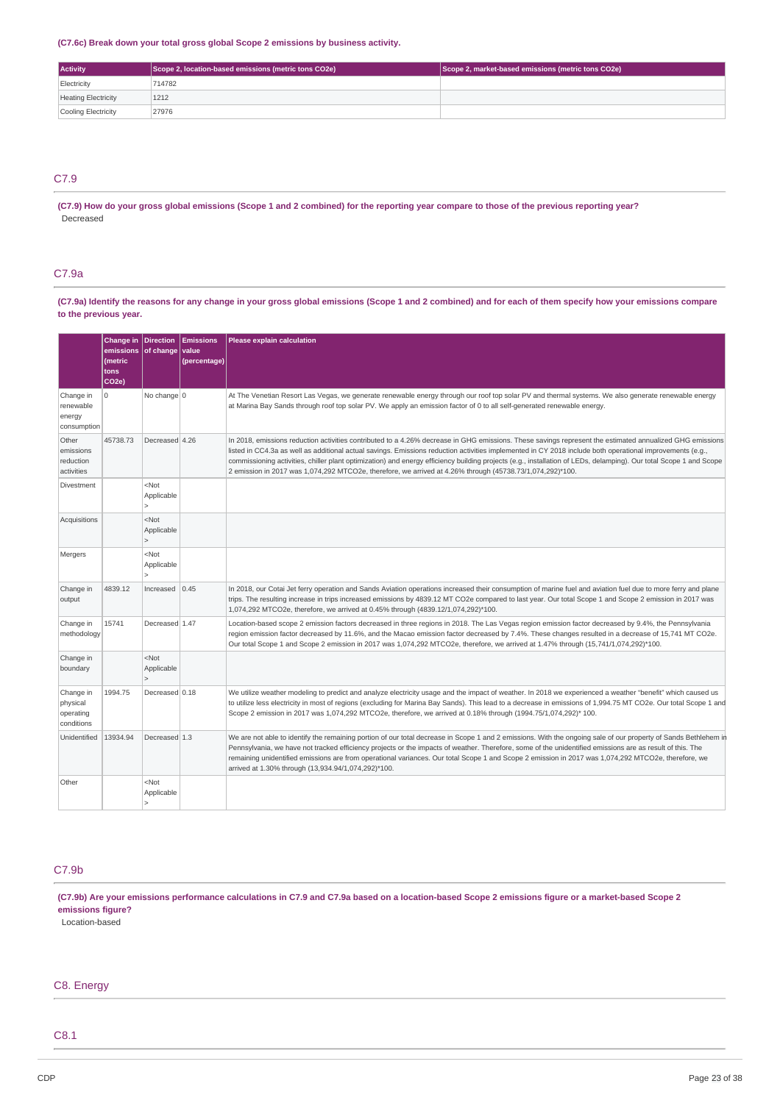## **(C7.6c) Break down your total gross global Scope 2 emissions by business activity.**

| <b>Activity</b>            | Scope 2, location-based emissions (metric tons CO2e) | Scope 2, market-based emissions (metric tons CO2e) |
|----------------------------|------------------------------------------------------|----------------------------------------------------|
| Electricity                | 714782                                               |                                                    |
| <b>Heating Electricity</b> | 1212                                                 |                                                    |
| Cooling Electricity        | 27976                                                |                                                    |

# C7.9

(C7.9) How do your gross global emissions (Scope 1 and 2 combined) for the reporting year compare to those of the previous reporting year? Decreased

# C7.9a

(C7.9a) Identify the reasons for any change in your gross global emissions (Scope 1 and 2 combined) and for each of them specify how your emissions compare **to the previous year.**

|                                                  | Change in<br>emissions<br>(metric<br>tons<br>CO <sub>2e</sub> ) | <b>Direction</b><br>of change value   | Emissions<br>(percentage) | <b>Please explain calculation</b>                                                                                                                                                                                                                                                                                                                                                                                                                                                                                                                                                                        |
|--------------------------------------------------|-----------------------------------------------------------------|---------------------------------------|---------------------------|----------------------------------------------------------------------------------------------------------------------------------------------------------------------------------------------------------------------------------------------------------------------------------------------------------------------------------------------------------------------------------------------------------------------------------------------------------------------------------------------------------------------------------------------------------------------------------------------------------|
| Change in<br>renewable<br>energy<br>consumption  | ۱o.                                                             | No change 0                           |                           | At The Venetian Resort Las Vegas, we generate renewable energy through our roof top solar PV and thermal systems. We also generate renewable energy<br>at Marina Bay Sands through roof top solar PV. We apply an emission factor of 0 to all self-generated renewable energy.                                                                                                                                                                                                                                                                                                                           |
| Other<br>emissions<br>reduction<br>activities    | 45738.73                                                        | Decreased 4.26                        |                           | In 2018, emissions reduction activities contributed to a 4.26% decrease in GHG emissions. These savings represent the estimated annualized GHG emissions<br>listed in CC4.3a as well as additional actual savings. Emissions reduction activities implemented in CY 2018 include both operational improvements (e.g.,<br>commissioning activities, chiller plant optimization) and energy efficiency building projects (e.g., installation of LEDs, delamping). Our total Scope 1 and Scope<br>2 emission in 2017 was 1,074,292 MTCO2e, therefore, we arrived at 4.26% through (45738.73/1,074,292)*100. |
| Divestment                                       |                                                                 | <not<br>Applicable</not<br>           |                           |                                                                                                                                                                                                                                                                                                                                                                                                                                                                                                                                                                                                          |
| Acquisitions                                     |                                                                 | $<$ Not<br>Applicable<br>$\mathbf{r}$ |                           |                                                                                                                                                                                                                                                                                                                                                                                                                                                                                                                                                                                                          |
| Mergers                                          |                                                                 | <not<br>Applicable</not<br>           |                           |                                                                                                                                                                                                                                                                                                                                                                                                                                                                                                                                                                                                          |
| Change in<br>output                              | 4839.12                                                         | Increased                             | 0.45                      | In 2018, our Cotai Jet ferry operation and Sands Aviation operations increased their consumption of marine fuel and aviation fuel due to more ferry and plane<br>trips. The resulting increase in trips increased emissions by 4839.12 MT CO2e compared to last year. Our total Scope 1 and Scope 2 emission in 2017 was<br>1,074,292 MTCO2e, therefore, we arrived at 0.45% through (4839.12/1,074,292)*100.                                                                                                                                                                                            |
| Change in<br>methodology                         | 15741                                                           | Decreased 1.47                        |                           | Location-based scope 2 emission factors decreased in three regions in 2018. The Las Vegas region emission factor decreased by 9.4%, the Pennsylvania<br>region emission factor decreased by 11.6%, and the Macao emission factor decreased by 7.4%. These changes resulted in a decrease of 15,741 MT CO2e.<br>Our total Scope 1 and Scope 2 emission in 2017 was 1,074,292 MTCO2e, therefore, we arrived at 1.47% through (15,741/1,074,292)*100.                                                                                                                                                       |
| Change in<br>boundary                            |                                                                 | $<$ Not<br>Applicable                 |                           |                                                                                                                                                                                                                                                                                                                                                                                                                                                                                                                                                                                                          |
| Change in<br>physical<br>operating<br>conditions | 1994.75                                                         | Decreased 0.18                        |                           | We utilize weather modeling to predict and analyze electricity usage and the impact of weather. In 2018 we experienced a weather "benefit" which caused us<br>to utilize less electricity in most of regions (excluding for Marina Bay Sands). This lead to a decrease in emissions of 1,994.75 MT CO2e. Our total Scope 1 and<br>Scope 2 emission in 2017 was 1,074,292 MTCO2e, therefore, we arrived at 0.18% through (1994.75/1,074,292)* 100.                                                                                                                                                        |
| Unidentified                                     | 13934.94                                                        | Decreased 1.3                         |                           | We are not able to identify the remaining portion of our total decrease in Scope 1 and 2 emissions. With the ongoing sale of our property of Sands Bethlehem in<br>Pennsylvania, we have not tracked efficiency projects or the impacts of weather. Therefore, some of the unidentified emissions are as result of this. The<br>remaining unidentified emissions are from operational variances. Our total Scope 1 and Scope 2 emission in 2017 was 1,074,292 MTCO2e, therefore, we<br>arrived at 1.30% through (13,934.94/1,074,292)*100.                                                               |
| Other                                            |                                                                 | <not<br>Applicable</not<br>           |                           |                                                                                                                                                                                                                                                                                                                                                                                                                                                                                                                                                                                                          |

# C7.9b

(C7.9b) Are your emissions performance calculations in C7.9 and C7.9a based on a location-based Scope 2 emissions figure or a market-based Scope 2 **emissions figure?**

Location-based

# C8. Energy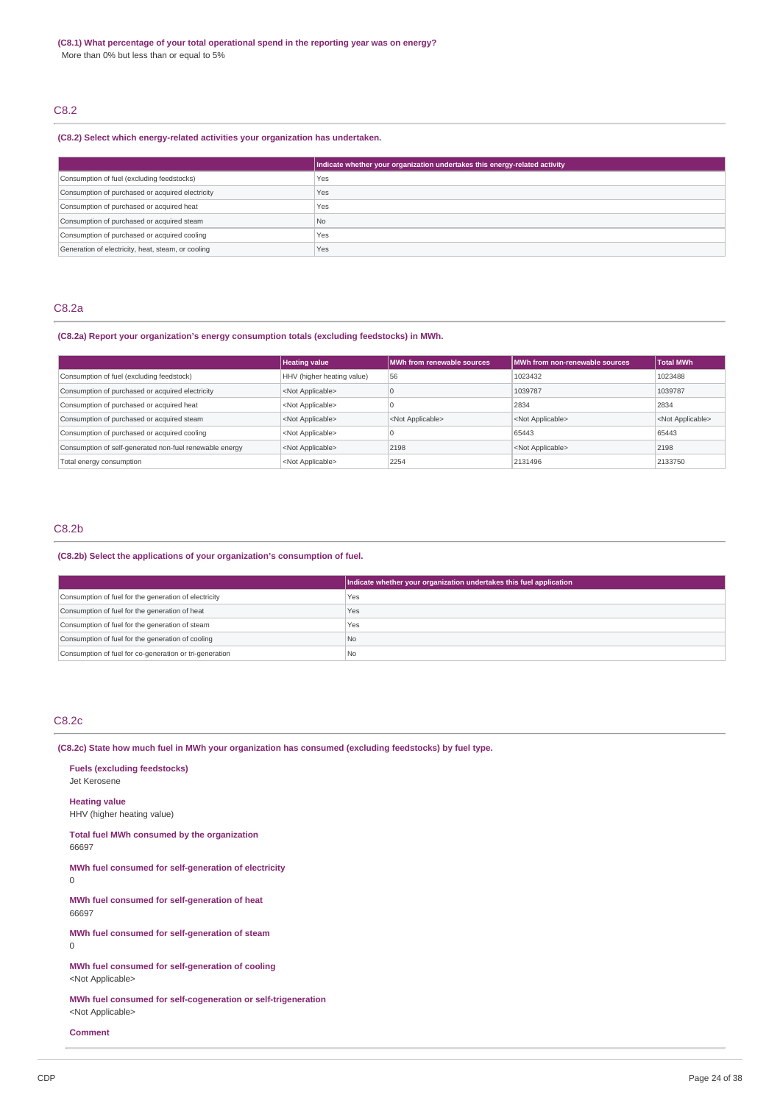# C8.2

# **(C8.2) Select which energy-related activities your organization has undertaken.**

|                                                    | Indicate whether your organization undertakes this energy-related activity |
|----------------------------------------------------|----------------------------------------------------------------------------|
| Consumption of fuel (excluding feedstocks)         | Yes                                                                        |
| Consumption of purchased or acquired electricity   | Yes                                                                        |
| Consumption of purchased or acquired heat          | Yes                                                                        |
| Consumption of purchased or acquired steam         | <b>No</b>                                                                  |
| Consumption of purchased or acquired cooling       | Yes                                                                        |
| Generation of electricity, heat, steam, or cooling | Yes                                                                        |

# C8.2a

# **(C8.2a) Report your organization's energy consumption totals (excluding feedstocks) in MWh.**

|                                                         | <b>Heating value</b>       | <b>MWh from renewable sources</b> | MWh from non-renewable sources | <b>Total MWh</b>          |
|---------------------------------------------------------|----------------------------|-----------------------------------|--------------------------------|---------------------------|
| Consumption of fuel (excluding feedstock)               | HHV (higher heating value) | 56                                | 1023432                        | 1023488                   |
| Consumption of purchased or acquired electricity        | <not applicable=""></not>  |                                   | 1039787                        | 1039787                   |
| Consumption of purchased or acquired heat               | <not applicable=""></not>  |                                   | 2834                           | 2834                      |
| Consumption of purchased or acquired steam              | <not applicable=""></not>  | <not applicable=""></not>         | <not applicable=""></not>      | <not applicable=""></not> |
| Consumption of purchased or acquired cooling            | <not applicable=""></not>  |                                   | 65443                          | 65443                     |
| Consumption of self-generated non-fuel renewable energy | <not applicable=""></not>  | 2198                              | <not applicable=""></not>      | 2198                      |
| Total energy consumption                                | <not applicable=""></not>  | 2254                              | 2131496                        | 2133750                   |

# C8.2b

# **(C8.2b) Select the applications of your organization's consumption of fuel.**

|                                                         | Indicate whether your organization undertakes this fuel application |
|---------------------------------------------------------|---------------------------------------------------------------------|
| Consumption of fuel for the generation of electricity   | Yes                                                                 |
| Consumption of fuel for the generation of heat          | Yes                                                                 |
| Consumption of fuel for the generation of steam         | Yes                                                                 |
| Consumption of fuel for the generation of cooling       | l No                                                                |
| Consumption of fuel for co-generation or tri-generation | l Nc                                                                |

# C8.2c

**(C8.2c) State how much fuel in MWh your organization has consumed (excluding feedstocks) by fuel type.**

| <b>Fuels (excluding feedstocks)</b><br>Jet Kerosene                                        |
|--------------------------------------------------------------------------------------------|
| <b>Heating value</b><br>HHV (higher heating value)                                         |
| Total fuel MWh consumed by the organization<br>66697                                       |
| MWh fuel consumed for self-generation of electricity<br>$\Omega$                           |
| MWh fuel consumed for self-generation of heat<br>66697                                     |
| MWh fuel consumed for self-generation of steam<br>$\Omega$                                 |
| MWh fuel consumed for self-generation of cooling<br><not applicable=""></not>              |
| MWh fuel consumed for self-cogeneration or self-trigeneration<br><not applicable=""></not> |

**Comment**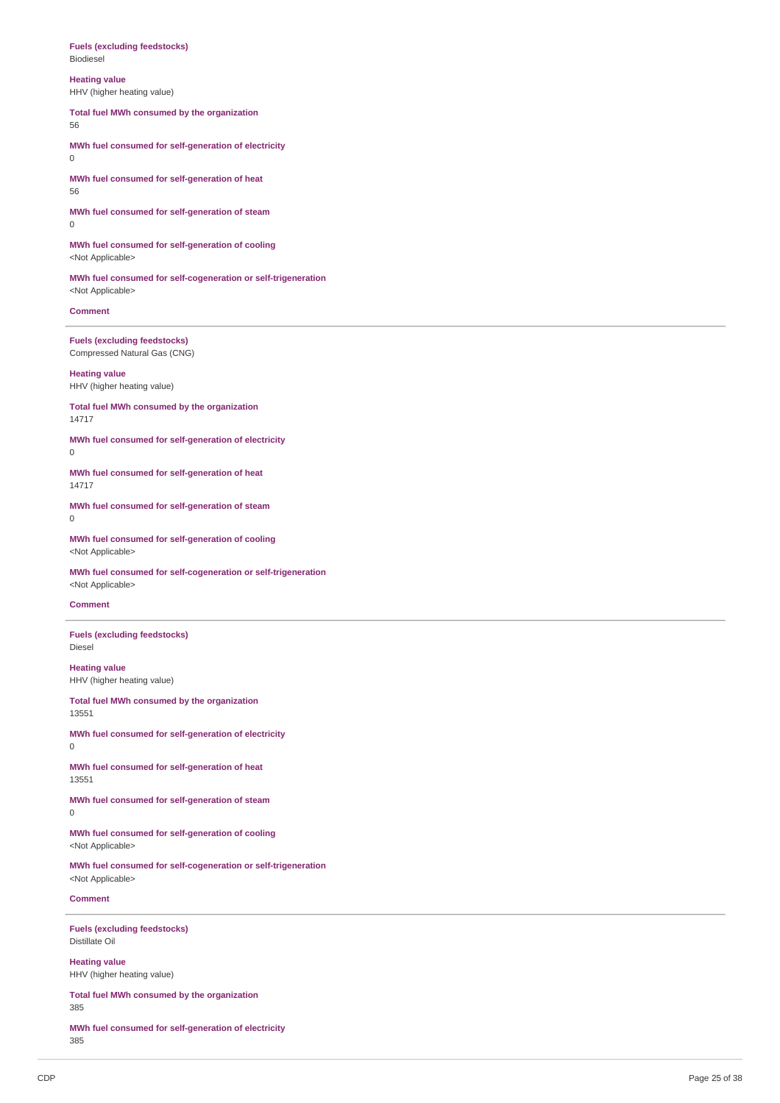#### **Fuels (excluding feedstocks)** Biodiesel

**Heating value** HHV (higher heating value)

**Total fuel MWh consumed by the organization** 56

**MWh fuel consumed for self-generation of electricity**  $\Omega$ 

**MWh fuel consumed for self-generation of heat** 56

**MWh fuel consumed for self-generation of steam** 0

**MWh fuel consumed for self-generation of cooling** <Not Applicable>

**MWh fuel consumed for self-cogeneration or self-trigeneration** <Not Applicable>

**Comment**

**Fuels (excluding feedstocks)** Compressed Natural Gas (CNG)

**Heating value** HHV (higher heating value)

**Total fuel MWh consumed by the organization** 14717

**MWh fuel consumed for self-generation of electricity** 0

**MWh fuel consumed for self-generation of heat** 14717

**MWh fuel consumed for self-generation of steam**  $\theta$ 

**MWh fuel consumed for self-generation of cooling** <Not Applicable>

**MWh fuel consumed for self-cogeneration or self-trigeneration** <Not Applicable>

### **Comment**

**Fuels (excluding feedstocks)** Diesel

**Heating value** HHV (higher heating value)

**Total fuel MWh consumed by the organization** 13551

**MWh fuel consumed for self-generation of electricity** 0

**MWh fuel consumed for self-generation of heat** 13551

**MWh fuel consumed for self-generation of steam** 0

**MWh fuel consumed for self-generation of cooling** <Not Applicable>

**MWh fuel consumed for self-cogeneration or self-trigeneration** <Not Applicable>

**Comment**

**Fuels (excluding feedstocks)** Distillate Oil

**Heating value** HHV (higher heating value)

**Total fuel MWh consumed by the organization** 385

**MWh fuel consumed for self-generation of electricity** 385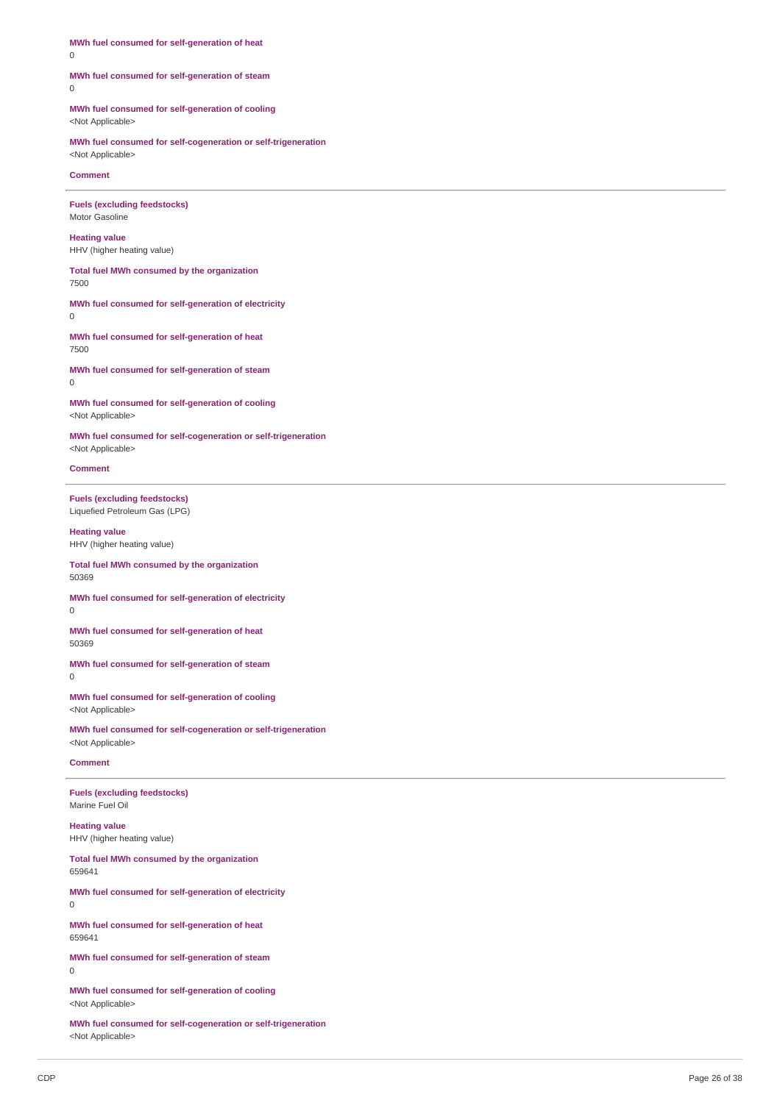MWh fuel consumed for self-generation of heat 0

# MWh fuel consumed for self-generation of steam

 $\theta$ 

MWh fuel consumed for self-generation of cooling <Not Applicable>

MWh fuel consumed for self-cogeneration or self-trigeneration <Not Applicable>

**Comment** 

**Fuels** (excluding feedstocks) Motor Gasoline

**Heating value** HHV (higher heating value)

Total fuel MWh consumed by the organization 7 5 0 0

MWh fuel consumed for self-generation of electricity  $\Omega$ 

MWh fuel consumed for self-generation of heat 7 5 0 0

MWh fuel consumed for self-generation of steam 0

MWh fuel consumed for self-generation of cooling <Not Applicable>

MWh fuel consumed for self-cogeneration or self-trigeneration <Not Applicable>

**Comment** 

**Fuels** (excluding feedstocks) Liquefied Petroleum Gas (LPG)

**Heating value** HHV (higher heating value)

Total fuel MWh consumed by the organization 5 0 3 6 9

MWh fuel consumed for self-generation of electricity 0

MWh fuel consumed for self-generation of heat 5 0 3 6 9

MWh fuel consumed for self-generation of steam 0

MWh fuel consumed for self-generation of cooling <Not Applicable>

MWh fuel consumed for self-cogeneration or self-trigeneration <Not Applicable>

### **Comment**

**Fuels** (excluding feedstocks) Marine Fuel Oil

**Heating value** HHV (higher heating value)

Total fuel MWh consumed by the organization 659641

MWh fuel consumed for self-generation of electricity  $\theta$ 

MWh fuel consumed for self-generation of heat 659641

MWh fuel consumed for self-generation of steam 0

MWh fuel consumed for self-generation of cooling <Not Applicable>

MWh fuel consumed for self-cogeneration or self-trigeneration <Not Applicable>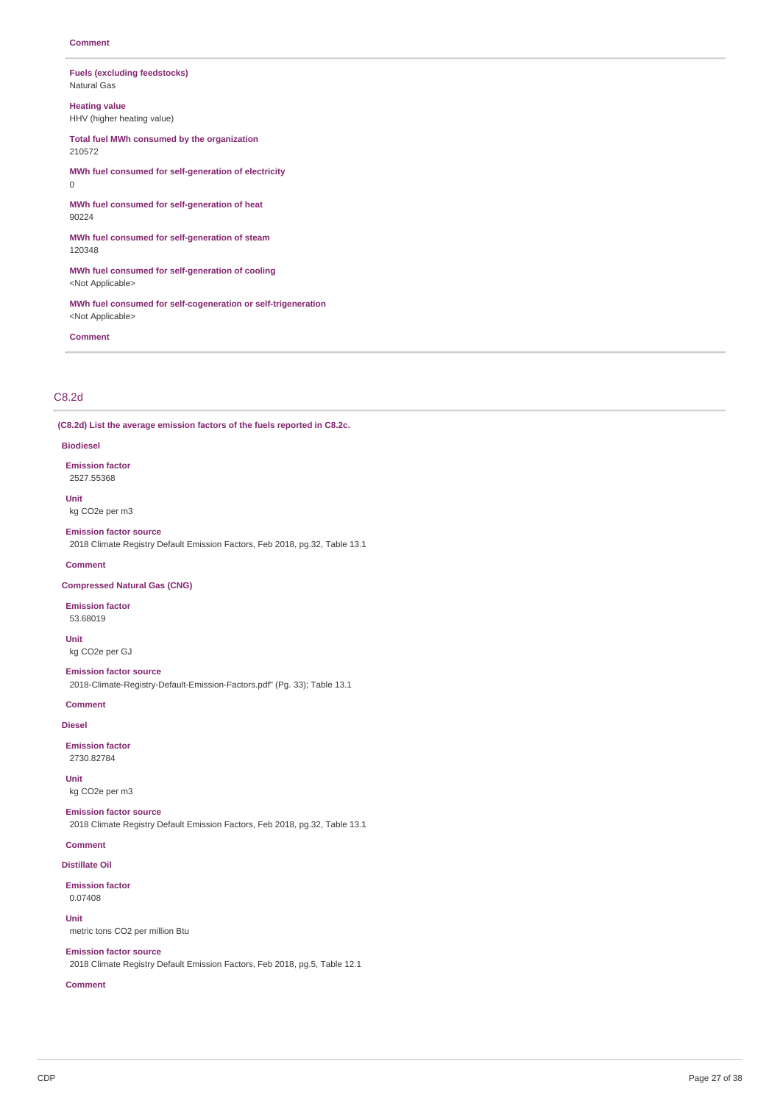### **Fuels (excluding feedstocks)** Natural Gas

**Heating value** HHV (higher heating value)

**Total fuel MWh consumed by the organization** 210572

**MWh fuel consumed for self-generation of electricity** 0

**MWh fuel consumed for self-generation of heat** 90224

**MWh fuel consumed for self-generation of steam** 120348

**MWh fuel consumed for self-generation of cooling** <Not Applicable>

**MWh fuel consumed for self-cogeneration or self-trigeneration** <Not Applicable>

**Comment**

# C8.2d

**(C8.2d) List the average emission factors of the fuels reported in C8.2c.**

#### **Biodiesel**

**Emission factor** 2527.55368

**Unit** kg CO2e per m3

### **Emission factor source**

2018 Climate Registry Default Emission Factors, Feb 2018, pg.32, Table 13.1

### **Comment**

**Compressed Natural Gas (CNG)**

### **Emission factor**

53.68019

**Unit** kg CO2e per GJ

#### **Emission factor source**

2018-Climate-Registry-Default-Emission-Factors.pdf" (Pg. 33); Table 13.1

**Comment**

# **Diesel**

**Emission factor**

2730.82784

**Unit** kg CO2e per m3

## **Emission factor source**

2018 Climate Registry Default Emission Factors, Feb 2018, pg.32, Table 13.1

## **Comment**

**Distillate Oil**

## **Emission factor**

0.07408

# **Unit**

metric tons CO2 per million Btu

# **Emission factor source**

2018 Climate Registry Default Emission Factors, Feb 2018, pg.5, Table 12.1

## **Comment**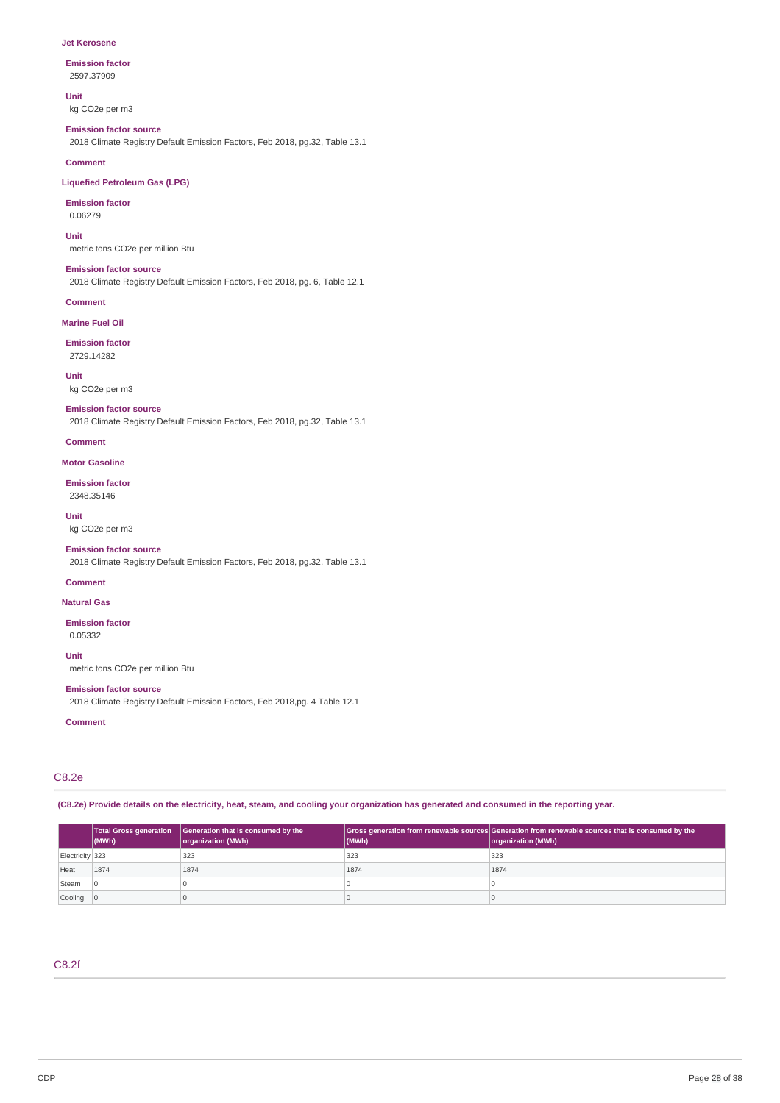#### **Jet Kerosene**

### **Emission factor**

2597.37909

## **Unit**

kg CO2e per m3

#### **Emission factor source**

2018 Climate Registry Default Emission Factors, Feb 2018, pg.32, Table 13.1

### **Comment**

# **Liquefied Petroleum Gas (LPG)**

**Emission factor** 0.06279

## **Unit**

metric tons CO2e per million Btu

### **Emission factor source**

2018 Climate Registry Default Emission Factors, Feb 2018, pg. 6, Table 12.1

#### **Comment**

**Marine Fuel Oil**

#### **Emission factor** 2729.14282

**Unit**

# kg CO2e per m3

**Emission factor source** 2018 Climate Registry Default Emission Factors, Feb 2018, pg.32, Table 13.1

#### **Comment**

**Motor Gasoline**

## **Emission factor** 2348.35146

**Unit**

# kg CO2e per m3

**Emission factor source** 2018 Climate Registry Default Emission Factors, Feb 2018, pg.32, Table 13.1

#### **Comment**

**Natural Gas**

### **Emission factor** 0.05332

**Unit** metric tons CO2e per million Btu

## **Emission factor source**

2018 Climate Registry Default Emission Factors, Feb 2018,pg. 4 Table 12.1

### **Comment**

# C8.2e

(C8.2e) Provide details on the electricity, heat, steam, and cooling your organization has generated and consumed in the reporting year.

|                           | $ $ (MWh) | Total Gross generation   Generation that is consumed by the<br>organization (MWh) | (MWh) | Gross generation from renewable sources Generation from renewable sources that is consumed by the<br>organization (MWh) |
|---------------------------|-----------|-----------------------------------------------------------------------------------|-------|-------------------------------------------------------------------------------------------------------------------------|
| Electricity 323           |           | 323                                                                               | 323   | 323                                                                                                                     |
| Heat                      | 1874      | 1874                                                                              | 1874  | 1874                                                                                                                    |
| Steam                     |           |                                                                                   |       |                                                                                                                         |
| $\vert$ Cooling $\vert$ 0 |           |                                                                                   |       |                                                                                                                         |

# C8.2f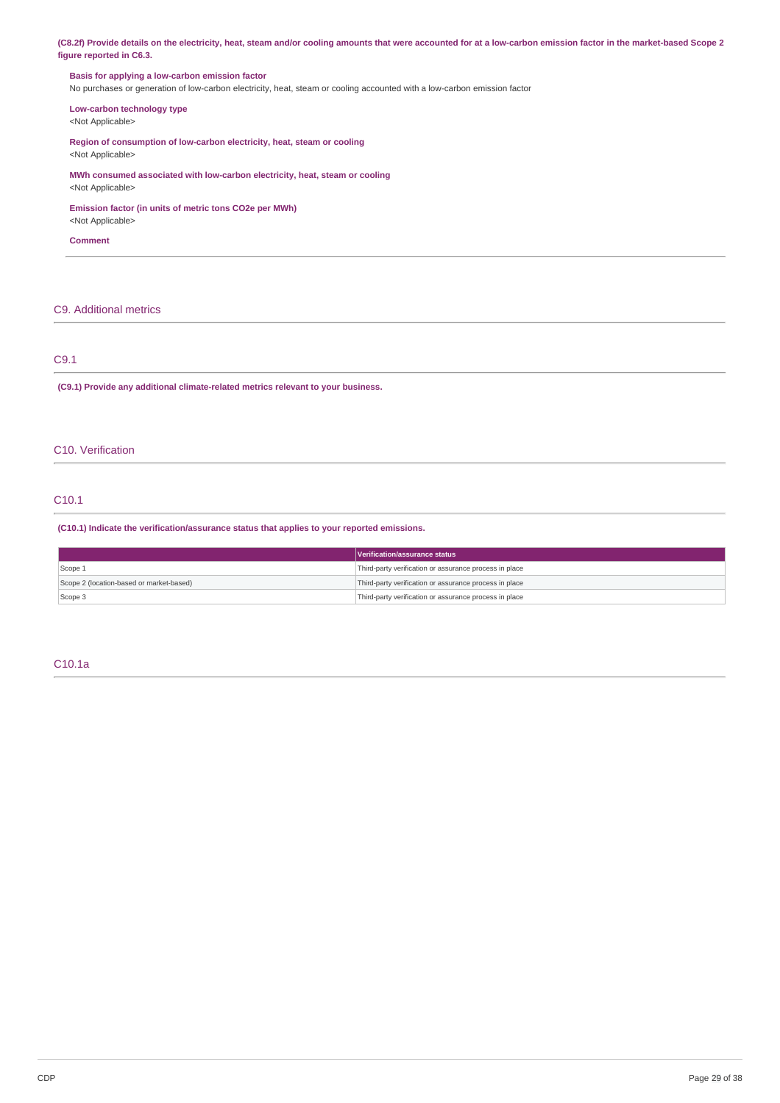(C8.2f) Provide details on the electricity, heat, steam and/or cooling amounts that were accounted for at a low-carbon emission factor in the market-based Scope 2 **figure reported in C6.3.**

# **Basis for applying a low-carbon emission factor**

No purchases or generation of low-carbon electricity, heat, steam or cooling accounted with a low-carbon emission factor

# **Low-carbon technology type**

<Not Applicable>

**Region of consumption of low-carbon electricity, heat, steam or cooling** <Not Applicable>

**MWh consumed associated with low-carbon electricity, heat, steam or cooling** <Not Applicable>

## **Emission factor (in units of metric tons CO2e per MWh)**

<Not Applicable>

**Comment**

# C9. Additional metrics

# C9.1

**(C9.1) Provide any additional climate-related metrics relevant to your business.**

# C10. Verification

# C10.1

## **(C10.1) Indicate the verification/assurance status that applies to your reported emissions.**

|                                          | Verification/assurance status                          |
|------------------------------------------|--------------------------------------------------------|
| Scope 1                                  | Third-party verification or assurance process in place |
| Scope 2 (location-based or market-based) | Third-party verification or assurance process in place |
| Scope 3                                  | Third-party verification or assurance process in place |

## C10.1a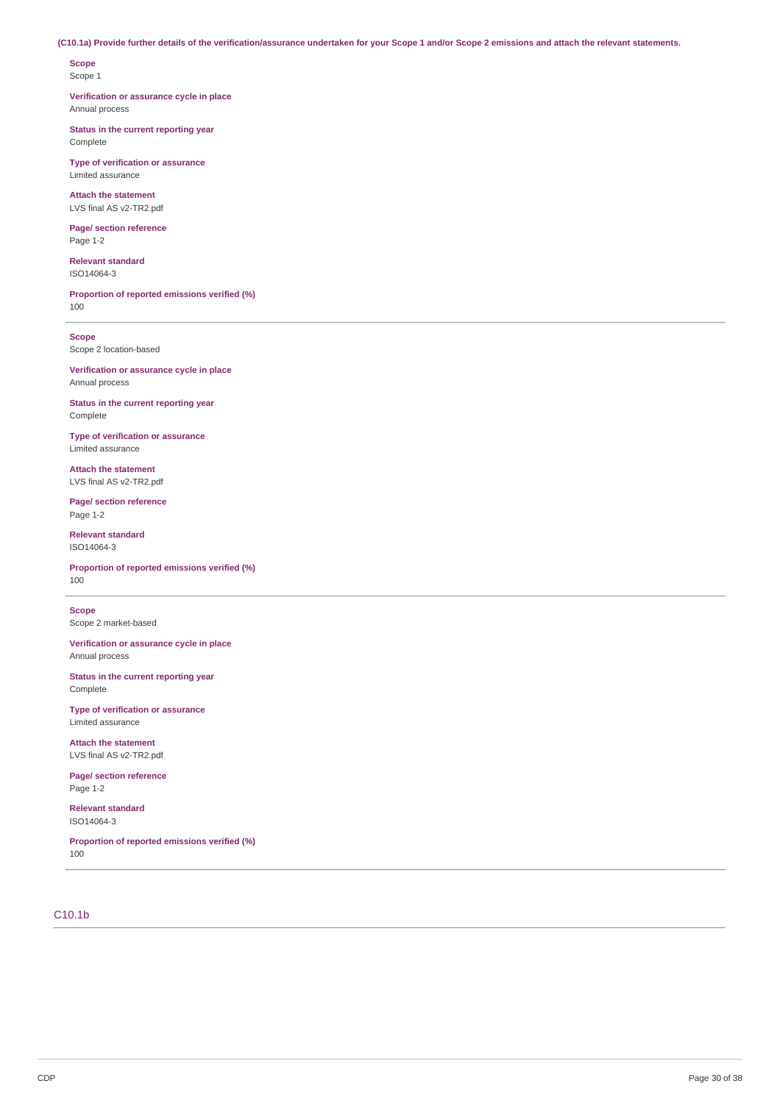## (C10.1a) Provide further details of the verification/assurance undertaken for your Scope 1 and/or Scope 2 emissions and attach the relevant statements.

**Scope** Scope 1

**Verification or assurance cycle in place** Annual process

**Status in the current reporting year** Complete

**Type of verification or assurance** Limited assurance

**Attach the statement** LVS final AS v2-TR2.pdf

**Page/ section reference** Page 1-2

**Relevant standard** ISO14064-3

**Proportion of reported emissions verified (%)** 100

**Scope**

Scope 2 location-based

**Verification or assurance cycle in place** Annual process

**Status in the current reporting year** Complete

**Type of verification or assurance** Limited assurance

**Attach the statement** LVS final AS v2-TR2.pdf

**Page/ section reference** Page 1-2

**Relevant standard** ISO14064-3

**Proportion of reported emissions verified (%)** 100

**Scope** Scope 2 market-based

**Verification or assurance cycle in place** Annual process

**Status in the current reporting year** Complete

**Type of verification or assurance** Limited assurance

**Attach the statement** LVS final AS v2-TR2.pdf

**Page/ section reference** Page 1-2

**Relevant standard** ISO14064-3

**Proportion of reported emissions verified (%)** 100

# C10.1b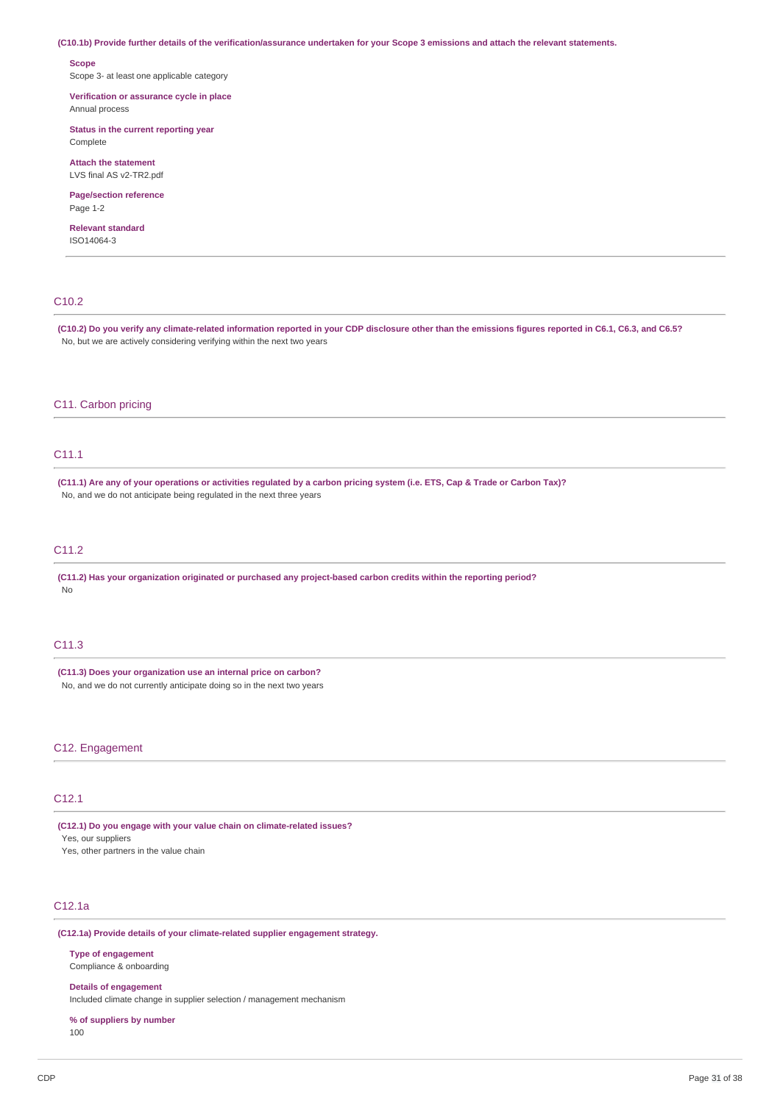(C10.1b) Provide further details of the verification/assurance undertaken for your Scope 3 emissions and attach the relevant statements.

#### **Scope**

Scope 3- at least one applicable category

### **Verification or assurance cycle in place** Annual process

**Status in the current reporting year** Complete

### **Attach the statement** LVS final AS v2-TR2 ndf

**Page/section reference** Page 1-2

#### **Relevant standard** ISO14064-3

# C10.2

(C10.2) Do you verify any climate-related information reported in your CDP disclosure other than the emissions figures reported in C6.1, C6.3, and C6.5? No, but we are actively considering verifying within the next two years

### C11. Carbon pricing

# C11.1

(C11.1) Are any of your operations or activities regulated by a carbon pricing system (i.e. ETS, Cap & Trade or Carbon Tax)? No, and we do not anticipate being regulated in the next three years

# C11.2

**(C11.2) Has your organization originated or purchased any project-based carbon credits within the reporting period?** No

#### C11.3

**(C11.3) Does your organization use an internal price on carbon?** No, and we do not currently anticipate doing so in the next two years

## C12. Engagement

# C12.1

**(C12.1) Do you engage with your value chain on climate-related issues?**

Yes, our suppliers

Yes, other partners in the value chain

# C12.1a

**(C12.1a) Provide details of your climate-related supplier engagement strategy.**

**Type of engagement** Compliance & onboarding

#### **Details of engagement**

Included climate change in supplier selection / management mechanism

### **% of suppliers by number** 100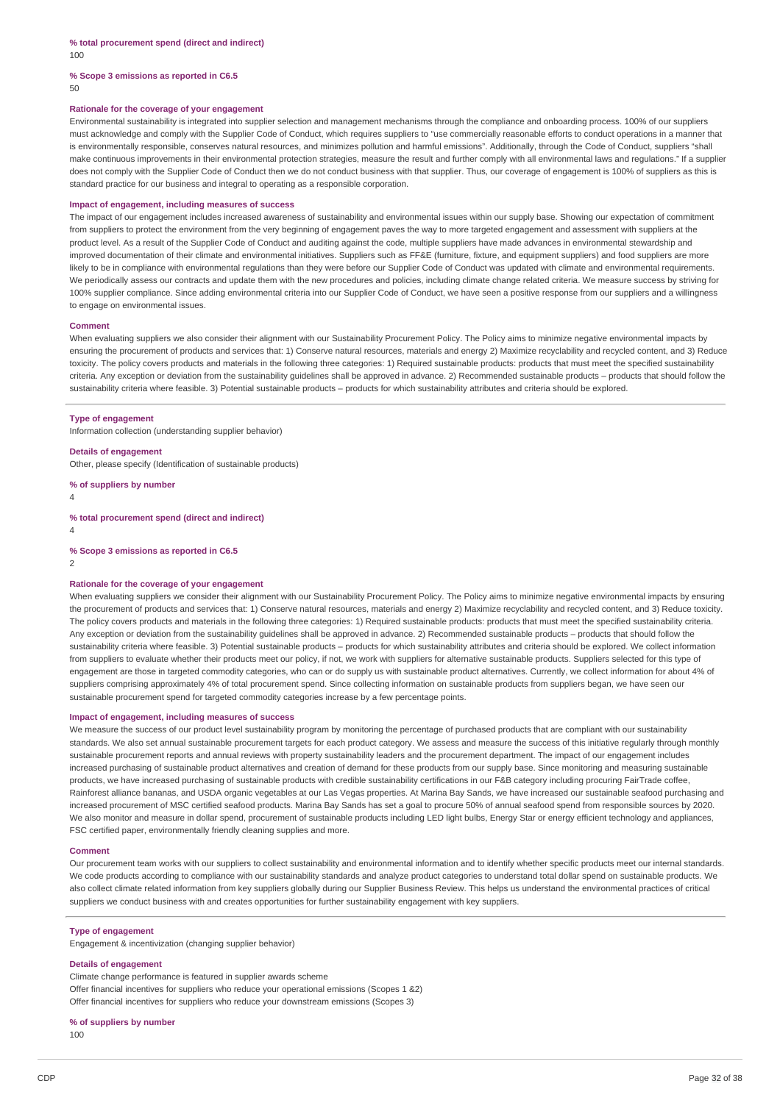### **% Scope 3 emissions as reported in C6.5** 50

#### **Rationale for the coverage of your engagement**

Environmental sustainability is integrated into supplier selection and management mechanisms through the compliance and onboarding process. 100% of our suppliers must acknowledge and comply with the Supplier Code of Conduct, which requires suppliers to "use commercially reasonable efforts to conduct operations in a manner that is environmentally responsible, conserves natural resources, and minimizes pollution and harmful emissions". Additionally, through the Code of Conduct, suppliers "shall make continuous improvements in their environmental protection strategies, measure the result and further comply with all environmental laws and regulations." If a supplier does not comply with the Supplier Code of Conduct then we do not conduct business with that supplier. Thus, our coverage of engagement is 100% of suppliers as this is standard practice for our business and integral to operating as a responsible corporation.

#### **Impact of engagement, including measures of success**

The impact of our engagement includes increased awareness of sustainability and environmental issues within our supply base. Showing our expectation of commitment from suppliers to protect the environment from the very beginning of engagement paves the way to more targeted engagement and assessment with suppliers at the product level. As a result of the Supplier Code of Conduct and auditing against the code, multiple suppliers have made advances in environmental stewardship and improved documentation of their climate and environmental initiatives. Suppliers such as FF&E (furniture, fixture, and equipment suppliers) and food suppliers are more likely to be in compliance with environmental regulations than they were before our Supplier Code of Conduct was updated with climate and environmental requirements. We periodically assess our contracts and update them with the new procedures and policies, including climate change related criteria. We measure success by striving for 100% supplier compliance. Since adding environmental criteria into our Supplier Code of Conduct, we have seen a positive response from our suppliers and a willingness to engage on environmental issues.

#### **Comment**

When evaluating suppliers we also consider their alignment with our Sustainability Procurement Policy. The Policy aims to minimize negative environmental impacts by ensuring the procurement of products and services that: 1) Conserve natural resources, materials and energy 2) Maximize recyclability and recycled content, and 3) Reduce toxicity. The policy covers products and materials in the following three categories: 1) Required sustainable products: products that must meet the specified sustainability criteria. Any exception or deviation from the sustainability guidelines shall be approved in advance. 2) Recommended sustainable products – products that should follow the sustainability criteria where feasible. 3) Potential sustainable products – products for which sustainability attributes and criteria should be explored.

#### **Type of engagement**

Information collection (understanding supplier behavior)

## **Details of engagement**

Other, please specify (Identification of sustainable products)

**% of suppliers by number**

4

**% total procurement spend (direct and indirect)**

4

**% Scope 3 emissions as reported in C6.5**

2

#### **Rationale for the coverage of your engagement**

When evaluating suppliers we consider their alignment with our Sustainability Procurement Policy. The Policy aims to minimize negative environmental impacts by ensuring the procurement of products and services that: 1) Conserve natural resources, materials and energy 2) Maximize recyclability and recycled content, and 3) Reduce toxicity. The policy covers products and materials in the following three categories: 1) Required sustainable products: products that must meet the specified sustainability criteria. Any exception or deviation from the sustainability guidelines shall be approved in advance. 2) Recommended sustainable products – products that should follow the sustainability criteria where feasible. 3) Potential sustainable products – products for which sustainability attributes and criteria should be explored. We collect information from suppliers to evaluate whether their products meet our policy, if not, we work with suppliers for alternative sustainable products. Suppliers selected for this type of engagement are those in targeted commodity categories, who can or do supply us with sustainable product alternatives. Currently, we collect information for about 4% of suppliers comprising approximately 4% of total procurement spend. Since collecting information on sustainable products from suppliers began, we have seen our sustainable procurement spend for targeted commodity categories increase by a few percentage points.

### **Impact of engagement, including measures of success**

We measure the success of our product level sustainability program by monitoring the percentage of purchased products that are compliant with our sustainability standards. We also set annual sustainable procurement targets for each product category. We assess and measure the success of this initiative regularly through monthly sustainable procurement reports and annual reviews with property sustainability leaders and the procurement department. The impact of our engagement includes increased purchasing of sustainable product alternatives and creation of demand for these products from our supply base. Since monitoring and measuring sustainable products, we have increased purchasing of sustainable products with credible sustainability certifications in our F&B category including procuring FairTrade coffee, Rainforest alliance bananas, and USDA organic vegetables at our Las Vegas properties. At Marina Bay Sands, we have increased our sustainable seafood purchasing and increased procurement of MSC certified seafood products. Marina Bay Sands has set a goal to procure 50% of annual seafood spend from responsible sources by 2020. We also monitor and measure in dollar spend, procurement of sustainable products including LED light bulbs, Energy Star or energy efficient technology and appliances, FSC certified paper, environmentally friendly cleaning supplies and more.

#### **Comment**

Our procurement team works with our suppliers to collect sustainability and environmental information and to identify whether specific products meet our internal standards. We code products according to compliance with our sustainability standards and analyze product categories to understand total dollar spend on sustainable products. We also collect climate related information from key suppliers globally during our Supplier Business Review. This helps us understand the environmental practices of critical suppliers we conduct business with and creates opportunities for further sustainability engagement with key suppliers.

#### **Type of engagement**

Engagement & incentivization (changing supplier behavior)

#### **Details of engagement**

Climate change performance is featured in supplier awards scheme Offer financial incentives for suppliers who reduce your operational emissions (Scopes 1 &2) Offer financial incentives for suppliers who reduce your downstream emissions (Scopes 3)

# **% of suppliers by number**

100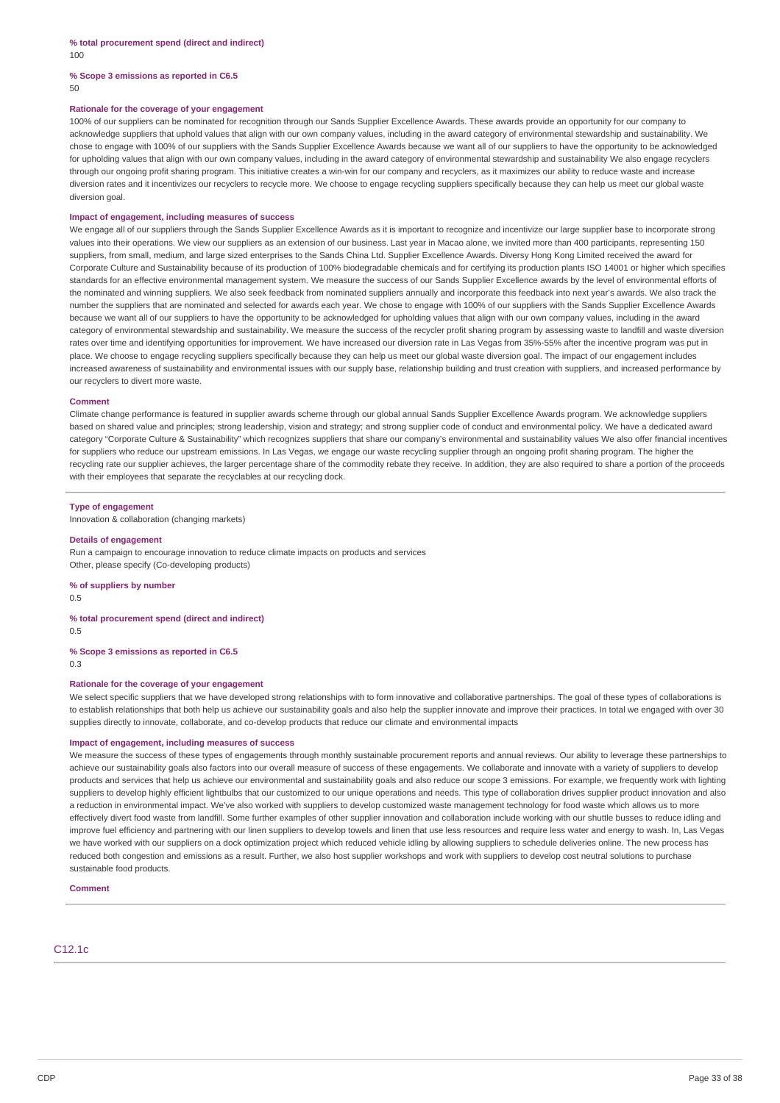### **% Scope 3 emissions as reported in C6.5** 50

#### **Rationale for the coverage of your engagement**

100% of our suppliers can be nominated for recognition through our Sands Supplier Excellence Awards. These awards provide an opportunity for our company to acknowledge suppliers that uphold values that align with our own company values, including in the award category of environmental stewardship and sustainability. We chose to engage with 100% of our suppliers with the Sands Supplier Excellence Awards because we want all of our suppliers to have the opportunity to be acknowledged for upholding values that align with our own company values, including in the award category of environmental stewardship and sustainability We also engage recyclers through our ongoing profit sharing program. This initiative creates a win-win for our company and recyclers, as it maximizes our ability to reduce waste and increase diversion rates and it incentivizes our recyclers to recycle more. We choose to engage recycling suppliers specifically because they can help us meet our global waste diversion goal.

#### **Impact of engagement, including measures of success**

We engage all of our suppliers through the Sands Supplier Excellence Awards as it is important to recognize and incentivize our large supplier base to incorporate strong values into their operations. We view our suppliers as an extension of our business. Last year in Macao alone, we invited more than 400 participants, representing 150 suppliers, from small, medium, and large sized enterprises to the Sands China Ltd. Supplier Excellence Awards. Diversy Hong Kong Limited received the award for Corporate Culture and Sustainability because of its production of 100% biodegradable chemicals and for certifying its production plants ISO 14001 or higher which specifies standards for an effective environmental management system. We measure the success of our Sands Supplier Excellence awards by the level of environmental efforts of the nominated and winning suppliers. We also seek feedback from nominated suppliers annually and incorporate this feedback into next year's awards. We also track the number the suppliers that are nominated and selected for awards each year. We chose to engage with 100% of our suppliers with the Sands Supplier Excellence Awards because we want all of our suppliers to have the opportunity to be acknowledged for upholding values that align with our own company values, including in the award category of environmental stewardship and sustainability. We measure the success of the recycler profit sharing program by assessing waste to landfill and waste diversion rates over time and identifying opportunities for improvement. We have increased our diversion rate in Las Vegas from 35%-55% after the incentive program was put in place. We choose to engage recycling suppliers specifically because they can help us meet our global waste diversion goal. The impact of our engagement includes increased awareness of sustainability and environmental issues with our supply base, relationship building and trust creation with suppliers, and increased performance by our recyclers to divert more waste.

#### **Comment**

Climate change performance is featured in supplier awards scheme through our global annual Sands Supplier Excellence Awards program. We acknowledge suppliers based on shared value and principles; strong leadership, vision and strategy; and strong supplier code of conduct and environmental policy. We have a dedicated award category "Corporate Culture & Sustainability" which recognizes suppliers that share our company's environmental and sustainability values We also offer financial incentives for suppliers who reduce our upstream emissions. In Las Vegas, we engage our waste recycling supplier through an ongoing profit sharing program. The higher the recycling rate our supplier achieves, the larger percentage share of the commodity rebate they receive. In addition, they are also required to share a portion of the proceeds with their employees that separate the recyclables at our recycling dock.

### **Type of engagement**

Innovation & collaboration (changing markets)

#### **Details of engagement**

Run a campaign to encourage innovation to reduce climate impacts on products and services Other, please specify (Co-developing products)

# **% of suppliers by number**

0.5

### **% total procurement spend (direct and indirect)**

0.5 **% Scope 3 emissions as reported in C6.5**

0.3

# **Rationale for the coverage of your engagement**

We select specific suppliers that we have developed strong relationships with to form innovative and collaborative partnerships. The goal of these types of collaborations is to establish relationships that both help us achieve our sustainability goals and also help the supplier innovate and improve their practices. In total we engaged with over 30 supplies directly to innovate, collaborate, and co-develop products that reduce our climate and environmental impacts

### **Impact of engagement, including measures of success**

We measure the success of these types of engagements through monthly sustainable procurement reports and annual reviews. Our ability to leverage these partnerships to achieve our sustainability goals also factors into our overall measure of success of these engagements. We collaborate and innovate with a variety of suppliers to develop products and services that help us achieve our environmental and sustainability goals and also reduce our scope 3 emissions. For example, we frequently work with lighting suppliers to develop highly efficient lightbulbs that our customized to our unique operations and needs. This type of collaboration drives supplier product innovation and also a reduction in environmental impact. We've also worked with suppliers to develop customized waste management technology for food waste which allows us to more effectively divert food waste from landfill. Some further examples of other supplier innovation and collaboration include working with our shuttle busses to reduce idling and improve fuel efficiency and partnering with our linen suppliers to develop towels and linen that use less resources and require less water and energy to wash. In, Las Vegas we have worked with our suppliers on a dock optimization project which reduced vehicle idling by allowing suppliers to schedule deliveries online. The new process has reduced both congestion and emissions as a result. Further, we also host supplier workshops and work with suppliers to develop cost neutral solutions to purchase sustainable food products.

#### **Comment**

C12.1c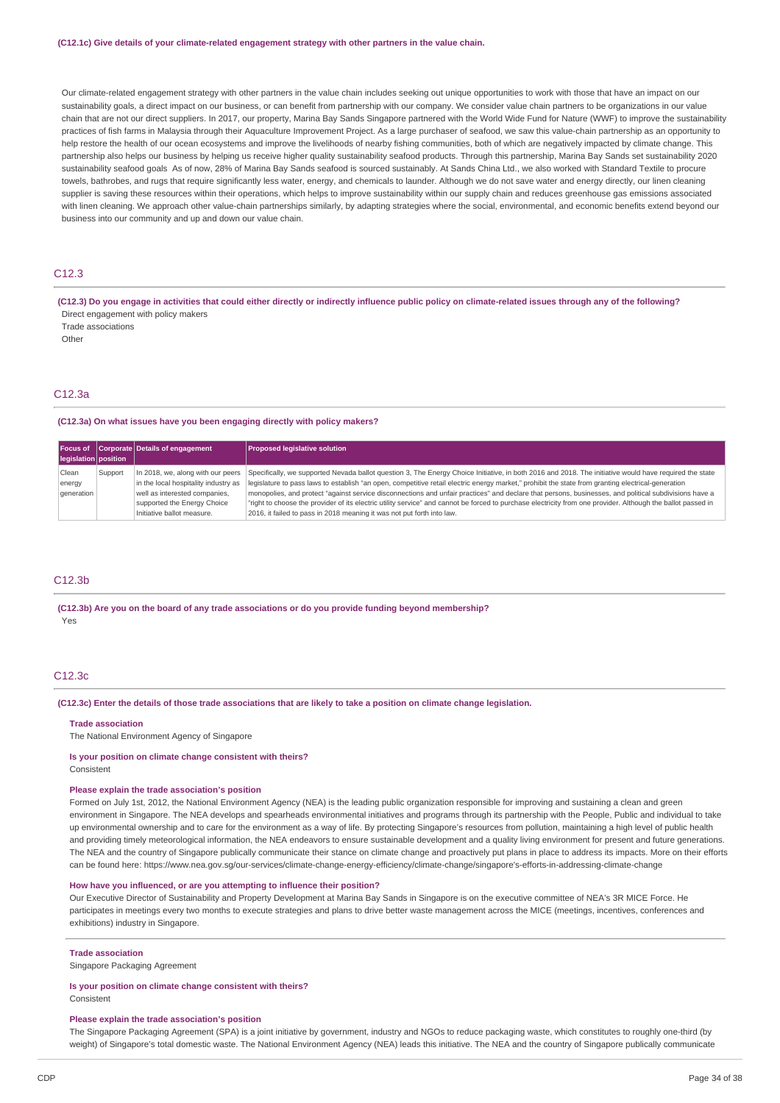#### **(C12.1c) Give details of your climate-related engagement strategy with other partners in the value chain.**

Our climate-related engagement strategy with other partners in the value chain includes seeking out unique opportunities to work with those that have an impact on our sustainability goals, a direct impact on our business, or can benefit from partnership with our company. We consider value chain partners to be organizations in our value chain that are not our direct suppliers. In 2017, our property, Marina Bay Sands Singapore partnered with the World Wide Fund for Nature (WWF) to improve the sustainability practices of fish farms in Malaysia through their Aquaculture Improvement Project. As a large purchaser of seafood, we saw this value-chain partnership as an opportunity to help restore the health of our ocean ecosystems and improve the livelihoods of nearby fishing communities, both of which are negatively impacted by climate change. This partnership also helps our business by helping us receive higher quality sustainability seafood products. Through this partnership, Marina Bay Sands set sustainability 2020 sustainability seafood goals As of now, 28% of Marina Bay Sands seafood is sourced sustainably. At Sands China Ltd., we also worked with Standard Textile to procure towels, bathrobes, and rugs that require significantly less water, energy, and chemicals to launder. Although we do not save water and energy directly, our linen cleaning supplier is saving these resources within their operations, which helps to improve sustainability within our supply chain and reduces greenhouse gas emissions associated with linen cleaning. We approach other value-chain partnerships similarly, by adapting strategies where the social, environmental, and economic benefits extend beyond our business into our community and up and down our value chain.

# $C12.3$

(C12.3) Do you engage in activities that could either directly or indirectly influence public policy on climate-related issues through any of the following? Direct engagement with policy makers

Trade associations

**Other** 

# C12.3a

## **(C12.3a) On what issues have you been engaging directly with policy makers?**

| legislation position                  |         | Focus of Corporate Details of engagement                                                                                                                                | <b>Proposed legislative solution</b>                                                                                                                                                                                                                                                                                                                                                                                                                                                                                                                                                                                                                                                                            |
|---------------------------------------|---------|-------------------------------------------------------------------------------------------------------------------------------------------------------------------------|-----------------------------------------------------------------------------------------------------------------------------------------------------------------------------------------------------------------------------------------------------------------------------------------------------------------------------------------------------------------------------------------------------------------------------------------------------------------------------------------------------------------------------------------------------------------------------------------------------------------------------------------------------------------------------------------------------------------|
|                                       |         |                                                                                                                                                                         |                                                                                                                                                                                                                                                                                                                                                                                                                                                                                                                                                                                                                                                                                                                 |
| Clean<br>energy<br><i>c</i> eneration | Support | In 2018, we, along with our peers<br>in the local hospitality industry as<br>well as interested companies,<br>supported the Energy Choice<br>Initiative ballot measure. | Specifically, we supported Nevada ballot question 3, The Energy Choice Initiative, in both 2016 and 2018. The initiative would have required the state<br>legislature to pass laws to establish "an open, competitive retail electric energy market," prohibit the state from granting electrical-generation<br>monopolies, and protect "against service disconnections and unfair practices" and declare that persons, businesses, and political subdivisions have a<br>"right to choose the provider of its electric utility service" and cannot be forced to purchase electricity from one provider. Although the ballot passed in<br>2016, it failed to pass in 2018 meaning it was not put forth into law. |

### C12.3b

**(C12.3b) Are you on the board of any trade associations or do you provide funding beyond membership?** Yes

#### C12.3c

### (C12.3c) Enter the details of those trade associations that are likely to take a position on climate change legislation.

#### **Trade association**

The National Environment Agency of Singapore

#### **Is your position on climate change consistent with theirs?**

Consistent

### **Please explain the trade association's position**

Formed on July 1st, 2012, the National Environment Agency (NEA) is the leading public organization responsible for improving and sustaining a clean and green environment in Singapore. The NEA develops and spearheads environmental initiatives and programs through its partnership with the People, Public and individual to take up environmental ownership and to care for the environment as a way of life. By protecting Singapore's resources from pollution, maintaining a high level of public health and providing timely meteorological information, the NEA endeavors to ensure sustainable development and a quality living environment for present and future generations. The NEA and the country of Singapore publically communicate their stance on climate change and proactively put plans in place to address its impacts. More on their efforts can be found here: https://www.nea.gov.sg/our-services/climate-change-energy-efficiency/climate-change/singapore's-efforts-in-addressing-climate-change

## **How have you influenced, or are you attempting to influence their position?**

Our Executive Director of Sustainability and Property Development at Marina Bay Sands in Singapore is on the executive committee of NEA's 3R MICE Force. He participates in meetings every two months to execute strategies and plans to drive better waste management across the MICE (meetings, incentives, conferences and exhibitions) industry in Singapore.

# **Trade association**

Singapore Packaging Agreement

# **Is your position on climate change consistent with theirs?**

Consistent

## **Please explain the trade association's position**

The Singapore Packaging Agreement (SPA) is a joint initiative by government, industry and NGOs to reduce packaging waste, which constitutes to roughly one-third (by weight) of Singapore's total domestic waste. The National Environment Agency (NEA) leads this initiative. The NEA and the country of Singapore publically communicate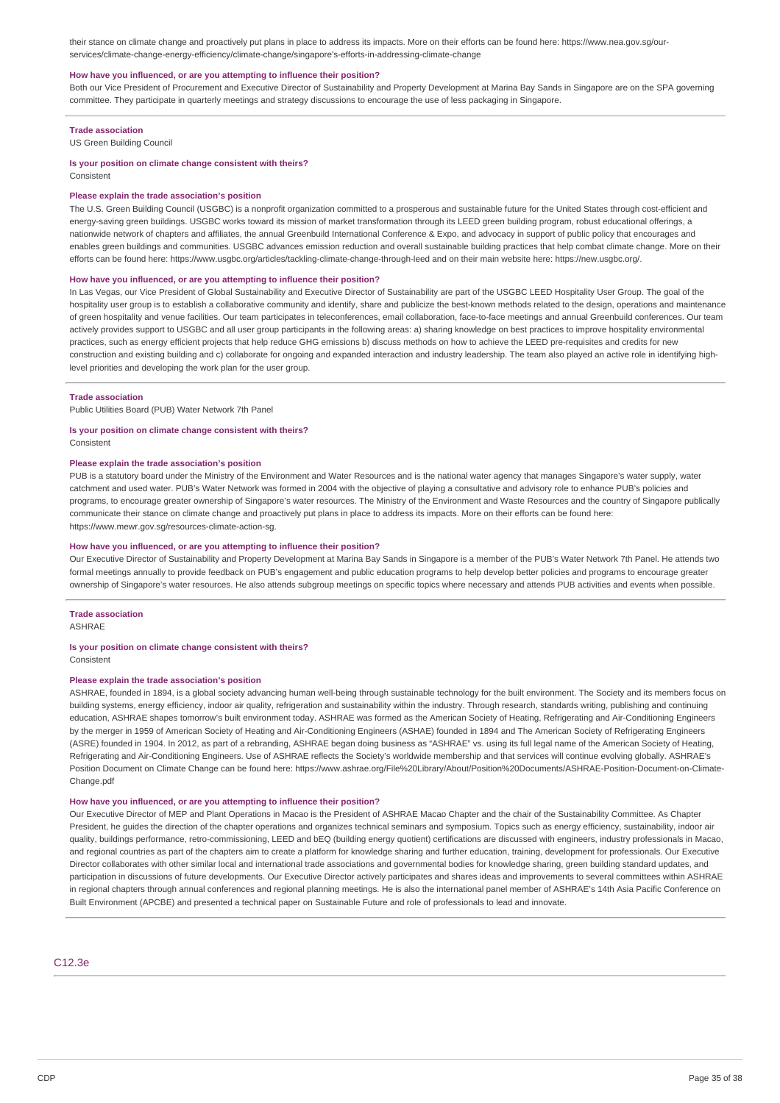their stance on climate change and proactively put plans in place to address its impacts. More on their efforts can be found here: https://www.nea.gov.sg/ourservices/climate-change-energy-efficiency/climate-change/singapore's-efforts-in-addressing-climate-change

#### **How have you influenced, or are you attempting to influence their position?**

Both our Vice President of Procurement and Executive Director of Sustainability and Property Development at Marina Bay Sands in Singapore are on the SPA governing committee. They participate in quarterly meetings and strategy discussions to encourage the use of less packaging in Singapore.

#### **Trade association**

US Green Building Council

#### **Is your position on climate change consistent with theirs?**

**Consistent** 

#### **Please explain the trade association's position**

The U.S. Green Building Council (USGBC) is a nonprofit organization committed to a prosperous and sustainable future for the United States through cost-efficient and energy-saving green buildings. USGBC works toward its mission of market transformation through its LEED green building program, robust educational offerings, a nationwide network of chapters and affiliates, the annual Greenbuild International Conference & Expo, and advocacy in support of public policy that encourages and enables green buildings and communities. USGBC advances emission reduction and overall sustainable building practices that help combat climate change. More on their efforts can be found here: https://www.usgbc.org/articles/tackling-climate-change-through-leed and on their main website here: https://new.usgbc.org/.

### **How have you influenced, or are you attempting to influence their position?**

In Las Vegas, our Vice President of Global Sustainability and Executive Director of Sustainability are part of the USGBC LEED Hospitality User Group. The goal of the hospitality user group is to establish a collaborative community and identify, share and publicize the best-known methods related to the design, operations and maintenance of green hospitality and venue facilities. Our team participates in teleconferences, email collaboration, face-to-face meetings and annual Greenbuild conferences. Our team actively provides support to USGBC and all user group participants in the following areas: a) sharing knowledge on best practices to improve hospitality environmental practices, such as energy efficient projects that help reduce GHG emissions b) discuss methods on how to achieve the LEED pre-requisites and credits for new construction and existing building and c) collaborate for ongoing and expanded interaction and industry leadership. The team also played an active role in identifying highlevel priorities and developing the work plan for the user group.

### **Trade association**

Public Utilities Board (PUB) Water Network 7th Panel

### **Is your position on climate change consistent with theirs?**

Consistent

## **Please explain the trade association's position**

PUB is a statutory board under the Ministry of the Environment and Water Resources and is the national water agency that manages Singapore's water supply, water catchment and used water. PUB's Water Network was formed in 2004 with the objective of playing a consultative and advisory role to enhance PUB's policies and programs, to encourage greater ownership of Singapore's water resources. The Ministry of the Environment and Waste Resources and the country of Singapore publically communicate their stance on climate change and proactively put plans in place to address its impacts. More on their efforts can be found here: https://www.mewr.gov.sg/resources-climate-action-sg.

#### **How have you influenced, or are you attempting to influence their position?**

Our Executive Director of Sustainability and Property Development at Marina Bay Sands in Singapore is a member of the PUB's Water Network 7th Panel. He attends two formal meetings annually to provide feedback on PUB's engagement and public education programs to help develop better policies and programs to encourage greater ownership of Singapore's water resources. He also attends subgroup meetings on specific topics where necessary and attends PUB activities and events when possible.

### **Trade association**

ASHRAE

### **Is your position on climate change consistent with theirs?**

**Consistent** 

## **Please explain the trade association's position**

ASHRAE, founded in 1894, is a global society advancing human well-being through sustainable technology for the built environment. The Society and its members focus on building systems, energy efficiency, indoor air quality, refrigeration and sustainability within the industry. Through research, standards writing, publishing and continuing education, ASHRAE shapes tomorrow's built environment today. ASHRAE was formed as the American Society of Heating, Refrigerating and Air-Conditioning Engineers by the merger in 1959 of American Society of Heating and Air-Conditioning Engineers (ASHAE) founded in 1894 and The American Society of Refrigerating Engineers (ASRE) founded in 1904. In 2012, as part of a rebranding, ASHRAE began doing business as "ASHRAE" vs. using its full legal name of the American Society of Heating, Refrigerating and Air-Conditioning Engineers. Use of ASHRAE reflects the Society's worldwide membership and that services will continue evolving globally. ASHRAE's Position Document on Climate Change can be found here: https://www.ashrae.org/File%20Library/About/Position%20Documents/ASHRAE-Position-Document-on-Climate-Change ndf

#### **How have you influenced, or are you attempting to influence their position?**

Our Executive Director of MEP and Plant Operations in Macao is the President of ASHRAE Macao Chapter and the chair of the Sustainability Committee. As Chapter President, he quides the direction of the chapter operations and organizes technical seminars and symposium. Topics such as energy efficiency, sustainability, indoor air quality, buildings performance, retro-commissioning, LEED and bEQ (building energy quotient) certifications are discussed with engineers, industry professionals in Macao, and regional countries as part of the chapters aim to create a platform for knowledge sharing and further education, training, development for professionals. Our Executive Director collaborates with other similar local and international trade associations and governmental bodies for knowledge sharing, green building standard updates, and participation in discussions of future developments. Our Executive Director actively participates and shares ideas and improvements to several committees within ASHRAE in regional chapters through annual conferences and regional planning meetings. He is also the international panel member of ASHRAE's 14th Asia Pacific Conference on Built Environment (APCBE) and presented a technical paper on Sustainable Future and role of professionals to lead and innovate.

### C12.3e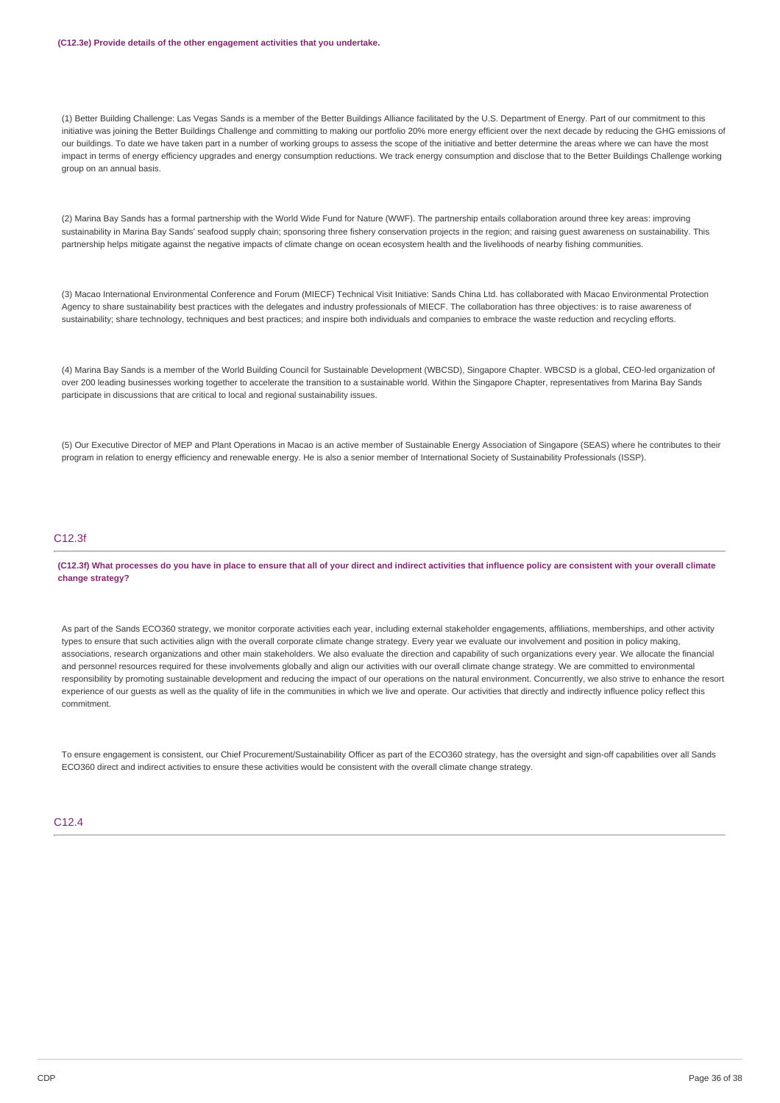#### **(C12.3e) Provide details of the other engagement activities that you undertake.**

(1) Better Building Challenge: Las Vegas Sands is a member of the Better Buildings Alliance facilitated by the U.S. Department of Energy. Part of our commitment to this initiative was joining the Better Buildings Challenge and committing to making our portfolio 20% more energy efficient over the next decade by reducing the GHG emissions of our buildings. To date we have taken part in a number of working groups to assess the scope of the initiative and better determine the areas where we can have the most impact in terms of energy efficiency upgrades and energy consumption reductions. We track energy consumption and disclose that to the Better Buildings Challenge working group on an annual basis.

(2) Marina Bay Sands has a formal partnership with the World Wide Fund for Nature (WWF). The partnership entails collaboration around three key areas: improving sustainability in Marina Bay Sands' seafood supply chain; sponsoring three fishery conservation projects in the region; and raising guest awareness on sustainability. This partnership helps mitigate against the negative impacts of climate change on ocean ecosystem health and the livelihoods of nearby fishing communities.

(3) Macao International Environmental Conference and Forum (MIECF) Technical Visit Initiative: Sands China Ltd. has collaborated with Macao Environmental Protection Agency to share sustainability best practices with the delegates and industry professionals of MIECF. The collaboration has three objectives: is to raise awareness of sustainability; share technology, techniques and best practices; and inspire both individuals and companies to embrace the waste reduction and recycling efforts.

(4) Marina Bay Sands is a member of the World Building Council for Sustainable Development (WBCSD), Singapore Chapter. WBCSD is a global, CEO-led organization of over 200 leading businesses working together to accelerate the transition to a sustainable world. Within the Singapore Chapter, representatives from Marina Bay Sands participate in discussions that are critical to local and regional sustainability issues.

(5) Our Executive Director of MEP and Plant Operations in Macao is an active member of Sustainable Energy Association of Singapore (SEAS) where he contributes to their program in relation to energy efficiency and renewable energy. He is also a senior member of International Society of Sustainability Professionals (ISSP).

# C12.3f

(C12.3f) What processes do you have in place to ensure that all of your direct and indirect activities that influence policy are consistent with your overall climate **change strategy?**

As part of the Sands ECO360 strategy, we monitor corporate activities each year, including external stakeholder engagements, affiliations, memberships, and other activity types to ensure that such activities align with the overall corporate climate change strategy. Every year we evaluate our involvement and position in policy making, associations, research organizations and other main stakeholders. We also evaluate the direction and capability of such organizations every year. We allocate the financial and personnel resources required for these involvements globally and align our activities with our overall climate change strategy. We are committed to environmental responsibility by promoting sustainable development and reducing the impact of our operations on the natural environment. Concurrently, we also strive to enhance the resort experience of our guests as well as the quality of life in the communities in which we live and operate. Our activities that directly and indirectly influence policy reflect this commitment.

To ensure engagement is consistent, our Chief Procurement/Sustainability Officer as part of the ECO360 strategy, has the oversight and sign-off capabilities over all Sands ECO360 direct and indirect activities to ensure these activities would be consistent with the overall climate change strategy.

### $C<sub>12.4</sub>$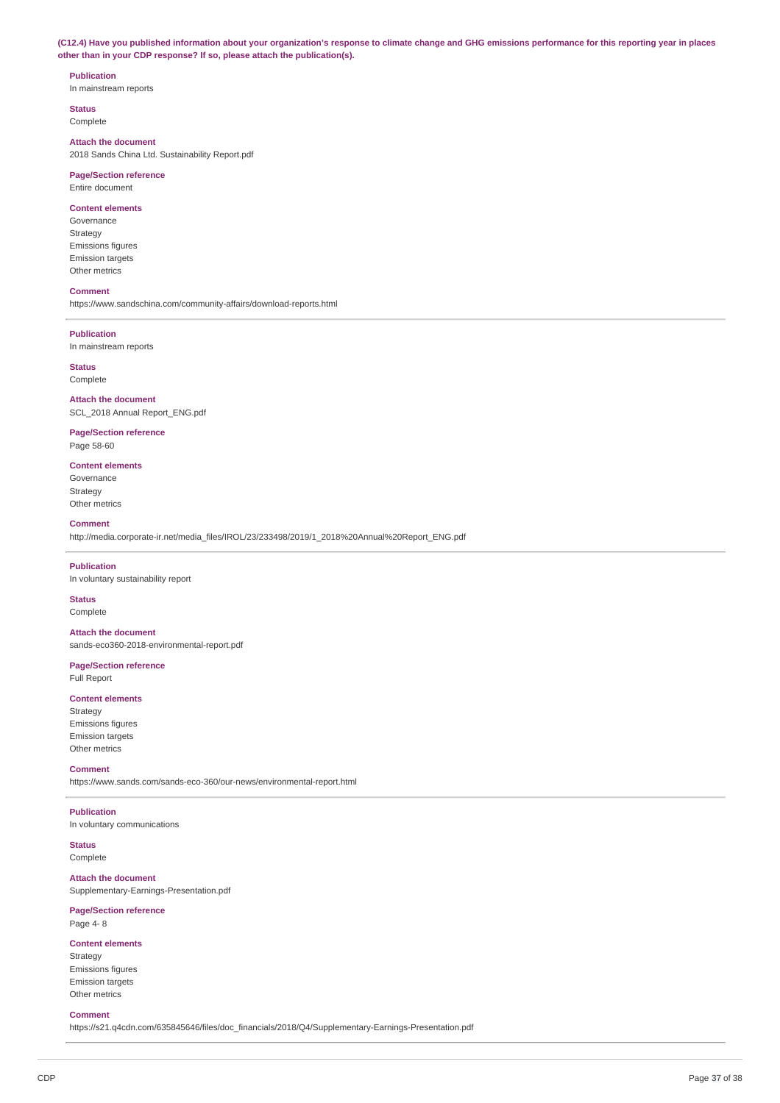(C12.4) Have you published information about your organization's response to climate change and GHG emissions performance for this reporting year in places **other than in your CDP response? If so, please attach the publication(s).**

# **Publication**

In mainstream reports

**Status** Complete

# **Attach the document**

2018 Sands China Ltd. Sustainability Report.pdf

### **Page/Section reference** Entire document

#### **Content elements**

Governance Strategy Emissions figures Emission targets Other metrics

#### **Comment**

https://www.sandschina.com/community-affairs/download-reports.html

#### **Publication**

In mainstream reports

**Status** Complete

**Attach the document** SCL\_2018 Annual Report\_ENG.pdf

**Page/Section reference** Page 58-60

# **Content elements**

Governance Strategy Other metrics

#### **Comment**

http://media.corporate-ir.net/media\_files/IROL/23/233498/2019/1\_2018%20Annual%20Report\_ENG.pdf

# **Publication**

In voluntary sustainability report

**Status** Complete

**Attach the document** sands-eco360-2018-environmental-report.pdf

# **Page/Section reference**

Full Report

## **Content elements**

Strategy Emissions figures Emission targets Other metrics

### **Comment**

https://www.sands.com/sands-eco-360/our-news/environmental-report.html

#### **Publication**

In voluntary communications

#### **Status** Complete

**Attach the document** Supplementary-Earnings-Presentation.pdf

### **Page/Section reference**

Page 4- 8

### **Content elements**

Strategy Emissions figures Emission targets Other metrics

## **Comment**

https://s21.q4cdn.com/635845646/files/doc\_financials/2018/Q4/Supplementary-Earnings-Presentation.pdf